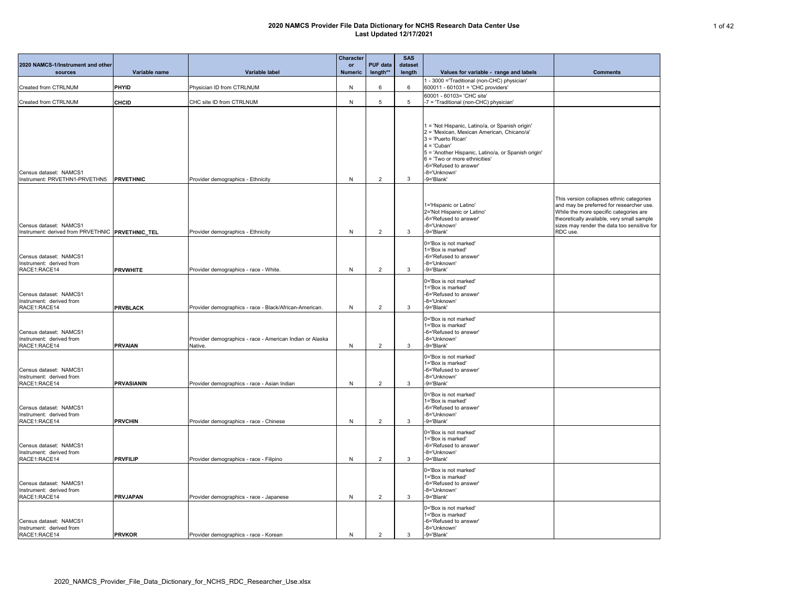| <b>Comments</b>                                                                                                                                                                                                                         |
|-----------------------------------------------------------------------------------------------------------------------------------------------------------------------------------------------------------------------------------------|
|                                                                                                                                                                                                                                         |
|                                                                                                                                                                                                                                         |
|                                                                                                                                                                                                                                         |
|                                                                                                                                                                                                                                         |
|                                                                                                                                                                                                                                         |
|                                                                                                                                                                                                                                         |
|                                                                                                                                                                                                                                         |
|                                                                                                                                                                                                                                         |
|                                                                                                                                                                                                                                         |
| This version collapses ethnic categories<br>and may be preferred for researcher use.<br>While the more specific categories are<br>theoretically available, very small sample<br>sizes may render the data too sensitive for<br>RDC use. |
|                                                                                                                                                                                                                                         |
|                                                                                                                                                                                                                                         |
|                                                                                                                                                                                                                                         |
|                                                                                                                                                                                                                                         |
|                                                                                                                                                                                                                                         |
|                                                                                                                                                                                                                                         |
|                                                                                                                                                                                                                                         |
|                                                                                                                                                                                                                                         |
|                                                                                                                                                                                                                                         |
|                                                                                                                                                                                                                                         |
|                                                                                                                                                                                                                                         |
|                                                                                                                                                                                                                                         |
|                                                                                                                                                                                                                                         |
|                                                                                                                                                                                                                                         |
|                                                                                                                                                                                                                                         |
|                                                                                                                                                                                                                                         |
|                                                                                                                                                                                                                                         |
|                                                                                                                                                                                                                                         |
|                                                                                                                                                                                                                                         |
|                                                                                                                                                                                                                                         |
|                                                                                                                                                                                                                                         |
|                                                                                                                                                                                                                                         |
|                                                                                                                                                                                                                                         |
|                                                                                                                                                                                                                                         |
|                                                                                                                                                                                                                                         |

| 2020 NAMCS-1/Instrument and other<br>sources                               | Variable name     | Variable label                                                      | <b>Character</b><br>or<br><b>Numeric</b> | <b>PUF data</b><br>length** | <b>SAS</b><br>dataset<br>length | Values for variable - range and labels                                                                                                                                                                                                                                                 | <b>Comments</b>                                                                                                                                                       |
|----------------------------------------------------------------------------|-------------------|---------------------------------------------------------------------|------------------------------------------|-----------------------------|---------------------------------|----------------------------------------------------------------------------------------------------------------------------------------------------------------------------------------------------------------------------------------------------------------------------------------|-----------------------------------------------------------------------------------------------------------------------------------------------------------------------|
| Created from CTRLNUM                                                       | <b>PHYID</b>      | Physician ID from CTRLNUM                                           | N                                        | 6                           | 6                               | 1 - 3000 ='Traditional (non-CHC) physician'<br>600011 - 601031 = 'CHC providers'                                                                                                                                                                                                       |                                                                                                                                                                       |
| <b>Created from CTRLNUM</b>                                                | <b>CHCID</b>      | CHC site ID from CTRLNUM                                            | N                                        | 5                           | 5                               | 60001 - 60103= 'CHC site'<br>-7 = 'Traditional (non-CHC) physician'                                                                                                                                                                                                                    |                                                                                                                                                                       |
| Census dataset: NAMCS1<br>Instrument: PRVETHN1-PRVETHN5                    | <b>PRVETHNIC</b>  | Provider demographics - Ethnicity                                   | N                                        | $\overline{2}$              | 3                               | 1 = 'Not Hispanic, Latino/a, or Spanish origin'<br>2 = 'Mexican, Mexican American, Chicano/a'<br>3 = 'Puerto Rican'<br>$4 = 'Cuban'$<br>5 = 'Another Hispanic, Latino/a, or Spanish origin'<br>$6 =$ 'Two or more ethnicities'<br>-6='Refused to answer'<br>-8='Unknown'<br>-9='Blank' |                                                                                                                                                                       |
| Census dataset: NAMCS1<br>Instrument: derived from PRVETHNIC PRVETHNIC TEL |                   | Provider demographics - Ethnicity                                   | N                                        | $\overline{2}$              | 3                               | 1='Hispanic or Latino'<br>2='Not Hispanic or Latino'<br>-6='Refused to answer'<br>-8='Unknown'<br>-9='Blank'                                                                                                                                                                           | This version collapses ethr<br>and may be preferred for re<br>While the more specific cat<br>theoretically available, very<br>sizes may render the data t<br>RDC use. |
| Census dataset: NAMCS1<br>Instrument: derived from<br>RACE1:RACE14         | <b>PRVWHITE</b>   | Provider demographics - race - White.                               | N                                        | $\overline{2}$              | 3                               | 0='Box is not marked'<br>1='Box is marked'<br>-6='Refused to answer'<br>-8='Unknown'<br>-9='Blank'                                                                                                                                                                                     |                                                                                                                                                                       |
| Census dataset: NAMCS1<br>Instrument: derived from<br>RACE1:RACE14         | <b>PRVBLACK</b>   | Provider demographics - race - Black/African-American.              | N                                        | $\overline{2}$              | 3                               | 0='Box is not marked'<br>1='Box is marked'<br>-6='Refused to answer'<br>-8='Unknown'<br>-9='Blank'                                                                                                                                                                                     |                                                                                                                                                                       |
| Census dataset: NAMCS1<br>Instrument: derived from<br>RACE1:RACE14         | <b>PRVAIAN</b>    | Provider demographics - race - American Indian or Alaska<br>Native. | N                                        | $\overline{2}$              | 3                               | 0='Box is not marked'<br>1='Box is marked'<br>-6='Refused to answer'<br>-8='Unknown'<br>-9='Blank'                                                                                                                                                                                     |                                                                                                                                                                       |
| Census dataset: NAMCS1<br>Instrument: derived from<br>RACE1:RACE14         | <b>PRVASIANIN</b> | Provider demographics - race - Asian Indian                         | N                                        | $\overline{2}$              | 3                               | 0='Box is not marked'<br>1='Box is marked'<br>-6='Refused to answer'<br>-8='Unknown'<br>-9='Blank'                                                                                                                                                                                     |                                                                                                                                                                       |
| Census dataset: NAMCS1<br>Instrument: derived from<br>RACE1:RACE14         | <b>PRVCHIN</b>    | Provider demographics - race - Chinese                              | N                                        | $\overline{2}$              | 3                               | 0='Box is not marked'<br>1='Box is marked'<br>-6='Refused to answer'<br>-8='Unknown'<br>-9='Blank'                                                                                                                                                                                     |                                                                                                                                                                       |
| Census dataset: NAMCS1<br>Instrument: derived from<br>RACE1:RACE14         | <b>PRVFILIP</b>   | Provider demographics - race - Filipino                             | N                                        | $\overline{2}$              | 3                               | 0='Box is not marked'<br>1='Box is marked'<br>-6='Refused to answer'<br>-8='Unknown'<br>-9='Blank'                                                                                                                                                                                     |                                                                                                                                                                       |
| Census dataset: NAMCS1<br>Instrument: derived from<br>RACE1:RACE14         | <b>PRVJAPAN</b>   | Provider demographics - race - Japanese                             | N                                        | $\overline{2}$              | 3                               | 0='Box is not marked'<br>1='Box is marked'<br>-6='Refused to answer'<br>-8='Unknown'<br>-9='Blank'                                                                                                                                                                                     |                                                                                                                                                                       |
| Census dataset: NAMCS1<br>Instrument: derived from<br>RACE1:RACE14         | <b>PRVKOR</b>     | Provider demographics - race - Korean                               | N                                        | 2                           | 3                               | 0='Box is not marked'<br>1='Box is marked'<br>-6='Refused to answer'<br>-8='Unknown'<br>-9='Blank'                                                                                                                                                                                     |                                                                                                                                                                       |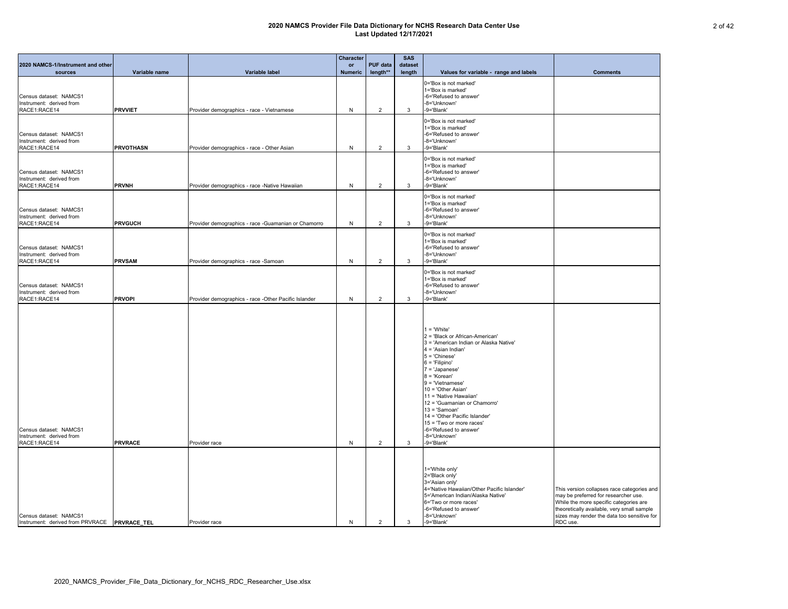| 2020 NAMCS-1/Instrument and other<br>sources                             | Variable name    | Variable label                                       | <b>Character</b><br>or<br><b>Numeric</b> | <b>PUF data</b><br>length** | <b>SAS</b><br>dataset<br>length | Values for variable - range and labels                                                                                                                                                                                                                                                                                                                                                                                                 | <b>Comments</b>                                                                                                                                                                                                                       |
|--------------------------------------------------------------------------|------------------|------------------------------------------------------|------------------------------------------|-----------------------------|---------------------------------|----------------------------------------------------------------------------------------------------------------------------------------------------------------------------------------------------------------------------------------------------------------------------------------------------------------------------------------------------------------------------------------------------------------------------------------|---------------------------------------------------------------------------------------------------------------------------------------------------------------------------------------------------------------------------------------|
| Census dataset: NAMCS1<br>Instrument: derived from<br>RACE1:RACE14       | <b>PRVVIET</b>   | Provider demographics - race - Vietnamese            | N                                        | 2                           | 3                               | 0='Box is not marked'<br>1='Box is marked'<br>-6='Refused to answer'<br>-8='Unknown'<br>-9='Blank'                                                                                                                                                                                                                                                                                                                                     |                                                                                                                                                                                                                                       |
| Census dataset: NAMCS1<br>Instrument: derived from<br>RACE1:RACE14       | <b>PRVOTHASN</b> | Provider demographics - race - Other Asian           | N                                        | $\overline{2}$              | 3                               | 0='Box is not marked'<br>1='Box is marked'<br>-6='Refused to answer'<br>-8='Unknown'<br>-9='Blank'                                                                                                                                                                                                                                                                                                                                     |                                                                                                                                                                                                                                       |
| Census dataset: NAMCS1<br>Instrument: derived from<br>RACE1:RACE14       | <b>PRVNH</b>     | Provider demographics - race -Native Hawaiian        | N                                        | $\overline{2}$              | 3                               | 0='Box is not marked'<br>1='Box is marked'<br>-6='Refused to answer'<br>-8='Unknown'<br>-9='Blank'                                                                                                                                                                                                                                                                                                                                     |                                                                                                                                                                                                                                       |
| Census dataset: NAMCS1<br>Instrument: derived from<br>RACE1:RACE14       | <b>PRVGUCH</b>   | Provider demographics - race -Guamanian or Chamorro  | N                                        | $\overline{2}$              | 3                               | 0='Box is not marked'<br>1='Box is marked'<br>-6='Refused to answer'<br>-8='Unknown'<br>-9='Blank'                                                                                                                                                                                                                                                                                                                                     |                                                                                                                                                                                                                                       |
| Census dataset: NAMCS1<br>Instrument: derived from<br>RACE1:RACE14       | <b>PRVSAM</b>    | Provider demographics - race -Samoan                 | N                                        | $\overline{2}$              | 3                               | 0='Box is not marked'<br>1='Box is marked'<br>-6='Refused to answer'<br>-8='Unknown'<br>-9='Blank'                                                                                                                                                                                                                                                                                                                                     |                                                                                                                                                                                                                                       |
| Census dataset: NAMCS1<br>Instrument: derived from<br>RACE1:RACE14       | <b>PRVOPI</b>    | Provider demographics - race -Other Pacific Islander | N                                        | $\overline{2}$              | 3                               | 0='Box is not marked'<br>1='Box is marked'<br>-6='Refused to answer'<br>-8='Unknown'<br>-9='Blank'                                                                                                                                                                                                                                                                                                                                     |                                                                                                                                                                                                                                       |
| Census dataset: NAMCS1<br>Instrument: derived from<br>RACE1:RACE14       | <b>PRVRACE</b>   | Provider race                                        | N                                        | $\overline{2}$              | 3                               | $1 = 'White'$<br>2 = 'Black or African-American'<br>3 = 'American Indian or Alaska Native'<br>$4 = 'Asian Indian'$<br>5 = 'Chinese'<br>$6$ = 'Filipino'<br>$7 = 'Japanese'$<br>8 = 'Korean'<br>9 = 'Vietnamese'<br>10 = 'Other Asian'<br>11 = 'Native Hawaiian'<br>12 = 'Guamanian or Chamorro'<br>$13 = 'Samon'$<br>14 = 'Other Pacific Islander'<br>15 = 'Two or more races'<br>-6='Refused to answer'<br>-8='Unknown'<br>-9='Blank' |                                                                                                                                                                                                                                       |
| Census dataset: NAMCS1<br>Instrument: derived from PRVRACE   PRVRACE_TEL |                  | Provider race                                        | N                                        | $\overline{2}$              | 3                               | 1='White only'<br>2='Black only'<br>3='Asian only'<br>4='Native Hawaiian/Other Pacific Islander'<br>5='American Indian/Alaska Native'<br>6='Two or more races'<br>-6='Refused to answer'<br>-8='Unknown'<br>-9='Blank'                                                                                                                                                                                                                 | This version collapses race categories and<br>may be preferred for researcher use.<br>While the more specific categories are<br>theoretically available, very small sample<br>sizes may render the data too sensitive for<br>RDC use. |

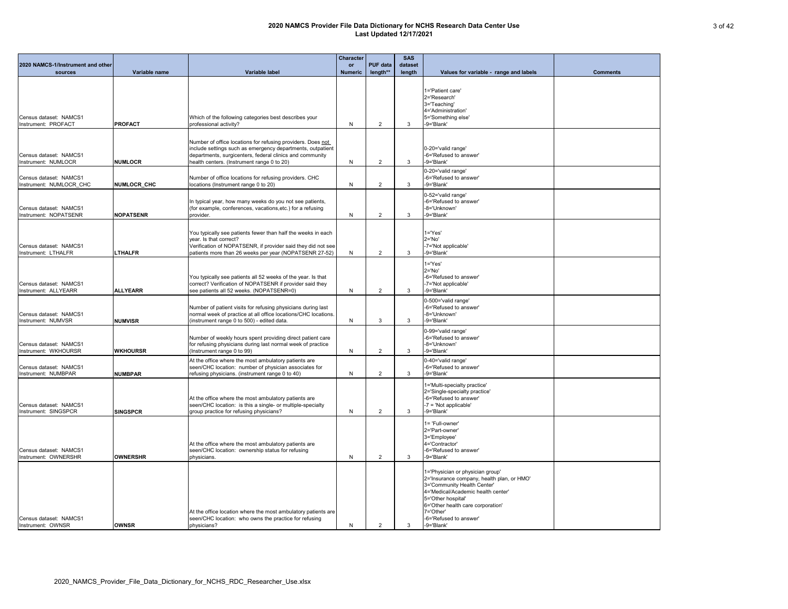| 2020 NAMCS-1/Instrument and other<br>sources      | Variable name    | Variable label                                                                                                                                                                                                                      | <b>Character</b><br>or<br><b>Numeric</b> | <b>PUF data</b><br>length** | <b>SAS</b><br>dataset<br>length | Values for variable - range and labels                                                                                                                                                                                                                              | <b>Comments</b> |
|---------------------------------------------------|------------------|-------------------------------------------------------------------------------------------------------------------------------------------------------------------------------------------------------------------------------------|------------------------------------------|-----------------------------|---------------------------------|---------------------------------------------------------------------------------------------------------------------------------------------------------------------------------------------------------------------------------------------------------------------|-----------------|
|                                                   |                  |                                                                                                                                                                                                                                     |                                          |                             |                                 | 1='Patient care'<br>2='Research'<br>3='Teaching'                                                                                                                                                                                                                    |                 |
| Census dataset: NAMCS1<br>Instrument: PROFACT     | <b>PROFACT</b>   | Which of the following categories best describes your<br>professional activity?                                                                                                                                                     | N                                        | $\overline{2}$              | 3                               | 4='Administration'<br>5='Something else'<br>-9='Blank'                                                                                                                                                                                                              |                 |
| Census dataset: NAMCS1<br>Instrument: NUMLOCR     | <b>NUMLOCR</b>   | Number of office locations for refusing providers. Does not<br>include settings such as emergency departments, outpatient<br>departments, surgicenters, federal clinics and community<br>health centers. (Instrument range 0 to 20) | N                                        | $\overline{2}$              | 3                               | 0-20='valid range'<br>-6='Refused to answer'<br>-9='Blank'                                                                                                                                                                                                          |                 |
| Census dataset: NAMCS1<br>Instrument: NUMLOCR CHC | NUMLOCR CHC      | Number of office locations for refusing providers. CHC<br>locations (Instrument range 0 to 20)                                                                                                                                      | N                                        | $\overline{2}$              | 3                               | 0-20='valid range'<br>-6='Refused to answer'<br>-9='Blank'                                                                                                                                                                                                          |                 |
| Census dataset: NAMCS1<br>Instrument: NOPATSENR   | <b>NOPATSENR</b> | In typical year, how many weeks do you not see patients,<br>(for example, conferences, vacations, etc.) for a refusing<br>provider.                                                                                                 | N                                        | $\overline{2}$              | 3                               | 0-52='valid range'<br>-6='Refused to answer'<br>-8='Unknown'<br>-9='Blank'                                                                                                                                                                                          |                 |
| Census dataset: NAMCS1<br>Instrument: LTHALFR     | <b>LTHALFR</b>   | You typically see patients fewer than half the weeks in each<br>year. Is that correct?<br>Verification of NOPATSENR, if provider said they did not see<br>patients more than 26 weeks per year (NOPATSENR 27-52)                    | N                                        | $\overline{2}$              | 3                               | $1 = Yes'$<br>$2 = 'No'$<br>-7='Not applicable'<br>-9='Blank'                                                                                                                                                                                                       |                 |
| Census dataset: NAMCS1<br>Instrument: ALLYEARR    | <b>ALLYEARR</b>  | You typically see patients all 52 weeks of the year. Is that<br>correct? Verification of NOPATSENR if provider said they<br>see patients all 52 weeks. (NOPATSENR=0)                                                                | N                                        | $\overline{2}$              | 3                               | $1 = Yes'$<br>$2 = 'No'$<br>-6='Refused to answer'<br>-7='Not applicable'<br>-9='Blank'                                                                                                                                                                             |                 |
| Census dataset: NAMCS1<br>Instrument: NUMVSR      | <b>NUMVISR</b>   | Number of patient visits for refusing physicians during last<br>normal week of practice at all office locations/CHC locations.<br>(instrument range 0 to 500) - edited data.                                                        | N                                        | 3                           | 3                               | 0-500='valid range'<br>-6='Refused to answer'<br>-8='Unknown'<br>-9='Blank'                                                                                                                                                                                         |                 |
| Census dataset: NAMCS1<br>Instrument: WKHOURSR    | <b>WKHOURSR</b>  | Number of weekly hours spent providing direct patient care<br>for refusing physicians during last normal week of practice<br>(Instrument range 0 to 99)                                                                             | N                                        | $\overline{2}$              | 3                               | 0-99='valid range'<br>-6='Refused to answer'<br>-8='Unknown'<br>-9='Blank'                                                                                                                                                                                          |                 |
| Census dataset: NAMCS1<br>Instrument: NUMBPAR     | <b>NUMBPAR</b>   | At the office where the most ambulatory patients are<br>seen/CHC location: number of physician associates for<br>refusing physicians. (instrument range 0 to 40)                                                                    | N                                        | $\overline{2}$              | 3                               | 0-40='valid range'<br>-6='Refused to answer'<br>-9='Blank'                                                                                                                                                                                                          |                 |
| Census dataset: NAMCS1<br>Instrument: SINGSPCR    | <b>SINGSPCR</b>  | At the office where the most ambulatory patients are<br>seen/CHC location: is this a single- or multiple-specialty<br>group practice for refusing physicians?                                                                       | N                                        | $\overline{2}$              | 3                               | 1='Multi-specialty practice'<br>2='Single-specialty practice'<br>-6='Refused to answer'<br>$-7$ = 'Not applicable'<br>-9='Blank'                                                                                                                                    |                 |
| Census dataset: NAMCS1<br>Instrument: OWNERSHR    | <b>OWNERSHR</b>  | At the office where the most ambulatory patients are<br>seen/CHC location: ownership status for refusing<br>physicians.                                                                                                             | N                                        | $\overline{2}$              | 3                               | 1= 'Full-owner'<br>2='Part-owner'<br>3='Employee'<br>4='Contractor'<br>-6='Refused to answer'<br>-9='Blank'                                                                                                                                                         |                 |
| Census dataset: NAMCS1<br>Instrument: OWNSR       | <b>OWNSR</b>     | At the office location where the most ambulatory patients are<br>seen/CHC location: who owns the practice for refusing<br>physicians?                                                                                               | N                                        | $\overline{2}$              | 3                               | 1='Physician or physician group'<br>2='Insurance company, health plan, or HMO'<br>3='Community Health Center'<br>4='Medical/Academic health center'<br>5='Other hospital'<br>6='Other health care corporation'<br>7='Other'<br>-6='Refused to answer'<br>-9='Blank' |                 |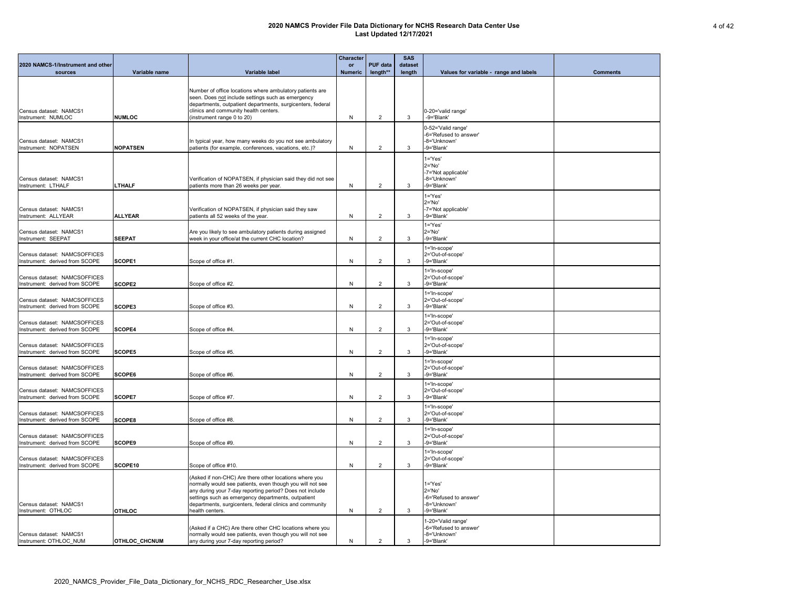| 2020 NAMCS-1/Instrument and other<br>sources                   | Variable name   | <b>Variable label</b>                                                                                                                                                                                                                                                                                                | <b>Character</b><br>or<br><b>Numeric</b> | <b>PUF data</b><br>length** | <b>SAS</b><br>dataset<br>length | Values for variable - range and labels                                            | <b>Comments</b> |
|----------------------------------------------------------------|-----------------|----------------------------------------------------------------------------------------------------------------------------------------------------------------------------------------------------------------------------------------------------------------------------------------------------------------------|------------------------------------------|-----------------------------|---------------------------------|-----------------------------------------------------------------------------------|-----------------|
| Census dataset: NAMCS1<br>Instrument: NUMLOC                   | <b>NUMLOC</b>   | Number of office locations where ambulatory patients are<br>seen. Does not include settings such as emergency<br>departments, outpatient departments, surgicenters, federal<br>clinics and community health centers.<br>(instrument range 0 to 20)                                                                   | N                                        | $\overline{2}$              | 3                               | 0-20='valid range'<br>-9='Blank'                                                  |                 |
| Census dataset: NAMCS1<br>Instrument: NOPATSEN                 | <b>NOPATSEN</b> | In typical year, how many weeks do you not see ambulatory<br>patients (for example, conferences, vacations, etc.)?                                                                                                                                                                                                   | N                                        | $\overline{2}$              | 3                               | 0-52='Valid range'<br>-6='Refused to answer'<br>-8='Unknown'<br>-9='Blank'        |                 |
| Census dataset: NAMCS1<br>Instrument: LTHALF                   | <b>LTHALF</b>   | Verification of NOPATSEN, if physician said they did not see<br>patients more than 26 weeks per year.                                                                                                                                                                                                                | N                                        | $\overline{2}$              | 3                               | $1 = 'Yes'$<br>$2 = 'No'$<br>-7='Not applicable'<br>-8='Unknown'<br>-9='Blank'    |                 |
| Census dataset: NAMCS1<br>Instrument: ALLYEAR                  | <b>ALLYEAR</b>  | Verification of NOPATSEN, if physician said they saw<br>patients all 52 weeks of the year.                                                                                                                                                                                                                           | N                                        | $\overline{c}$              | 3                               | $1 = 'Yes'$<br>$2 = 'No'$<br>-7='Not applicable'<br>-9='Blank'                    |                 |
| Census dataset: NAMCS1<br>Instrument: SEEPAT                   | <b>SEEPAT</b>   | Are you likely to see ambulatory patients during assigned<br>week in your office/at the current CHC location?                                                                                                                                                                                                        | N                                        | $\overline{2}$              | 3                               | $1 = 'Yes'$<br>$2 = 'No'$<br>-9='Blank'                                           |                 |
| Census dataset: NAMCSOFFICES<br>Instrument: derived from SCOPE | SCOPE1          | Scope of office #1.                                                                                                                                                                                                                                                                                                  | N                                        | $\overline{2}$              | 3                               | 1='In-scope'<br>2='Out-of-scope'<br>-9='Blank'                                    |                 |
| Census dataset: NAMCSOFFICES<br>Instrument: derived from SCOPE | <b>SCOPE2</b>   | Scope of office #2.                                                                                                                                                                                                                                                                                                  | N                                        | $\overline{c}$              | 3                               | 1='In-scope'<br>2='Out-of-scope'<br>-9='Blank'                                    |                 |
| Census dataset: NAMCSOFFICES<br>Instrument: derived from SCOPE | SCOPE3          | Scope of office #3.                                                                                                                                                                                                                                                                                                  | N                                        | $\overline{2}$              | 3                               | 1='In-scope'<br>2='Out-of-scope'<br>-9='Blank'                                    |                 |
| Census dataset: NAMCSOFFICES<br>Instrument: derived from SCOPE | <b>SCOPE4</b>   | Scope of office #4.                                                                                                                                                                                                                                                                                                  | N                                        | $\overline{2}$              | 3                               | 1='In-scope'<br>2='Out-of-scope'<br>-9='Blank'                                    |                 |
| Census dataset: NAMCSOFFICES<br>Instrument: derived from SCOPE | <b>SCOPE5</b>   | Scope of office #5.                                                                                                                                                                                                                                                                                                  | N                                        | 2                           | 3                               | 1='In-scope'<br>2='Out-of-scope'<br>-9='Blank'                                    |                 |
| Census dataset: NAMCSOFFICES<br>Instrument: derived from SCOPE | SCOPE6          | Scope of office #6.                                                                                                                                                                                                                                                                                                  | N                                        | $\overline{2}$              | 3                               | 1='In-scope'<br>2='Out-of-scope'<br>-9='Blank'                                    |                 |
| Census dataset: NAMCSOFFICES<br>Instrument: derived from SCOPE | <b>SCOPE7</b>   | Scope of office #7.                                                                                                                                                                                                                                                                                                  | N                                        | 2                           | 3                               | 1='In-scope'<br>2='Out-of-scope'<br>-9='Blank'                                    |                 |
| Census dataset: NAMCSOFFICES<br>Instrument: derived from SCOPE | SCOPE8          | Scope of office #8.                                                                                                                                                                                                                                                                                                  | N                                        | $\overline{2}$              | 3                               | 1='In-scope'<br>2='Out-of-scope'<br>-9='Blank'                                    |                 |
| Census dataset: NAMCSOFFICES<br>Instrument: derived from SCOPE | <b>SCOPE9</b>   | Scope of office #9.                                                                                                                                                                                                                                                                                                  | N                                        | $\overline{2}$              | 3                               | 1='In-scope'<br>2='Out-of-scope'<br>-9='Blank'                                    |                 |
| Census dataset: NAMCSOFFICES<br>Instrument: derived from SCOPE | SCOPE10         | Scope of office #10.                                                                                                                                                                                                                                                                                                 | N                                        | $\overline{2}$              | 3                               | 1='In-scope'<br>2='Out-of-scope'<br>-9='Blank'                                    |                 |
| Census dataset: NAMCS1<br>Instrument: OTHLOC                   | <b>OTHLOC</b>   | (Asked if non-CHC) Are there other locations where you<br>normally would see patients, even though you will not see<br>any during your 7-day reporting period? Does not include<br>settings such as emergency departments, outpatient<br>departments, surgicenters, federal clinics and community<br>health centers. | N                                        | $\overline{2}$              | 3                               | $1 = 'Yes'$<br>$2 = 'No'$<br>-6='Refused to answer'<br>-8='Unknown'<br>-9='Blank' |                 |
| Census dataset: NAMCS1<br>Instrument: OTHLOC NUM               | OTHLOC_CHCNUM   | (Asked if a CHC) Are there other CHC locations where you<br>normally would see patients, even though you will not see<br>any during your 7-day reporting period?                                                                                                                                                     | N                                        | $\overline{2}$              | 3                               | 1-20='Valid range'<br>-6='Refused to answer'<br>-8='Unknown'<br>-9='Blank'        |                 |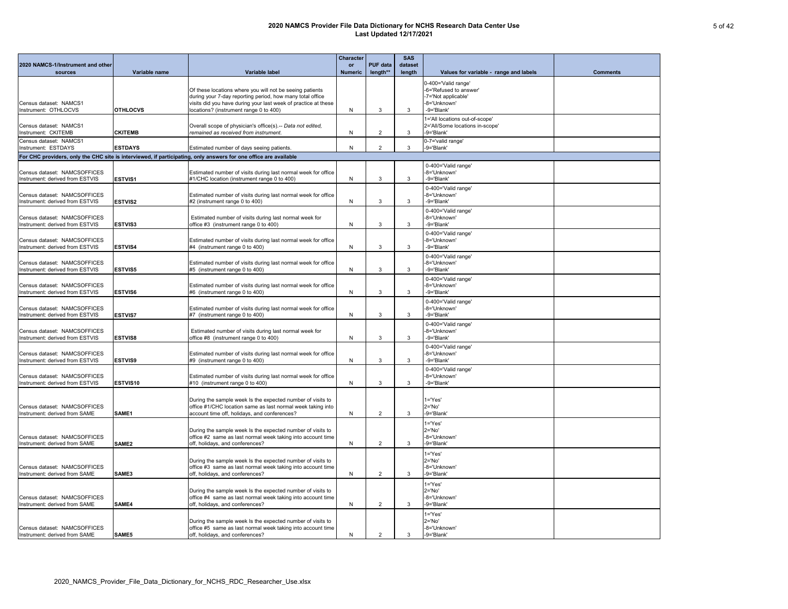|                                                                 |                                                                                                                  |                                                                                                                           | <b>Character</b>     |                             | <b>SAS</b>        |                                               |                 |  |  |  |  |
|-----------------------------------------------------------------|------------------------------------------------------------------------------------------------------------------|---------------------------------------------------------------------------------------------------------------------------|----------------------|-----------------------------|-------------------|-----------------------------------------------|-----------------|--|--|--|--|
| 2020 NAMCS-1/Instrument and other<br>sources                    | Variable name                                                                                                    | <b>Variable label</b>                                                                                                     | or<br><b>Numeric</b> | <b>PUF data</b><br>length** | dataset<br>length | Values for variable - range and labels        | <b>Comments</b> |  |  |  |  |
|                                                                 |                                                                                                                  |                                                                                                                           |                      |                             |                   |                                               |                 |  |  |  |  |
|                                                                 |                                                                                                                  | Of these locations where you will not be seeing patients                                                                  |                      |                             |                   | 0-400='Valid range'<br>-6='Refused to answer' |                 |  |  |  |  |
|                                                                 |                                                                                                                  | during your 7-day reporting period, how many total office                                                                 |                      |                             |                   | -7='Not applicable'                           |                 |  |  |  |  |
| Census dataset: NAMCS1<br>Instrument: OTHLOCVS                  | <b>OTHLOCVS</b>                                                                                                  | visits did you have during your last week of practice at these<br>locations? (instrument range 0 to 400)                  | N                    | 3                           | 3                 | -8='Unknown'<br>-9='Blank'                    |                 |  |  |  |  |
|                                                                 |                                                                                                                  |                                                                                                                           |                      |                             |                   | 1='All locations out-of-scope'                |                 |  |  |  |  |
| Census dataset: NAMCS1                                          |                                                                                                                  | Overall scope of physician's office(s) -- Data not edited,                                                                |                      |                             |                   | 2='All/Some locations in-scope'               |                 |  |  |  |  |
| Instrument: CKITEMB                                             | <b>CKITEMB</b>                                                                                                   | remained as received from instrument.                                                                                     | N                    | $\overline{2}$              | 3                 | -9='Blank'                                    |                 |  |  |  |  |
| Census dataset: NAMCS1<br>Instrument: ESTDAYS                   | <b>ESTDAYS</b>                                                                                                   | Estimated number of days seeing patients.                                                                                 | N                    | $\overline{2}$              | 3                 | 0-7='valid range'<br>-9='Blank'               |                 |  |  |  |  |
|                                                                 | For CHC providers, only the CHC site is interviewed, if participating, only answers for one office are available |                                                                                                                           |                      |                             |                   |                                               |                 |  |  |  |  |
|                                                                 |                                                                                                                  |                                                                                                                           |                      |                             |                   | 0-400='Valid range'                           |                 |  |  |  |  |
| Census dataset: NAMCSOFFICES                                    |                                                                                                                  | Estimated number of visits during last normal week for office                                                             |                      |                             |                   | -8='Unknown'                                  |                 |  |  |  |  |
| Instrument: derived from ESTVIS                                 | <b>ESTVIS1</b>                                                                                                   | #1/CHC location (instrument range 0 to 400)                                                                               | N                    | 3                           | 3                 | -9='Blank'                                    |                 |  |  |  |  |
| Census dataset: NAMCSOFFICES                                    |                                                                                                                  | Estimated number of visits during last normal week for office                                                             |                      |                             |                   | 0-400='Valid range'<br>-8='Unknown'           |                 |  |  |  |  |
| Instrument: derived from ESTVIS                                 | <b>ESTVIS2</b>                                                                                                   | #2 (instrument range 0 to 400)                                                                                            | N                    | 3                           | 3                 | -9='Blank'                                    |                 |  |  |  |  |
|                                                                 |                                                                                                                  |                                                                                                                           |                      |                             |                   | 0-400='Valid range'                           |                 |  |  |  |  |
| Census dataset: NAMCSOFFICES                                    |                                                                                                                  | Estimated number of visits during last normal week for                                                                    |                      |                             |                   | -8='Unknown'                                  |                 |  |  |  |  |
| Instrument: derived from ESTVIS                                 | <b>ESTVIS3</b>                                                                                                   | office #3 (instrument range 0 to 400)                                                                                     | N                    | 3                           | 3                 | -9='Blank'                                    |                 |  |  |  |  |
| Census dataset: NAMCSOFFICES                                    |                                                                                                                  | Estimated number of visits during last normal week for office                                                             |                      |                             |                   | 0-400='Valid range'<br>-8='Unknown'           |                 |  |  |  |  |
| Instrument: derived from ESTVIS                                 | <b>ESTVIS4</b>                                                                                                   | #4 (instrument range 0 to 400)                                                                                            | N                    | 3                           | 3                 | -9='Blank'                                    |                 |  |  |  |  |
|                                                                 |                                                                                                                  |                                                                                                                           |                      |                             |                   | 0-400='Valid range'                           |                 |  |  |  |  |
| Census dataset: NAMCSOFFICES                                    |                                                                                                                  | Estimated number of visits during last normal week for office                                                             |                      |                             |                   | -8='Unknown'                                  |                 |  |  |  |  |
| Instrument: derived from ESTVIS                                 | <b>ESTVIS5</b>                                                                                                   | #5 (instrument range 0 to 400)                                                                                            | N                    | 3                           | 3                 | -9='Blank'                                    |                 |  |  |  |  |
| Census dataset: NAMCSOFFICES                                    |                                                                                                                  | Estimated number of visits during last normal week for office                                                             |                      |                             |                   | 0-400='Valid range'<br>-8='Unknown'           |                 |  |  |  |  |
| Instrument: derived from ESTVIS                                 | <b>ESTVIS6</b>                                                                                                   | #6 (instrument range 0 to 400)                                                                                            | N                    | 3                           | 3                 | -9='Blank'                                    |                 |  |  |  |  |
|                                                                 |                                                                                                                  |                                                                                                                           |                      |                             |                   | 0-400='Valid range'                           |                 |  |  |  |  |
| Census dataset: NAMCSOFFICES                                    |                                                                                                                  | Estimated number of visits during last normal week for office                                                             |                      |                             | 3                 | -8='Unknown'                                  |                 |  |  |  |  |
| Instrument: derived from ESTVIS                                 | <b>ESTVIS7</b>                                                                                                   | #7 (instrument range 0 to 400)                                                                                            | N                    | 3                           |                   | -9='Blank'<br>0-400='Valid range'             |                 |  |  |  |  |
| Census dataset: NAMCSOFFICES                                    |                                                                                                                  | Estimated number of visits during last normal week for                                                                    |                      |                             |                   | -8='Unknown'                                  |                 |  |  |  |  |
| Instrument: derived from ESTVIS                                 | <b>ESTVIS8</b>                                                                                                   | office #8 (instrument range 0 to 400)                                                                                     | N                    | 3                           | 3                 | -9='Blank'                                    |                 |  |  |  |  |
|                                                                 |                                                                                                                  |                                                                                                                           |                      |                             |                   | 0-400='Valid range'                           |                 |  |  |  |  |
| Census dataset: NAMCSOFFICES<br>Instrument: derived from ESTVIS | <b>ESTVIS9</b>                                                                                                   | Estimated number of visits during last normal week for office<br>$#9$ (instrument range 0 to 400)                         | N                    | 3                           | 3                 | -8='Unknown'<br>-9='Blank'                    |                 |  |  |  |  |
|                                                                 |                                                                                                                  |                                                                                                                           |                      |                             |                   | 0-400='Valid range'                           |                 |  |  |  |  |
| Census dataset: NAMCSOFFICES                                    |                                                                                                                  | Estimated number of visits during last normal week for office                                                             |                      |                             |                   | -8='Unknown'                                  |                 |  |  |  |  |
| Instrument: derived from ESTVIS                                 | <b>ESTVIS10</b>                                                                                                  | #10 (instrument range 0 to 400)                                                                                           | N                    | 3                           | 3                 | -9='Blank'                                    |                 |  |  |  |  |
|                                                                 |                                                                                                                  |                                                                                                                           |                      |                             |                   |                                               |                 |  |  |  |  |
| Census dataset: NAMCSOFFICES                                    |                                                                                                                  | During the sample week Is the expected number of visits to<br>office #1/CHC location same as last normal week taking into |                      |                             |                   | $1 = 'Yes'$<br>$2 = 'No'$                     |                 |  |  |  |  |
| Instrument: derived from SAME                                   | SAME1                                                                                                            | account time off, holidays, and conferences?                                                                              | N                    | $\overline{2}$              | 3                 | -9='Blank'                                    |                 |  |  |  |  |
|                                                                 |                                                                                                                  |                                                                                                                           |                      |                             |                   | $1 = 'Yes'$                                   |                 |  |  |  |  |
|                                                                 |                                                                                                                  | During the sample week Is the expected number of visits to                                                                |                      |                             |                   | $2 = 'No'$                                    |                 |  |  |  |  |
| Census dataset: NAMCSOFFICES<br>Instrument: derived from SAME   | SAME <sub>2</sub>                                                                                                | office #2 same as last normal week taking into account time<br>off, holidays, and conferences?                            | N                    | $\overline{2}$              | 3                 | -8='Unknown'<br>-9='Blank'                    |                 |  |  |  |  |
|                                                                 |                                                                                                                  |                                                                                                                           |                      |                             |                   | $1 = 'Yes'$                                   |                 |  |  |  |  |
|                                                                 |                                                                                                                  | During the sample week Is the expected number of visits to                                                                |                      |                             |                   | $2 = 'No'$                                    |                 |  |  |  |  |
| Census dataset: NAMCSOFFICES                                    |                                                                                                                  | office #3 same as last normal week taking into account time                                                               |                      |                             |                   | -8='Unknown'                                  |                 |  |  |  |  |
| Instrument: derived from SAME                                   | SAME3                                                                                                            | off, holidays, and conferences?                                                                                           | N                    | $\overline{2}$              | 3                 | -9='Blank'                                    |                 |  |  |  |  |
|                                                                 |                                                                                                                  | During the sample week Is the expected number of visits to                                                                |                      |                             |                   | $1 = 'Yes'$<br>$2 = 'No'$                     |                 |  |  |  |  |
| Census dataset: NAMCSOFFICES                                    |                                                                                                                  | office #4 same as last normal week taking into account time                                                               |                      |                             |                   | -8='Unknown'                                  |                 |  |  |  |  |
| Instrument: derived from SAME                                   | <b>SAME4</b>                                                                                                     | off, holidays, and conferences?                                                                                           | N                    | $\overline{2}$              | 3                 | -9='Blank'                                    |                 |  |  |  |  |
|                                                                 |                                                                                                                  |                                                                                                                           |                      |                             |                   | $1 = 'Yes'$                                   |                 |  |  |  |  |
| Census dataset: NAMCSOFFICES                                    |                                                                                                                  | During the sample week Is the expected number of visits to<br>office #5 same as last normal week taking into account time |                      |                             |                   | $2 = 'No'$<br>-8='Unknown'                    |                 |  |  |  |  |
| Instrument: derived from SAME                                   | <b>SAME5</b>                                                                                                     | off, holidays, and conferences?                                                                                           | N                    | $\overline{2}$              | 3                 | -9='Blank'                                    |                 |  |  |  |  |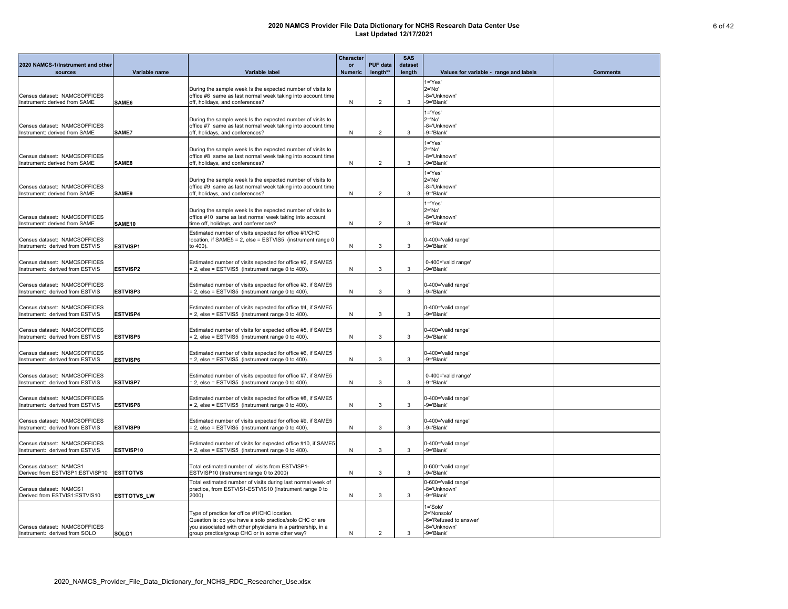| 2020 NAMCS-1/Instrument and other                               |                    |                                                                                                                           | <b>Character</b><br>or | <b>PUF data</b> | <b>SAS</b><br>dataset |                                        |                 |
|-----------------------------------------------------------------|--------------------|---------------------------------------------------------------------------------------------------------------------------|------------------------|-----------------|-----------------------|----------------------------------------|-----------------|
| sources                                                         | Variable name      | Variable label                                                                                                            | <b>Numeric</b>         | length**        | length                | Values for variable - range and labels | <b>Comments</b> |
|                                                                 |                    |                                                                                                                           |                        |                 |                       | $1 = 'Yes'$                            |                 |
| Census dataset: NAMCSOFFICES                                    |                    | During the sample week Is the expected number of visits to<br>office #6 same as last normal week taking into account time |                        |                 |                       | $2 = 'No'$<br>-8='Unknown'             |                 |
| Instrument: derived from SAME                                   | <b>SAME6</b>       | off, holidays, and conferences?                                                                                           | N                      | $\overline{2}$  | 3                     | -9='Blank                              |                 |
|                                                                 |                    |                                                                                                                           |                        |                 |                       | $1 = 'Yes'$                            |                 |
| Census dataset: NAMCSOFFICES                                    |                    | During the sample week Is the expected number of visits to<br>office #7 same as last normal week taking into account time |                        |                 |                       | $2 = 'No'$<br>-8='Unknown'             |                 |
| Instrument: derived from SAME                                   | <b>SAME7</b>       | off, holidays, and conferences?                                                                                           | N                      | 2               | 3                     | -9='Blank'                             |                 |
|                                                                 |                    |                                                                                                                           |                        |                 |                       | $1 = 'Yes'$                            |                 |
| Census dataset: NAMCSOFFICES                                    |                    | During the sample week Is the expected number of visits to<br>office #8 same as last normal week taking into account time |                        |                 |                       | $2 = 'No'$<br>-8='Unknown'             |                 |
| Instrument: derived from SAME                                   | <b>SAME8</b>       | off, holidays, and conferences?                                                                                           | N                      | 2               | 3                     | -9='Blank'                             |                 |
|                                                                 |                    |                                                                                                                           |                        |                 |                       | $1 = 'Yes'$                            |                 |
| Census dataset: NAMCSOFFICES                                    |                    | During the sample week Is the expected number of visits to<br>office #9 same as last normal week taking into account time |                        |                 |                       | $2 = 'No'$<br>-8='Unknown'             |                 |
| Instrument: derived from SAME                                   | <b>SAME9</b>       | off, holidays, and conferences?                                                                                           | N                      | $\overline{2}$  | 3                     | -9='Blank'                             |                 |
|                                                                 |                    |                                                                                                                           |                        |                 |                       | $1 = 'Yes'$                            |                 |
| Census dataset: NAMCSOFFICES                                    |                    | During the sample week Is the expected number of visits to<br>office #10 same as last normal week taking into account     |                        |                 |                       | $2 = 'No'$<br>-8='Unknown'             |                 |
| Instrument: derived from SAME                                   | SAME <sub>10</sub> | time off, holidays, and conferences?                                                                                      | N                      | $\overline{2}$  | 3                     | -9='Blank'                             |                 |
| Census dataset: NAMCSOFFICES                                    |                    | Estimated number of visits expected for office #1/CHC<br>location, if SAME5 = 2, else = ESTVIS5 (instrument range 0       |                        |                 |                       | 0-400='valid range'                    |                 |
| Instrument: derived from ESTVIS                                 | <b>IESTVISP1</b>   | to 400).                                                                                                                  | N                      | 3               | 3                     | -9='Blank'                             |                 |
|                                                                 |                    |                                                                                                                           |                        |                 |                       |                                        |                 |
| Census dataset: NAMCSOFFICES<br>Instrument: derived from ESTVIS | <b>ESTVISP2</b>    | Estimated number of visits expected for office #2, if SAME5<br>$= 2$ , else = ESTVIS5 (instrument range 0 to 400).        | N                      | 3               | 3                     | 0-400='valid range'<br>-9='Blank'      |                 |
|                                                                 |                    |                                                                                                                           |                        |                 |                       |                                        |                 |
| Census dataset: NAMCSOFFICES                                    |                    | Estimated number of visits expected for office #3, if SAME5                                                               |                        |                 |                       | 0-400='valid range'                    |                 |
| Instrument: derived from ESTVIS                                 | <b>ESTVISP3</b>    | $= 2$ , else = ESTVIS5 (instrument range 0 to 400).                                                                       | N                      | 3               | 3                     | -9='Blank'                             |                 |
| Census dataset: NAMCSOFFICES                                    |                    | Estimated number of visits expected for office #4, if SAME5                                                               |                        |                 |                       | 0-400='valid range'                    |                 |
| Instrument: derived from ESTVIS                                 | <b>ESTVISP4</b>    | = 2, else = ESTVIS5 (instrument range 0 to 400).                                                                          | N                      | 3               | 3                     | -9='Blank'                             |                 |
| Census dataset: NAMCSOFFICES                                    |                    | Estimated number of visits for expected office #5, if SAME5                                                               |                        |                 |                       | 0-400='valid range'                    |                 |
| Instrument: derived from ESTVIS                                 | <b>ESTVISP5</b>    | $= 2$ , else = ESTVIS5 (instrument range 0 to 400).                                                                       | N                      | 3               | 3                     | -9='Blank'                             |                 |
|                                                                 |                    | Estimated number of visits expected for office #6, if SAME5                                                               |                        |                 |                       |                                        |                 |
| Census dataset: NAMCSOFFICES<br>Instrument: derived from ESTVIS | <b>ESTVISP6</b>    | $= 2$ , else = ESTVIS5 (instrument range 0 to 400).                                                                       | N                      | 3               | 3                     | 0-400='valid range'<br>-9='Blank'      |                 |
|                                                                 |                    |                                                                                                                           |                        |                 |                       |                                        |                 |
| Census dataset: NAMCSOFFICES<br>Instrument: derived from ESTVIS | <b>ESTVISP7</b>    | Estimated number of visits expected for office #7, if SAME5<br>$= 2$ , else = ESTVIS5 (instrument range 0 to 400).        | N                      | 3               | 3                     | 0-400='valid range'<br>-9='Blank'      |                 |
|                                                                 |                    |                                                                                                                           |                        |                 |                       |                                        |                 |
| Census dataset: NAMCSOFFICES                                    |                    | Estimated number of visits expected for office #8, if SAME5                                                               |                        |                 |                       | 0-400='valid range'<br>-9='Blank'      |                 |
| Instrument: derived from ESTVIS                                 | <b>ESTVISP8</b>    | $= 2$ , else = ESTVIS5 (instrument range 0 to 400).                                                                       | N                      | 3               | 3                     |                                        |                 |
| Census dataset: NAMCSOFFICES                                    |                    | Estimated number of visits expected for office #9, if SAME5                                                               |                        |                 |                       | 0-400='valid range'                    |                 |
| Instrument: derived from ESTVIS                                 | <b>ESTVISP9</b>    | $= 2$ , else = ESTVIS5 (instrument range 0 to 400).                                                                       | N                      | 3               | 3                     | -9='Blank'                             |                 |
| Census dataset: NAMCSOFFICES                                    |                    | Estimated number of visits for expected office #10, if SAME5                                                              |                        |                 |                       | 0-400='valid range'                    |                 |
| Instrument: derived from ESTVIS                                 | <b>ESTVISP10</b>   | = 2, else = ESTVIS5 (instrument range 0 to 400).                                                                          | N                      | 3               | 3                     | -9='Blank'                             |                 |
| Census dataset: NAMCS1                                          |                    | Total estimated number of visits from ESTVISP1-                                                                           |                        |                 |                       | 0-600='valid range'                    |                 |
| Derived from ESTVISP1:ESTVISP10                                 | <b>ESTTOTVS</b>    | ESTVISP10 (Instrument range 0 to 2000)                                                                                    | N                      | 3               | 3                     | -9='Blank'                             |                 |
|                                                                 |                    | Total estimated number of visits during last normal week of                                                               |                        |                 |                       | 0-600='valid range'                    |                 |
| Census dataset: NAMCS1<br>Derived from ESTVIS1:ESTVIS10         | <b>ESTTOTVS LW</b> | practice, from ESTVIS1-ESTVIS10 (Instrument range 0 to<br>2000)                                                           | N                      | 3               | 3                     | -8='Unknown'<br>-9='Blank'             |                 |
|                                                                 |                    |                                                                                                                           |                        |                 |                       | 1='Solo'                               |                 |
|                                                                 |                    | Type of practice for office #1/CHC location.                                                                              |                        |                 |                       | 2='Nonsolo'                            |                 |
| Census dataset: NAMCSOFFICES                                    |                    | Question is: do you have a solo practice/solo CHC or are<br>you associated with other physicians in a partnership, in a   |                        |                 |                       | -6='Refused to answer'<br>-8='Unknown' |                 |
| Instrument: derived from SOLO                                   | SOLO <sub>1</sub>  | group practice/group CHC or in some other way?                                                                            | N                      | $\overline{2}$  | 3                     | -9='Blank'                             |                 |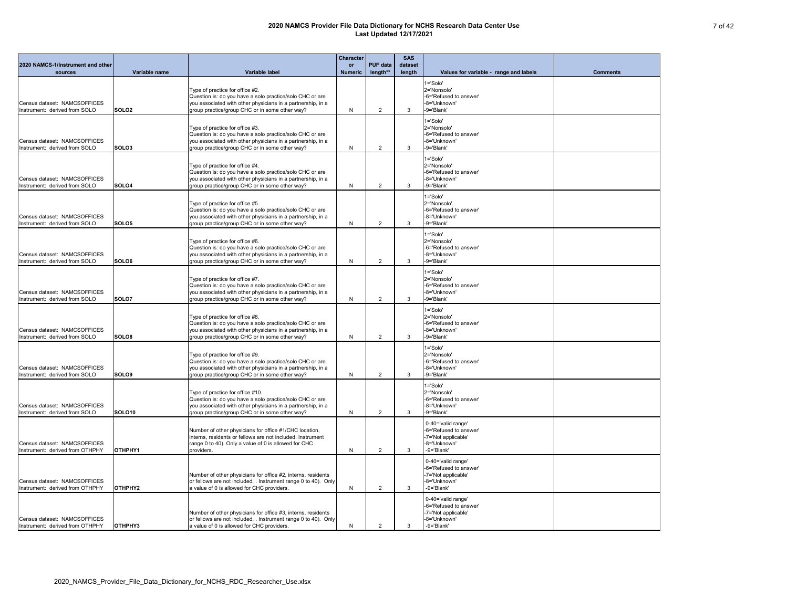|                                                                 |                    |                                                                                                                                                                                                               | <b>Character</b>            | <b>PUF data</b> | <b>SAS</b>        |                                                                                                   |                 |
|-----------------------------------------------------------------|--------------------|---------------------------------------------------------------------------------------------------------------------------------------------------------------------------------------------------------------|-----------------------------|-----------------|-------------------|---------------------------------------------------------------------------------------------------|-----------------|
| 2020 NAMCS-1/Instrument and other<br>sources                    | Variable name      | Variable label                                                                                                                                                                                                | <b>or</b><br><b>Numeric</b> | length**        | dataset<br>length | Values for variable - range and labels                                                            | <b>Comments</b> |
| Census dataset: NAMCSOFFICES<br>Instrument: derived from SOLO   | SOLO <sub>2</sub>  | Type of practice for office #2.<br>Question is: do you have a solo practice/solo CHC or are<br>you associated with other physicians in a partnership, in a<br>group practice/group CHC or in some other way?  | N                           | $\overline{2}$  | 3                 | $1 = 'Solo'$<br>2='Nonsolo'<br>-6='Refused to answer'<br>-8='Unknown'<br>-9='Blank'               |                 |
| Census dataset: NAMCSOFFICES<br>Instrument: derived from SOLO   | SOLO <sub>3</sub>  | Type of practice for office #3.<br>Question is: do you have a solo practice/solo CHC or are<br>you associated with other physicians in a partnership, in a<br>group practice/group CHC or in some other way?  | N                           | 2               | 3                 | $1 = 'Solo'$<br>2='Nonsolo'<br>-6='Refused to answer'<br>-8='Unknown'<br>-9='Blank'               |                 |
| Census dataset: NAMCSOFFICES<br>Instrument: derived from SOLO   | SOLO4              | Type of practice for office #4.<br>Question is: do you have a solo practice/solo CHC or are<br>you associated with other physicians in a partnership, in a<br>group practice/group CHC or in some other way?  | N                           | $\overline{2}$  | 3                 | $1 = 'Solo'$<br>2='Nonsolo'<br>-6='Refused to answer'<br>-8='Unknown'<br>-9='Blank'               |                 |
| Census dataset: NAMCSOFFICES<br>Instrument: derived from SOLO   | SOLO5              | Type of practice for office #5.<br>Question is: do you have a solo practice/solo CHC or are<br>you associated with other physicians in a partnership, in a<br>group practice/group CHC or in some other way?  | N                           | $\overline{2}$  | 3                 | $1 = 'Solo'$<br>2='Nonsolo'<br>-6='Refused to answer'<br>-8='Unknown'<br>-9='Blank'               |                 |
| Census dataset: NAMCSOFFICES<br>Instrument: derived from SOLO   | SOLO6              | Type of practice for office #6.<br>Question is: do you have a solo practice/solo CHC or are<br>you associated with other physicians in a partnership, in a<br>group practice/group CHC or in some other way?  | N                           | $\overline{2}$  | 3                 | 1='Solo'<br>2='Nonsolo'<br>-6='Refused to answer'<br>-8='Unknown'<br>-9='Blank'                   |                 |
| Census dataset: NAMCSOFFICES<br>Instrument: derived from SOLO   | SOLO7              | Type of practice for office #7.<br>Question is: do you have a solo practice/solo CHC or are<br>you associated with other physicians in a partnership, in a<br>group practice/group CHC or in some other way?  | N                           | $\overline{2}$  | 3                 | $1 = 'Solo'$<br>2='Nonsolo'<br>-6='Refused to answer'<br>-8='Unknown'<br>-9='Blank'               |                 |
| Census dataset: NAMCSOFFICES<br>Instrument: derived from SOLO   | SOLO <sub>8</sub>  | Type of practice for office #8.<br>Question is: do you have a solo practice/solo CHC or are<br>you associated with other physicians in a partnership, in a<br>group practice/group CHC or in some other way?  | N                           | $\overline{2}$  | 3                 | $1 = 'Solo'$<br>2='Nonsolo'<br>-6='Refused to answer'<br>-8='Unknown'<br>-9='Blank'               |                 |
| Census dataset: NAMCSOFFICES<br>Instrument: derived from SOLO   | SOLO <sub>9</sub>  | Type of practice for office #9.<br>Question is: do you have a solo practice/solo CHC or are<br>you associated with other physicians in a partnership, in a<br>group practice/group CHC or in some other way?  | N                           | 2               | 3                 | 1='Solo'<br>2='Nonsolo'<br>-6='Refused to answer'<br>-8='Unknown'<br>-9='Blank'                   |                 |
| Census dataset: NAMCSOFFICES<br>Instrument: derived from SOLO   | SOLO <sub>10</sub> | Type of practice for office #10.<br>Question is: do you have a solo practice/solo CHC or are<br>you associated with other physicians in a partnership, in a<br>group practice/group CHC or in some other way? | N                           | $\overline{2}$  | 3                 | $1 = 'Solo'$<br>2='Nonsolo'<br>-6='Refused to answer'<br>-8='Unknown'<br>-9='Blank'               |                 |
| Census dataset: NAMCSOFFICES<br>Instrument: derived from OTHPHY | OTHPHY1            | Number of other physicians for office #1/CHC location,<br>interns, residents or fellows are not included. Instrument<br>range 0 to 40). Only a value of 0 is allowed for CHC<br>providers.                    | N                           | $\overline{2}$  | 3                 | 0-40='valid range'<br>-6='Refused to answer'<br>-7='Not applicable'<br>-8='Unknown'<br>-9='Blank' |                 |
| Census dataset: NAMCSOFFICES<br>Instrument: derived from OTHPHY | OTHPHY2            | Number of other physicians for office #2, interns, residents<br>or fellows are not included. . Instrument range 0 to 40). Only<br>a value of 0 is allowed for CHC providers.                                  | N                           | $\overline{2}$  | 3                 | 0-40='valid range'<br>-6='Refused to answer'<br>-7='Not applicable'<br>-8='Unknown'<br>-9='Blank' |                 |
| Census dataset: NAMCSOFFICES<br>Instrument: derived from OTHPHY | OTHPHY3            | Number of other physicians for office #3, interns, residents<br>or fellows are not included. . Instrument range 0 to 40). Only<br>a value of 0 is allowed for CHC providers.                                  | N                           | $\overline{2}$  | 3                 | 0-40='valid range'<br>-6='Refused to answer'<br>-7='Not applicable'<br>-8='Unknown'<br>-9='Blank' |                 |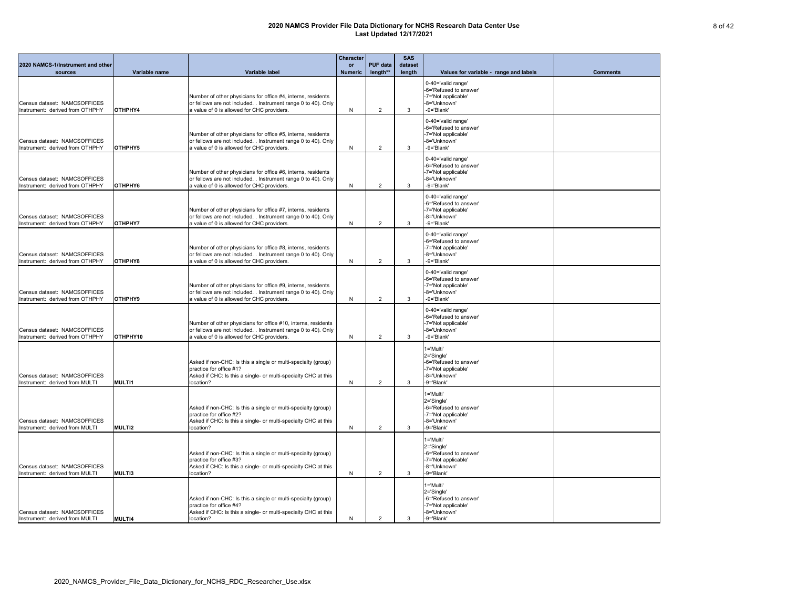| 2020 NAMCS-1/Instrument and other                               |                |                                                                                                                                                                               | <b>Character</b><br>or | <b>PUF data</b> | <b>SAS</b><br>dataset |                                                                                                            |                 |
|-----------------------------------------------------------------|----------------|-------------------------------------------------------------------------------------------------------------------------------------------------------------------------------|------------------------|-----------------|-----------------------|------------------------------------------------------------------------------------------------------------|-----------------|
| sources                                                         | Variable name  | <b>Variable label</b>                                                                                                                                                         | <b>Numeric</b>         | length**        | length                | Values for variable - range and labels                                                                     | <b>Comments</b> |
| Census dataset: NAMCSOFFICES<br>Instrument: derived from OTHPHY | OTHPHY4        | Number of other physicians for office #4, interns, residents<br>or fellows are not included. . Instrument range 0 to 40). Only<br>a value of 0 is allowed for CHC providers.  | ${\sf N}$              | $\overline{2}$  | 3                     | 0-40='valid range'<br>-6='Refused to answer'<br>-7='Not applicable'<br>-8='Unknown'<br>-9='Blank'          |                 |
| Census dataset: NAMCSOFFICES<br>Instrument: derived from OTHPHY | OTHPHY5        | Number of other physicians for office #5, interns, residents<br>or fellows are not included. . Instrument range 0 to 40). Only<br>a value of 0 is allowed for CHC providers.  | N                      | $\overline{2}$  | 3                     | 0-40='valid range'<br>-6='Refused to answer'<br>-7='Not applicable'<br>-8='Unknown'<br>-9='Blank'          |                 |
| Census dataset: NAMCSOFFICES<br>Instrument: derived from OTHPHY | OTHPHY6        | Number of other physicians for office #6, interns, residents<br>or fellows are not included. . Instrument range 0 to 40). Only<br>a value of 0 is allowed for CHC providers.  | N                      | $\overline{2}$  | 3                     | 0-40='valid range'<br>-6='Refused to answer'<br>-7='Not applicable'<br>-8='Unknown'<br>-9='Blank'          |                 |
| Census dataset: NAMCSOFFICES<br>Instrument: derived from OTHPHY | <b>ОТНРНҮ7</b> | Number of other physicians for office #7, interns, residents<br>or fellows are not included. . Instrument range 0 to 40). Only<br>a value of 0 is allowed for CHC providers.  | N                      | $\overline{2}$  | 3                     | 0-40='valid range'<br>-6='Refused to answer'<br>-7='Not applicable'<br>-8='Unknown'<br>-9='Blank'          |                 |
| Census dataset: NAMCSOFFICES<br>Instrument: derived from OTHPHY | <b>ОТНРНҮ8</b> | Number of other physicians for office #8, interns, residents<br>or fellows are not included. . Instrument range 0 to 40). Only<br>a value of 0 is allowed for CHC providers.  | N                      | $\overline{2}$  | 3                     | 0-40='valid range'<br>-6='Refused to answer'<br>-7='Not applicable'<br>-8='Unknown'<br>-9='Blank'          |                 |
| Census dataset: NAMCSOFFICES<br>Instrument: derived from OTHPHY | <b>ОТНРНҮ9</b> | Number of other physicians for office #9, interns, residents<br>or fellows are not included. . Instrument range 0 to 40). Only<br>a value of 0 is allowed for CHC providers.  | N                      | 2               | 3                     | 0-40='valid range'<br>-6='Refused to answer'<br>-7='Not applicable'<br>-8='Unknown'<br>-9='Blank'          |                 |
| Census dataset: NAMCSOFFICES<br>Instrument: derived from OTHPHY | OTHPHY10       | Number of other physicians for office #10, interns, residents<br>or fellows are not included. . Instrument range 0 to 40). Only<br>a value of 0 is allowed for CHC providers. | N                      | $\overline{2}$  | 3                     | 0-40='valid range'<br>-6='Refused to answer'<br>-7='Not applicable'<br>-8='Unknown'<br>-9='Blank'          |                 |
| Census dataset: NAMCSOFFICES<br>Instrument: derived from MULTI  | <b>MULTI1</b>  | Asked if non-CHC: Is this a single or multi-specialty (group)<br>practice for office #1?<br>Asked if CHC: Is this a single- or multi-specialty CHC at this<br>location?       | N                      | $\overline{2}$  | 3                     | 1='Multi'<br>2='Single'<br>-6='Refused to answer'<br>-7='Not applicable'<br>-8='Unknown'<br>-9='Blank'     |                 |
| Census dataset: NAMCSOFFICES<br>Instrument: derived from MULTI  | <b>MULTI2</b>  | Asked if non-CHC: Is this a single or multi-specialty (group)<br>practice for office #2?<br>Asked if CHC: Is this a single- or multi-specialty CHC at this<br>location?       | N                      | $\overline{2}$  | 3                     | 1='Multi'<br>2='Single'<br>-6='Refused to answer'<br>-7='Not applicable'<br>-8='Unknown'<br>-9='Blank'     |                 |
| Census dataset: NAMCSOFFICES<br>Instrument: derived from MULTI  | <b>MULTI3</b>  | Asked if non-CHC: Is this a single or multi-specialty (group)<br>practice for office #3?<br>Asked if CHC: Is this a single- or multi-specialty CHC at this<br>location?       | N                      | $\overline{2}$  | 3                     | 1='Multi'<br>2='Single'<br>-6='Refused to answer'<br>-7='Not applicable'<br>-8='Unknown'<br>-9='Blank'     |                 |
| Census dataset: NAMCSOFFICES<br>Instrument: derived from MULTI  | <b>MULTI4</b>  | Asked if non-CHC: Is this a single or multi-specialty (group)<br>practice for office #4?<br>Asked if CHC: Is this a single- or multi-specialty CHC at this<br>location?       | N                      | $\overline{2}$  | 3                     | $1 = 'Multi'$<br>2='Single'<br>-6='Refused to answer'<br>-7='Not applicable'<br>-8='Unknown'<br>-9='Blank' |                 |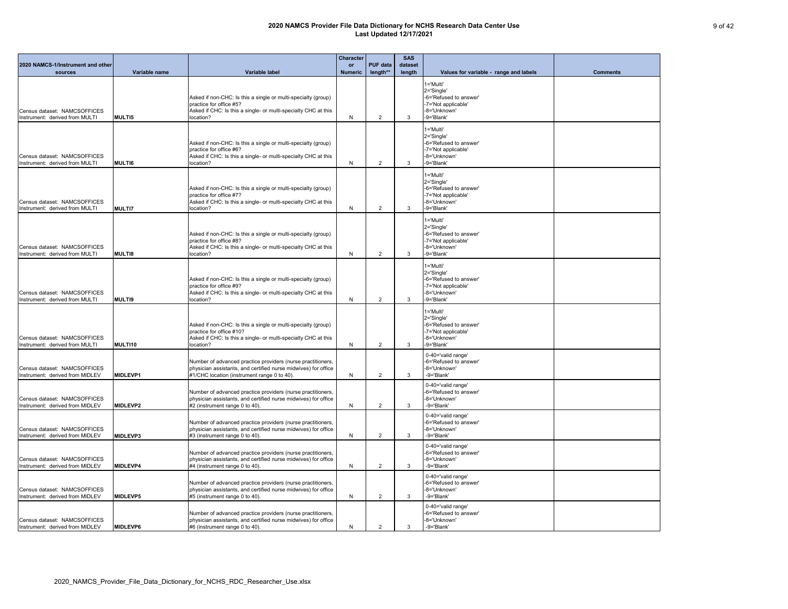| 2020 NAMCS-1/Instrument and other<br>sources                    | Variable name   | <b>Variable label</b>                                                                                                                                                        | <b>Character</b><br><b>or</b><br><b>Numeric</b> | <b>PUF data</b><br>length** | <b>SAS</b><br>dataset<br>length | Values for variable - range and labels                                                                     | <b>Comments</b> |
|-----------------------------------------------------------------|-----------------|------------------------------------------------------------------------------------------------------------------------------------------------------------------------------|-------------------------------------------------|-----------------------------|---------------------------------|------------------------------------------------------------------------------------------------------------|-----------------|
| Census dataset: NAMCSOFFICES<br>Instrument: derived from MULTI  | <b>MULTI5</b>   | Asked if non-CHC: Is this a single or multi-specialty (group)<br>practice for office #5?<br>Asked if CHC: Is this a single- or multi-specialty CHC at this<br>location?      | N                                               | $\overline{2}$              | 3                               | 1='Multi'<br>2='Single'<br>-6='Refused to answer'<br>-7='Not applicable'<br>-8='Unknown'<br>-9='Blank'     |                 |
| Census dataset: NAMCSOFFICES<br>Instrument: derived from MULTI  | <b>MULTI6</b>   | Asked if non-CHC: Is this a single or multi-specialty (group)<br>practice for office #6?<br>Asked if CHC: Is this a single- or multi-specialty CHC at this<br>location?      | N                                               | $\overline{2}$              | 3                               | $1 = 'Multi'$<br>2='Single'<br>-6='Refused to answer'<br>-7='Not applicable'<br>-8='Unknown'<br>-9='Blank' |                 |
| Census dataset: NAMCSOFFICES<br>Instrument: derived from MULTI  | <b>MULTI7</b>   | Asked if non-CHC: Is this a single or multi-specialty (group)<br>practice for office #7?<br>Asked if CHC: Is this a single- or multi-specialty CHC at this<br>location?      | N                                               | $\overline{2}$              | 3                               | 1='Multi'<br>2='Single'<br>-6='Refused to answer'<br>-7='Not applicable'<br>-8='Unknown'<br>-9='Blank'     |                 |
| Census dataset: NAMCSOFFICES<br>Instrument: derived from MULTI  | <b>MULTI8</b>   | Asked if non-CHC: Is this a single or multi-specialty (group)<br>practice for office #8?<br>Asked if CHC: Is this a single- or multi-specialty CHC at this<br>location?      | N                                               | $\overline{2}$              | 3                               | 1='Multi'<br>2='Single'<br>-6='Refused to answer'<br>-7='Not applicable'<br>-8='Unknown'<br>-9='Blank'     |                 |
| Census dataset: NAMCSOFFICES<br>Instrument: derived from MULTI  | <b>MULTI9</b>   | Asked if non-CHC: Is this a single or multi-specialty (group)<br>practice for office #9?<br>Asked if CHC: Is this a single- or multi-specialty CHC at this<br>location?      | N                                               | $\overline{2}$              | 3                               | 1='Multi'<br>2='Single'<br>-6='Refused to answer'<br>-7='Not applicable'<br>-8='Unknown'<br>-9='Blank'     |                 |
| Census dataset: NAMCSOFFICES<br>Instrument: derived from MULTI  | MULTI10         | Asked if non-CHC: Is this a single or multi-specialty (group)<br>practice for office #10?<br>Asked if CHC: Is this a single- or multi-specialty CHC at this<br>location?     | N                                               | $\overline{2}$              | 3                               | 1='Multi'<br>2='Single'<br>-6='Refused to answer'<br>-7='Not applicable'<br>-8='Unknown'<br>-9='Blank'     |                 |
| Census dataset: NAMCSOFFICES<br>Instrument: derived from MIDLEV | MIDLEVP1        | Number of advanced practice providers (nurse practitioners,<br>physician assistants, and certified nurse midwives) for office<br>#1/CHC location (instrument range 0 to 40). | N                                               | $\overline{2}$              | 3                               | 0-40='valid range'<br>-6='Refused to answer'<br>-8='Unknown'<br>-9='Blank'                                 |                 |
| Census dataset: NAMCSOFFICES<br>Instrument: derived from MIDLEV | <b>MIDLEVP2</b> | Number of advanced practice providers (nurse practitioners,<br>physician assistants, and certified nurse midwives) for office<br>#2 (instrument range 0 to 40).              | N                                               | $\overline{2}$              | 3                               | 0-40='valid range'<br>-6='Refused to answer'<br>-8='Unknown'<br>-9='Blank'                                 |                 |
| Census dataset: NAMCSOFFICES<br>Instrument: derived from MIDLEV | <b>MIDLEVP3</b> | Number of advanced practice providers (nurse practitioners,<br>physician assistants, and certified nurse midwives) for office<br>#3 (instrument range 0 to 40).              | N                                               | $\overline{2}$              | 3                               | 0-40='valid range'<br>-6='Refused to answer'<br>-8='Unknown'<br>-9='Blank'                                 |                 |
| Census dataset: NAMCSOFFICES<br>Instrument: derived from MIDLEV | MIDLEVP4        | Number of advanced practice providers (nurse practitioners,<br>physician assistants, and certified nurse midwives) for office<br>#4 (instrument range 0 to 40).              | N                                               | $\overline{2}$              | 3                               | 0-40='valid range'<br>-6='Refused to answer'<br>-8='Unknown'<br>-9='Blank'                                 |                 |
| Census dataset: NAMCSOFFICES<br>Instrument: derived from MIDLEV | <b>MIDLEVP5</b> | Number of advanced practice providers (nurse practitioners,<br>physician assistants, and certified nurse midwives) for office<br>#5 (instrument range 0 to 40).              | N                                               | $\overline{2}$              | 3                               | 0-40='valid range'<br>-6='Refused to answer'<br>-8='Unknown'<br>-9='Blank'                                 |                 |
| Census dataset: NAMCSOFFICES<br>Instrument: derived from MIDLEV | <b>MIDLEVP6</b> | Number of advanced practice providers (nurse practitioners,<br>physician assistants, and certified nurse midwives) for office<br>#6 (instrument range 0 to 40).              | N                                               | $\overline{2}$              | 3                               | 0-40='valid range'<br>-6='Refused to answer'<br>-8='Unknown'<br>-9='Blank'                                 |                 |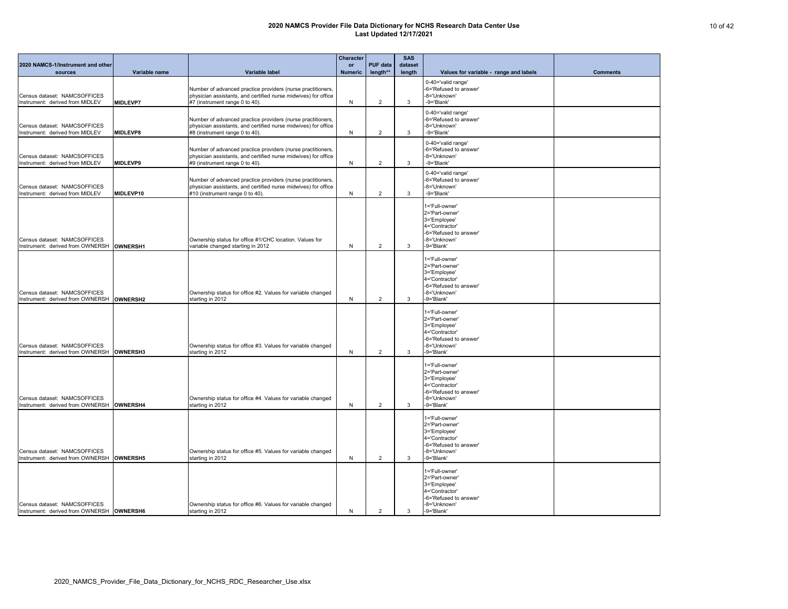|                                                                             |                 |                                                                                                                                                                  | <b>Character</b> |                 | <b>SAS</b> |                                                                                                                            |                 |
|-----------------------------------------------------------------------------|-----------------|------------------------------------------------------------------------------------------------------------------------------------------------------------------|------------------|-----------------|------------|----------------------------------------------------------------------------------------------------------------------------|-----------------|
| 2020 NAMCS-1/Instrument and other                                           |                 |                                                                                                                                                                  | <b>or</b>        | <b>PUF data</b> | dataset    |                                                                                                                            |                 |
| sources                                                                     | Variable name   | Variable label                                                                                                                                                   | <b>Numeric</b>   | length**        | length     | Values for variable - range and labels                                                                                     | <b>Comments</b> |
| Census dataset: NAMCSOFFICES<br>Instrument: derived from MIDLEV             | <b>MIDLEVP7</b> | Number of advanced practice providers (nurse practitioners,<br>physician assistants, and certified nurse midwives) for office<br>#7 (instrument range 0 to 40).  | N                | $\overline{2}$  | 3          | 0-40='valid range'<br>-6='Refused to answer'<br>-8='Unknown'<br>-9='Blank'                                                 |                 |
| Census dataset: NAMCSOFFICES<br>Instrument: derived from MIDLEV             | MIDLEVP8        | Number of advanced practice providers (nurse practitioners,<br>physician assistants, and certified nurse midwives) for office<br>#8 (instrument range 0 to 40).  | N                | $\overline{2}$  | 3          | 0-40='valid range'<br>-6='Refused to answer'<br>-8='Unknown'<br>-9='Blank'                                                 |                 |
| Census dataset: NAMCSOFFICES<br>Instrument: derived from MIDLEV             | <b>MIDLEVP9</b> | Number of advanced practice providers (nurse practitioners,<br>physician assistants, and certified nurse midwives) for office<br>#9 (instrument range 0 to 40).  | N                | 2               | 3          | 0-40='valid range'<br>-6='Refused to answer'<br>-8='Unknown'<br>-9='Blank'                                                 |                 |
| Census dataset: NAMCSOFFICES<br>Instrument: derived from MIDLEV             | MIDLEVP10       | Number of advanced practice providers (nurse practitioners,<br>physician assistants, and certified nurse midwives) for office<br>#10 (instrument range 0 to 40). | N                | $\overline{2}$  | 3          | 0-40='valid range'<br>-6='Refused to answer'<br>-8='Unknown'<br>-9='Blank'                                                 |                 |
| Census dataset: NAMCSOFFICES<br>Instrument: derived from OWNERSH   OWNERSH1 |                 | Ownership status for office #1/CHC location. Values for<br>variable changed starting in 2012                                                                     | N                | $\overline{2}$  | 3          | 1='Full-owner'<br>2='Part-owner'<br>3='Employee'<br>4='Contractor'<br>-6='Refused to answer'<br>-8='Unknown'<br>-9='Blank' |                 |
| Census dataset: NAMCSOFFICES<br>Instrument: derived from OWNERSH   OWNERSH2 |                 | Ownership status for office #2. Values for variable changed<br>starting in 2012                                                                                  | N                | $\overline{2}$  | 3          | 1='Full-owner'<br>2='Part-owner'<br>3='Employee'<br>4='Contractor'<br>-6='Refused to answer'<br>-8='Unknown'<br>-9='Blank' |                 |
| Census dataset: NAMCSOFFICES<br>Instrument: derived from OWNERSH   OWNERSH3 |                 | Ownership status for office #3. Values for variable changed<br>starting in 2012                                                                                  | N                | 2               | -3         | 1='Full-owner'<br>2='Part-owner'<br>3='Employee'<br>4='Contractor'<br>-6='Refused to answer'<br>-8='Unknown'<br>-9='Blank' |                 |
| Census dataset: NAMCSOFFICES<br>Instrument: derived from OWNERSH OWNERSH4   |                 | Ownership status for office #4. Values for variable changed<br>starting in 2012                                                                                  | N                | $\overline{2}$  | 3          | 1='Full-owner'<br>2='Part-owner'<br>3='Employee'<br>4='Contractor'<br>-6='Refused to answer'<br>-8='Unknown'<br>-9='Blank' |                 |
| Census dataset: NAMCSOFFICES<br>Instrument: derived from OWNERSH   OWNERSH5 |                 | Ownership status for office #5. Values for variable changed<br>starting in 2012                                                                                  | N                | $\overline{2}$  | 3          | 1='Full-owner'<br>2='Part-owner'<br>3='Employee'<br>4='Contractor'<br>-6='Refused to answer'<br>-8='Unknown'<br>-9='Blank' |                 |
| Census dataset: NAMCSOFFICES<br>Instrument: derived from OWNERSH OWNERSH6   |                 | Ownership status for office #6. Values for variable changed<br>starting in 2012                                                                                  | N                | $\overline{2}$  | 3          | 1='Full-owner'<br>2='Part-owner'<br>3='Employee'<br>4='Contractor'<br>-6='Refused to answer'<br>-8='Unknown'<br>-9='Blank' |                 |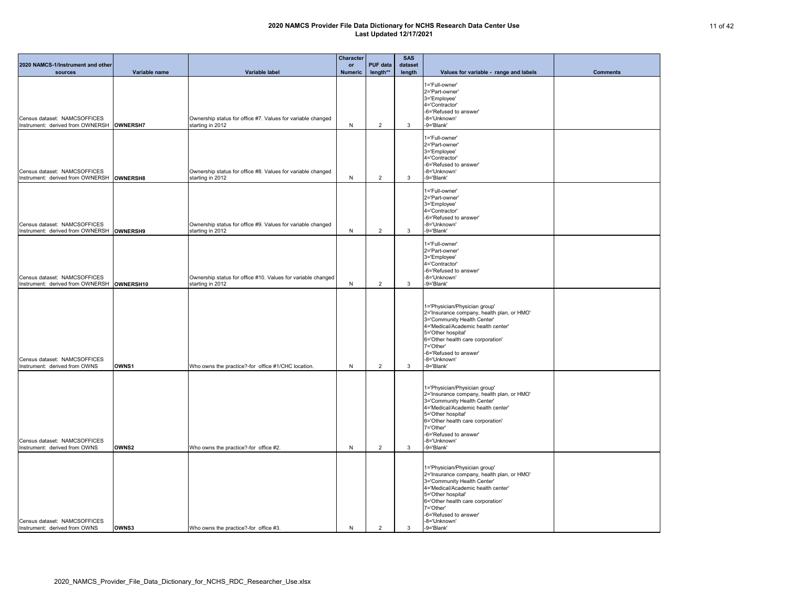| 2020 NAMCS-1/Instrument and other                                           |               |                                                                                  | <b>Character</b><br><b>or</b> | <b>PUF data</b> | <b>SAS</b><br>dataset |                                                                                                                                                                                                                                                                                  |                 |
|-----------------------------------------------------------------------------|---------------|----------------------------------------------------------------------------------|-------------------------------|-----------------|-----------------------|----------------------------------------------------------------------------------------------------------------------------------------------------------------------------------------------------------------------------------------------------------------------------------|-----------------|
| sources                                                                     | Variable name | Variable label                                                                   | <b>Numeric</b>                | length**        | length                | Values for variable - range and labels                                                                                                                                                                                                                                           | <b>Comments</b> |
| Census dataset: NAMCSOFFICES<br>Instrument: derived from OWNERSH   OWNERSH7 |               | Ownership status for office #7. Values for variable changed<br>starting in 2012  | N                             | $\overline{2}$  | 3                     | 1='Full-owner'<br>2='Part-owner'<br>3='Employee'<br>4='Contractor'<br>-6='Refused to answer'<br>-8='Unknown'<br>-9='Blank'                                                                                                                                                       |                 |
| Census dataset: NAMCSOFFICES<br>Instrument: derived from OWNERSH OWNERSH8   |               | Ownership status for office #8. Values for variable changed<br>starting in 2012  | $\mathsf{N}$                  | 2               | 3                     | 1='Full-owner'<br>2='Part-owner'<br>3='Employee'<br>4='Contractor'<br>-6='Refused to answer'<br>-8='Unknown'<br>-9='Blank'                                                                                                                                                       |                 |
| Census dataset: NAMCSOFFICES<br>Instrument: derived from OWNERSH OWNERSH9   |               | Ownership status for office #9. Values for variable changed<br>starting in 2012  | N                             | $\overline{2}$  | 3                     | 1='Full-owner'<br>2='Part-owner'<br>3='Employee'<br>4='Contractor'<br>-6='Refused to answer'<br>-8='Unknown'<br>-9='Blank'                                                                                                                                                       |                 |
| Census dataset: NAMCSOFFICES<br>Instrument: derived from OWNERSH            | OWNERSH10     | Ownership status for office #10. Values for variable changed<br>starting in 2012 | N                             | $\overline{2}$  | 3                     | 1='Full-owner'<br>2='Part-owner'<br>3='Employee'<br>4='Contractor'<br>-6='Refused to answer'<br>-8='Unknown'<br>-9='Blank'                                                                                                                                                       |                 |
| Census dataset: NAMCSOFFICES<br>Instrument: derived from OWNS               | OWNS1         | Who owns the practice?-for office #1/CHC location.                               | N                             | 2               | 3                     | 1='Physician/Physician group'<br>2='Insurance company, health plan, or HMO'<br>3='Community Health Center'<br>4='Medical/Academic health center'<br>5='Other hospital'<br>6='Other health care corporation'<br>7='Other'<br>-6='Refused to answer'<br>-8='Unknown'<br>-9='Blank' |                 |
| Census dataset: NAMCSOFFICES<br>Instrument: derived from OWNS               | <b>OWNS2</b>  | Who owns the practice?-for office #2.                                            | N                             | $\overline{2}$  | 3                     | 1='Physician/Physician group'<br>2='Insurance company, health plan, or HMO'<br>3='Community Health Center'<br>4='Medical/Academic health center'<br>5='Other hospital'<br>6='Other health care corporation'<br>7='Other'<br>-6='Refused to answer'<br>-8='Unknown'<br>-9='Blank' |                 |
| Census dataset: NAMCSOFFICES<br>Instrument: derived from OWNS               | OWNS3         | Who owns the practice?-for office #3.                                            | N                             | $\overline{2}$  | 3                     | 1='Physician/Physician group'<br>2='Insurance company, health plan, or HMO'<br>3='Community Health Center'<br>4='Medical/Academic health center'<br>5='Other hospital'<br>6='Other health care corporation'<br>7='Other'<br>-6='Refused to answer'<br>-8='Unknown'<br>-9='Blank' |                 |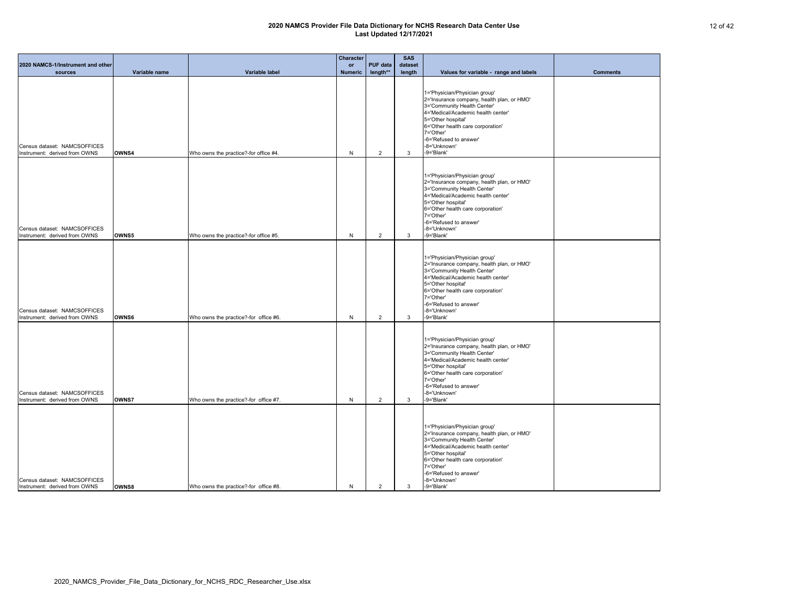|                                                               |               |                                       | <b>Character</b> |                 | <b>SAS</b> |                                                                                                                                                                                                                                                                                  |                 |
|---------------------------------------------------------------|---------------|---------------------------------------|------------------|-----------------|------------|----------------------------------------------------------------------------------------------------------------------------------------------------------------------------------------------------------------------------------------------------------------------------------|-----------------|
| 2020 NAMCS-1/Instrument and other                             |               |                                       | or               | <b>PUF data</b> | dataset    |                                                                                                                                                                                                                                                                                  |                 |
| sources                                                       | Variable name | Variable label                        | <b>Numeric</b>   | length**        | length     | Values for variable - range and labels                                                                                                                                                                                                                                           | <b>Comments</b> |
| Census dataset: NAMCSOFFICES<br>Instrument: derived from OWNS | OWNS4         | Who owns the practice?-for office #4. | N                | $\overline{2}$  | 3          | 1='Physician/Physician group'<br>2='Insurance company, health plan, or HMO'<br>3='Community Health Center'<br>4='Medical/Academic health center'<br>5='Other hospital'<br>6='Other health care corporation'<br>7='Other'<br>-6='Refused to answer'<br>-8='Unknown'<br>-9='Blank' |                 |
| Census dataset: NAMCSOFFICES<br>Instrument: derived from OWNS | OWNS5         | Who owns the practice?-for office #5. | N                | $\overline{2}$  | 3          | 1='Physician/Physician group'<br>2='Insurance company, health plan, or HMO'<br>3='Community Health Center'<br>4='Medical/Academic health center'<br>5='Other hospital'<br>6='Other health care corporation'<br>7='Other'<br>-6='Refused to answer'<br>-8='Unknown'<br>-9='Blank' |                 |
| Census dataset: NAMCSOFFICES<br>Instrument: derived from OWNS | OWNS6         | Who owns the practice?-for office #6. | N                | $\overline{2}$  | 3          | 1='Physician/Physician group'<br>2='Insurance company, health plan, or HMO'<br>3='Community Health Center'<br>4='Medical/Academic health center'<br>5='Other hospital'<br>6='Other health care corporation'<br>7='Other'<br>-6='Refused to answer'<br>-8='Unknown'<br>-9='Blank' |                 |
| Census dataset: NAMCSOFFICES<br>Instrument: derived from OWNS | <b>OWNS7</b>  | Who owns the practice?-for office #7. | N                | 2               | 3          | 1='Physician/Physician group'<br>2='Insurance company, health plan, or HMO'<br>3='Community Health Center'<br>4='Medical/Academic health center'<br>5='Other hospital'<br>6='Other health care corporation'<br>7='Other'<br>-6='Refused to answer'<br>-8='Unknown'<br>-9='Blank' |                 |
| Census dataset: NAMCSOFFICES<br>Instrument: derived from OWNS | OWNS8         | Who owns the practice?-for office #8. | N                | 2               | 3          | 1='Physician/Physician group'<br>2='Insurance company, health plan, or HMO'<br>3='Community Health Center'<br>4='Medical/Academic health center'<br>5='Other hospital'<br>6='Other health care corporation'<br>7='Other'<br>-6='Refused to answer'<br>-8='Unknown'<br>-9='Blank' |                 |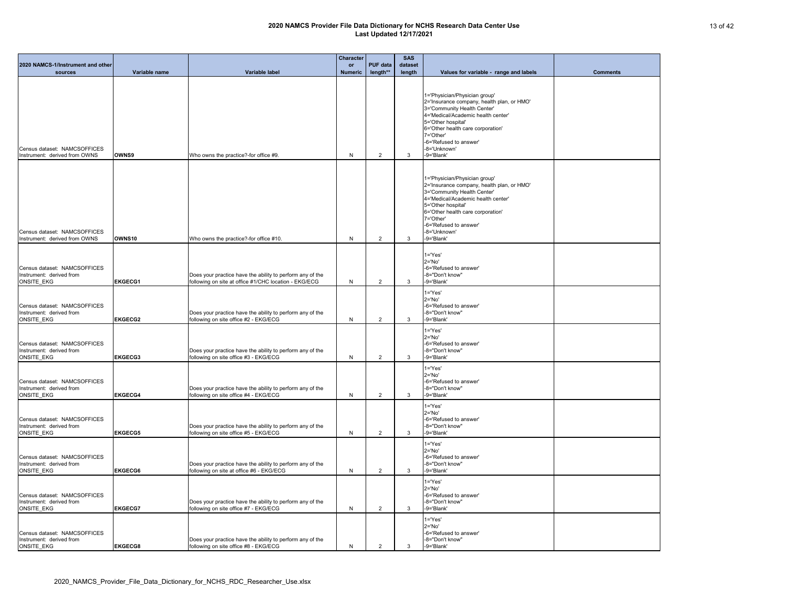| 2020 NAMCS-1/Instrument and other<br>sources                                  | Variable name  | Variable label                                                                                                     | <b>Character</b><br>or<br><b>Numeric</b> | <b>PUF data</b><br>length** | <b>SAS</b><br>dataset<br>length | Values for variable - range and labels                                                                                                                                                                                                                                           | <b>Comments</b> |
|-------------------------------------------------------------------------------|----------------|--------------------------------------------------------------------------------------------------------------------|------------------------------------------|-----------------------------|---------------------------------|----------------------------------------------------------------------------------------------------------------------------------------------------------------------------------------------------------------------------------------------------------------------------------|-----------------|
| Census dataset: NAMCSOFFICES<br>Instrument: derived from OWNS                 | OWNS9          | Who owns the practice?-for office #9.                                                                              | N                                        | $\overline{2}$              | 3                               | 1='Physician/Physician group'<br>2='Insurance company, health plan, or HMO'<br>3='Community Health Center'<br>4='Medical/Academic health center'<br>5='Other hospital'<br>6='Other health care corporation'<br>7='Other'<br>-6='Refused to answer'<br>-8='Unknown'<br>-9='Blank' |                 |
| Census dataset: NAMCSOFFICES<br>Instrument: derived from OWNS                 | OWNS10         | Who owns the practice?-for office #10.                                                                             | N                                        | $\overline{2}$              | 3                               | 1='Physician/Physician group'<br>2='Insurance company, health plan, or HMO'<br>3='Community Health Center'<br>4='Medical/Academic health center'<br>5='Other hospital'<br>6='Other health care corporation'<br>7='Other'<br>-6='Refused to answer'<br>-8='Unknown'<br>-9='Blank' |                 |
| Census dataset: NAMCSOFFICES<br>Instrument: derived from<br>ONSITE_EKG        | <b>EKGECG1</b> | Does your practice have the ability to perform any of the<br>following on site at office #1/CHC location - EKG/ECG | N                                        | $\overline{2}$              | 3                               | $1 = 'Yes'$<br>$2 = 'No'$<br>-6='Refused to answer'<br>-8="Don't know"<br>-9='Blank'                                                                                                                                                                                             |                 |
| Census dataset: NAMCSOFFICES<br>Instrument: derived from<br>ONSITE_EKG        | <b>EKGECG2</b> | Does your practice have the ability to perform any of the<br>following on site office #2 - EKG/ECG                 | N                                        | $\overline{2}$              | 3                               | $1 = 'Yes'$<br>$2 = 'No'$<br>-6='Refused to answer'<br>-8="Don't know"<br>-9='Blank'                                                                                                                                                                                             |                 |
| Census dataset: NAMCSOFFICES<br>Instrument: derived from<br><b>ONSITE EKG</b> | <b>EKGECG3</b> | Does your practice have the ability to perform any of the<br>following on site office #3 - EKG/ECG                 | N                                        | $\overline{2}$              | 3                               | $1 = 'Yes'$<br>$2 = 'No'$<br>-6='Refused to answer'<br>-8="Don't know"<br>-9='Blank'                                                                                                                                                                                             |                 |
| Census dataset: NAMCSOFFICES<br>Instrument: derived from<br><b>ONSITE EKG</b> | <b>EKGECG4</b> | Does your practice have the ability to perform any of the<br>following on site office #4 - EKG/ECG                 | N                                        | $\overline{2}$              | 3                               | $1 = 'Yes'$<br>$2 = 'No'$<br>-6='Refused to answer'<br>-8="Don't know"<br>-9='Blank'                                                                                                                                                                                             |                 |
| Census dataset: NAMCSOFFICES<br>Instrument: derived from<br><b>ONSITE EKG</b> | <b>EKGECG5</b> | Does your practice have the ability to perform any of the<br>following on site office #5 - EKG/ECG                 | N                                        | $\overline{2}$              | 3                               | $1 = 'Yes'$<br>$2 = 'No'$<br>-6='Refused to answer'<br>-8="Don't know"<br>-9='Blank'                                                                                                                                                                                             |                 |
| Census dataset: NAMCSOFFICES<br>Instrument: derived from<br><b>ONSITE EKG</b> | <b>EKGECG6</b> | Does your practice have the ability to perform any of the<br>following on site at office #6 - EKG/ECG              | N                                        | 2                           | 3                               | $1 = 'Yes'$<br>$2 = 'No'$<br>-6='Refused to answer'<br>-8="Don't know"<br>-9='Blank'                                                                                                                                                                                             |                 |
| Census dataset: NAMCSOFFICES<br>Instrument: derived from<br>ONSITE_EKG        | <b>EKGECG7</b> | Does your practice have the ability to perform any of the<br>following on site office #7 - EKG/ECG                 | N                                        | $\overline{2}$              | 3                               | $1 = 'Yes'$<br>$2 = 'No'$<br>-6='Refused to answer'<br>-8="Don't know"<br>-9='Blank'                                                                                                                                                                                             |                 |
| Census dataset: NAMCSOFFICES<br>Instrument: derived from<br>ONSITE_EKG        | <b>EKGECG8</b> | Does your practice have the ability to perform any of the<br>following on site office #8 - EKG/ECG                 | N                                        | $\overline{2}$              | 3                               | $1 = 'Yes'$<br>$2 = 'No'$<br>-6='Refused to answer'<br>-8="Don't know"<br>-9='Blank'                                                                                                                                                                                             |                 |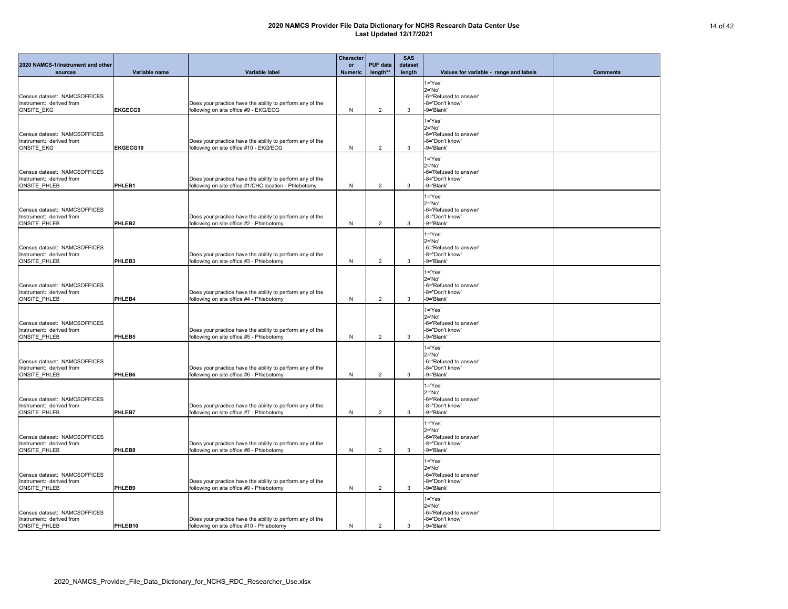| 2020 NAMCS-1/Instrument and other<br>sources                                    | Variable name      | Variable label                                                                                                     | <b>Character</b><br>or<br><b>Numeric</b> | <b>PUF data</b><br>length** | <b>SAS</b><br>dataset<br>length | Values for variable - range and labels                                              | <b>Comments</b> |
|---------------------------------------------------------------------------------|--------------------|--------------------------------------------------------------------------------------------------------------------|------------------------------------------|-----------------------------|---------------------------------|-------------------------------------------------------------------------------------|-----------------|
|                                                                                 |                    |                                                                                                                    |                                          |                             |                                 | $1 = Yes'$                                                                          |                 |
| Census dataset: NAMCSOFFICES<br>Instrument: derived from<br><b>ONSITE EKG</b>   | <b>EKGECG9</b>     | Does your practice have the ability to perform any of the<br>following on site office #9 - EKG/ECG                 | N                                        | $\overline{2}$              | $\mathbf{3}$                    | $2 = 'No'$<br>-6='Refused to answer'<br>-8="Don't know"<br>-9='Blank'<br>1='Yes'    |                 |
| Census dataset: NAMCSOFFICES<br>Instrument: derived from<br>ONSITE_EKG          | <b>EKGECG10</b>    | Does your practice have the ability to perform any of the<br>following on site office #10 - EKG/ECG                | N                                        | $\overline{2}$              | 3                               | $2 = 'No'$<br>-6='Refused to answer'<br>-8="Don't know"<br>-9='Blank'               |                 |
| Census dataset: NAMCSOFFICES<br>Instrument: derived from<br><b>ONSITE PHLEB</b> | <b>PHLEB1</b>      | Does your practice have the ability to perform any of the<br>following on site office #1/CHC location - Phlebotomy | N                                        | $\overline{2}$              | 3                               | 1='Yes'<br>$2 = 'No'$<br>-6='Refused to answer'<br>-8="Don't know"<br>-9='Blank'    |                 |
| Census dataset: NAMCSOFFICES<br>Instrument: derived from<br><b>ONSITE PHLEB</b> | PHLEB <sub>2</sub> | Does your practice have the ability to perform any of the<br>following on site office #2 - Phlebotomy              | N                                        | 2                           | 3                               | $1 = Yes'$<br>$2 = 'No'$<br>-6='Refused to answer'<br>-8="Don't know"<br>-9='Blank' |                 |
| Census dataset: NAMCSOFFICES<br>Instrument: derived from<br><b>ONSITE PHLEB</b> | PHLEB3             | Does your practice have the ability to perform any of the<br>following on site office #3 - Phlebotomy              | N                                        | $\overline{2}$              | 3                               | $1 = Yes'$<br>$2 = 'No'$<br>-6='Refused to answer'<br>-8="Don't know"<br>-9='Blank' |                 |
| Census dataset: NAMCSOFFICES<br>Instrument: derived from<br><b>ONSITE PHLEB</b> | PHLEB4             | Does your practice have the ability to perform any of the<br>following on site office #4 - Phlebotomy              | N                                        | 2                           | 3                               | $1 = Yes'$<br>$2 = 'No'$<br>-6='Refused to answer'<br>-8="Don't know"<br>-9='Blank' |                 |
| Census dataset: NAMCSOFFICES<br>Instrument: derived from<br><b>ONSITE PHLEB</b> | <b>PHLEB5</b>      | Does your practice have the ability to perform any of the<br>following on site office #5 - Phlebotomy              | N                                        | $\overline{2}$              | 3                               | $1 = Yes'$<br>$2 = 'No'$<br>-6='Refused to answer'<br>-8="Don't know"<br>-9='Blank' |                 |
| Census dataset: NAMCSOFFICES<br>Instrument: derived from<br><b>ONSITE PHLEB</b> | PHLEB6             | Does your practice have the ability to perform any of the<br>following on site office #6 - Phlebotomy              | N                                        | $\overline{2}$              | $\mathbf{3}$                    | 1='Yes'<br>$2 = 'No'$<br>-6='Refused to answer'<br>-8="Don't know"<br>-9='Blank'    |                 |
| Census dataset: NAMCSOFFICES<br>Instrument: derived from<br>ONSITE_PHLEB        | PHLEB7             | Does your practice have the ability to perform any of the<br>following on site office #7 - Phlebotomy              | N                                        | $\overline{2}$              | 3                               | $1 = Yes'$<br>$2 = 'No'$<br>-6='Refused to answer'<br>-8="Don't know"<br>-9='Blank' |                 |
| Census dataset: NAMCSOFFICES<br>Instrument: derived from<br><b>ONSITE PHLEB</b> | PHLEB8             | Does your practice have the ability to perform any of the<br>following on site office #8 - Phlebotomy              | N                                        | $\overline{2}$              | $\mathbf{3}$                    | $1 = Yes'$<br>$2 = 'No'$<br>-6='Refused to answer'<br>-8="Don't know"<br>-9='Blank' |                 |
| Census dataset: NAMCSOFFICES<br>Instrument: derived from<br><b>ONSITE PHLEB</b> | PHLEB9             | Does your practice have the ability to perform any of the<br>following on site office #9 - Phlebotomy              | N                                        | $\overline{2}$              | $\mathbf{3}$                    | $1 = Yes'$<br>$2 = 'No'$<br>-6='Refused to answer'<br>-8="Don't know"<br>-9='Blank' |                 |
| Census dataset: NAMCSOFFICES<br>Instrument: derived from<br>ONSITE_PHLEB        | PHLEB10            | Does your practice have the ability to perform any of the<br>following on site office #10 - Phlebotomy             | N                                        | $\overline{2}$              | 3                               | $1 = Yes'$<br>$2 = 'No'$<br>-6='Refused to answer'<br>-8="Don't know"<br>-9='Blank' |                 |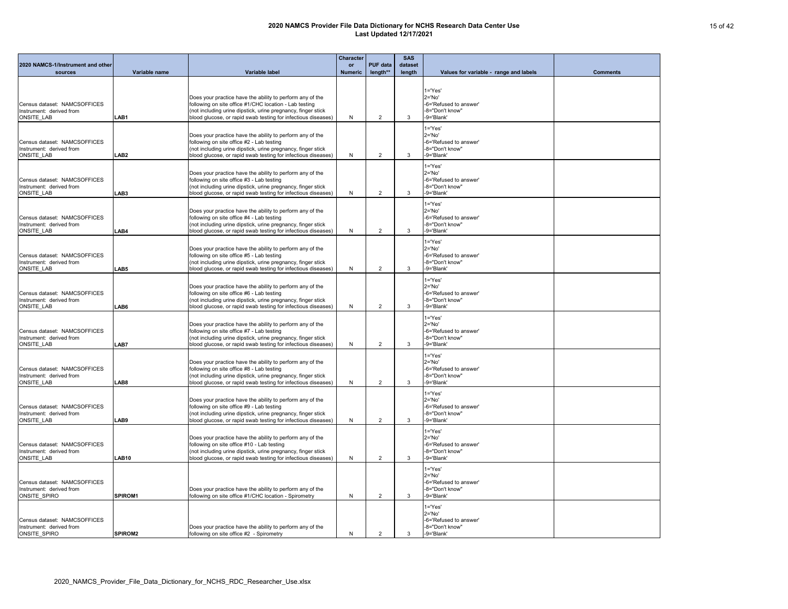| 2020 NAMCS-1/Instrument and other                                               |                  |                                                                                                                                                                                                                                                      | <b>Character</b><br>or | <b>PUF data</b> | <b>SAS</b><br>dataset |                                                                                      |                 |
|---------------------------------------------------------------------------------|------------------|------------------------------------------------------------------------------------------------------------------------------------------------------------------------------------------------------------------------------------------------------|------------------------|-----------------|-----------------------|--------------------------------------------------------------------------------------|-----------------|
| sources                                                                         | Variable name    | Variable label                                                                                                                                                                                                                                       | <b>Numeric</b>         | length**        | length                | Values for variable - range and labels                                               | <b>Comments</b> |
| Census dataset: NAMCSOFFICES<br>Instrument: derived from<br><b>ONSITE LAB</b>   | LAB1             | Does your practice have the ability to perform any of the<br>following on site office #1/CHC location - Lab testing<br>(not including urine dipstick, urine pregnancy, finger stick<br>blood glucose, or rapid swab testing for infectious diseases) | N                      | $\overline{2}$  | 3                     | $1 = Yes'$<br>$2 = 'No'$<br>-6='Refused to answer'<br>-8="Don't know"<br>-9='Blank'  |                 |
| Census dataset: NAMCSOFFICES<br>Instrument: derived from<br><b>ONSITE LAB</b>   | LAB2             | Does your practice have the ability to perform any of the<br>following on site office #2 - Lab testing<br>(not including urine dipstick, urine pregnancy, finger stick<br>blood glucose, or rapid swab testing for infectious diseases)              | N                      | $\overline{2}$  | 3                     | $1 = 'Yes'$<br>$2 = 'No'$<br>-6='Refused to answer'<br>-8="Don't know"<br>-9='Blank' |                 |
| Census dataset: NAMCSOFFICES<br>Instrument: derived from<br><b>ONSITE LAB</b>   | LAB3             | Does your practice have the ability to perform any of the<br>following on site office #3 - Lab testing<br>(not including urine dipstick, urine pregnancy, finger stick<br>blood glucose, or rapid swab testing for infectious diseases)              | N                      | $\overline{2}$  | 3                     | $1 = 'Yes'$<br>$2 = 'No'$<br>-6='Refused to answer'<br>-8="Don't know"<br>-9='Blank' |                 |
| Census dataset: NAMCSOFFICES<br>Instrument: derived from<br><b>ONSITE LAB</b>   | LAB4             | Does your practice have the ability to perform any of the<br>following on site office #4 - Lab testing<br>(not including urine dipstick, urine pregnancy, finger stick<br>blood glucose, or rapid swab testing for infectious diseases)              | N                      | $\overline{2}$  | 3                     | $1 = 'Yes'$<br>$2 = 'No'$<br>-6='Refused to answer'<br>-8="Don't know"<br>-9='Blank' |                 |
| Census dataset: NAMCSOFFICES<br>Instrument: derived from<br><b>ONSITE LAB</b>   | LAB5             | Does your practice have the ability to perform any of the<br>following on site office #5 - Lab testing<br>(not including urine dipstick, urine pregnancy, finger stick<br>blood glucose, or rapid swab testing for infectious diseases)              | N                      | $\overline{2}$  | 3                     | $1 = 'Yes'$<br>$2 = 'No'$<br>-6='Refused to answer'<br>-8="Don't know"<br>-9='Blank' |                 |
| Census dataset: NAMCSOFFICES<br>Instrument: derived from<br><b>ONSITE LAB</b>   | LAB6             | Does your practice have the ability to perform any of the<br>following on site office #6 - Lab testing<br>(not including urine dipstick, urine pregnancy, finger stick<br>blood glucose, or rapid swab testing for infectious diseases)              | N                      | $\overline{2}$  | 3                     | $1 = 'Yes'$<br>$2 = 'No'$<br>-6='Refused to answer'<br>-8="Don't know"<br>-9='Blank' |                 |
| Census dataset: NAMCSOFFICES<br>Instrument: derived from<br><b>ONSITE LAB</b>   | LAB7             | Does your practice have the ability to perform any of the<br>following on site office #7 - Lab testing<br>(not including urine dipstick, urine pregnancy, finger stick<br>blood glucose, or rapid swab testing for infectious diseases)              | N                      | $\overline{2}$  | 3                     | $1 = 'Yes'$<br>$2 = 'No'$<br>-6='Refused to answer'<br>-8="Don't know"<br>-9='Blank' |                 |
| Census dataset: NAMCSOFFICES<br>Instrument: derived from<br><b>ONSITE LAB</b>   | LAB <sub>8</sub> | Does your practice have the ability to perform any of the<br>following on site office #8 - Lab testing<br>(not including urine dipstick, urine pregnancy, finger stick<br>blood glucose, or rapid swab testing for infectious diseases)              | N                      | 2               | 3                     | $1 = 'Yes'$<br>$2 = 'No'$<br>-6='Refused to answer'<br>-8="Don't know"<br>-9='Blank' |                 |
| Census dataset: NAMCSOFFICES<br>Instrument: derived from<br>ONSITE LAB          | LAB9             | Does your practice have the ability to perform any of the<br>following on site office #9 - Lab testing<br>(not including urine dipstick, urine pregnancy, finger stick<br>blood glucose, or rapid swab testing for infectious diseases)              | N                      | $\overline{2}$  | 3                     | $1 = Yes'$<br>$2 = 'No'$<br>-6='Refused to answer'<br>-8="Don't know"<br>-9='Blank'  |                 |
| Census dataset: NAMCSOFFICES<br>Instrument: derived from<br><b>ONSITE LAB</b>   | <b>LAB10</b>     | Does your practice have the ability to perform any of the<br>following on site office #10 - Lab testing<br>(not including urine dipstick, urine pregnancy, finger stick<br>blood glucose, or rapid swab testing for infectious diseases)             | N                      | $\overline{2}$  | 3                     | $1 = Yes'$<br>$2 = 'No'$<br>-6='Refused to answer'<br>-8="Don't know"<br>-9='Blank'  |                 |
| Census dataset: NAMCSOFFICES<br>Instrument: derived from<br><b>ONSITE SPIRO</b> | <b>SPIROM1</b>   | Does your practice have the ability to perform any of the<br>following on site office #1/CHC location - Spirometry                                                                                                                                   | N                      | $\overline{2}$  | 3                     | 1='Yes'<br>$2 = 'No'$<br>-6='Refused to answer'<br>-8="Don't know"<br>-9='Blank'     |                 |
| Census dataset: NAMCSOFFICES<br>Instrument: derived from<br>ONSITE SPIRO        | <b>SPIROM2</b>   | Does your practice have the ability to perform any of the<br>following on site office #2 - Spirometry                                                                                                                                                | N                      | $\overline{2}$  | 3                     | $1 = Yes'$<br>$2 = 'No'$<br>-6='Refused to answer'<br>-8="Don't know"<br>-9='Blank'  |                 |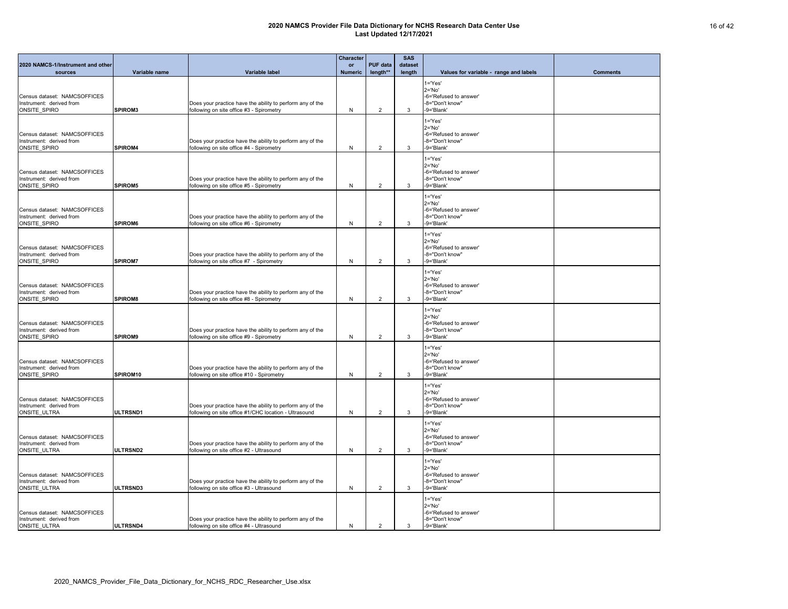| 2020 NAMCS-1/Instrument and other                                               |                |                                                                                                                    | <b>Character</b><br>or | <b>PUF data</b> | <b>SAS</b><br>dataset |                                                                                                    |                 |
|---------------------------------------------------------------------------------|----------------|--------------------------------------------------------------------------------------------------------------------|------------------------|-----------------|-----------------------|----------------------------------------------------------------------------------------------------|-----------------|
| sources                                                                         | Variable name  | <b>Variable label</b>                                                                                              | <b>Numeric</b>         | length**        | length                | Values for variable - range and labels                                                             | <b>Comments</b> |
| Census dataset: NAMCSOFFICES<br>Instrument: derived from<br><b>ONSITE SPIRO</b> | SPIROM3        | Does your practice have the ability to perform any of the<br>following on site office #3 - Spirometry              | N                      | $\overline{2}$  | 3                     | $1 = Yes'$<br>$2 = 'No'$<br>-6='Refused to answer'<br>-8="Don't know"<br>-9='Blank'<br>$1 = 'Yes'$ |                 |
| Census dataset: NAMCSOFFICES<br>Instrument: derived from<br><b>ONSITE SPIRO</b> | SPIROM4        | Does your practice have the ability to perform any of the<br>following on site office #4 - Spirometry              | N                      | $\overline{2}$  | 3                     | $2 = 'No'$<br>-6='Refused to answer'<br>-8="Don't know"<br>-9='Blank'                              |                 |
| Census dataset: NAMCSOFFICES<br>Instrument: derived from<br><b>ONSITE SPIRO</b> | <b>SPIROM5</b> | Does your practice have the ability to perform any of the<br>following on site office #5 - Spirometry              | N                      | $\overline{2}$  | $\mathbf{3}$          | $1 = Yes'$<br>$2 = 'No'$<br>-6='Refused to answer'<br>-8="Don't know"<br>-9='Blank'                |                 |
| Census dataset: NAMCSOFFICES<br>Instrument: derived from<br>ONSITE_SPIRO        | <b>SPIROM6</b> | Does your practice have the ability to perform any of the<br>following on site office #6 - Spirometry              | N                      | $\overline{2}$  | 3                     | $1 = 'Yes'$<br>$2 = 'No'$<br>-6='Refused to answer'<br>-8="Don't know"<br>-9='Blank'               |                 |
| Census dataset: NAMCSOFFICES<br>Instrument: derived from<br><b>ONSITE SPIRO</b> | <b>SPIROM7</b> | Does your practice have the ability to perform any of the<br>following on site office #7 - Spirometry              | N                      | $\overline{2}$  | $\mathbf{3}$          | $1 = 'Yes'$<br>$2 = 'No'$<br>-6='Refused to answer'<br>-8="Don't know"<br>-9='Blank'               |                 |
| Census dataset: NAMCSOFFICES<br>Instrument: derived from<br><b>ONSITE SPIRO</b> | <b>SPIROM8</b> | Does your practice have the ability to perform any of the<br>following on site office #8 - Spirometry              | N                      | $\overline{2}$  | 3                     | $1 = 'Yes'$<br>$2 = 'No'$<br>-6='Refused to answer'<br>-8="Don't know"<br>-9='Blank'               |                 |
| Census dataset: NAMCSOFFICES<br>Instrument: derived from<br><b>ONSITE SPIRO</b> | <b>SPIROM9</b> | Does your practice have the ability to perform any of the<br>following on site office #9 - Spirometry              | N                      | $\overline{2}$  | 3                     | $1 = 'Yes'$<br>$2 = 'No'$<br>-6='Refused to answer'<br>-8="Don't know"<br>-9='Blank'               |                 |
| Census dataset: NAMCSOFFICES<br>Instrument: derived from<br>ONSITE SPIRO        | SPIROM10       | Does your practice have the ability to perform any of the<br>following on site office #10 - Spirometry             | N                      | 2               | $\mathbf{3}$          | $1 = 'Yes'$<br>$2 = 'No'$<br>-6='Refused to answer'<br>-8="Don't know"<br>-9='Blank'               |                 |
| Census dataset: NAMCSOFFICES<br>Instrument: derived from<br><b>ONSITE ULTRA</b> | ULTRSND1       | Does your practice have the ability to perform any of the<br>following on site office #1/CHC location - Ultrasound | N                      | $\overline{2}$  | $\mathbf{3}$          | $1 = 'Yes'$<br>$2 = 'No'$<br>-6='Refused to answer'<br>-8="Don't know"<br>-9='Blank'               |                 |
| Census dataset: NAMCSOFFICES<br>Instrument: derived from<br><b>ONSITE ULTRA</b> | ULTRSND2       | Does your practice have the ability to perform any of the<br>following on site office #2 - Ultrasound              | N                      | $\overline{2}$  | 3                     | $1 = Yes'$<br>$2 = 'No'$<br>-6='Refused to answer'<br>-8="Don't know"<br>-9='Blank'                |                 |
| Census dataset: NAMCSOFFICES<br>Instrument: derived from<br>ONSITE_ULTRA        | ULTRSND3       | Does your practice have the ability to perform any of the<br>following on site office #3 - Ultrasound              | N                      | $\overline{2}$  | $\mathbf{3}$          | $1 = 'Yes'$<br>$2 = 'No'$<br>-6='Refused to answer'<br>-8="Don't know"<br>-9='Blank'               |                 |
| Census dataset: NAMCSOFFICES<br>Instrument: derived from<br>ONSITE ULTRA        | ULTRSND4       | Does your practice have the ability to perform any of the<br>following on site office #4 - Ultrasound              | N                      | $\overline{2}$  | 3                     | $1 = 'Yes'$<br>$2 = 'No'$<br>-6='Refused to answer'<br>-8="Don't know"<br>-9='Blank'               |                 |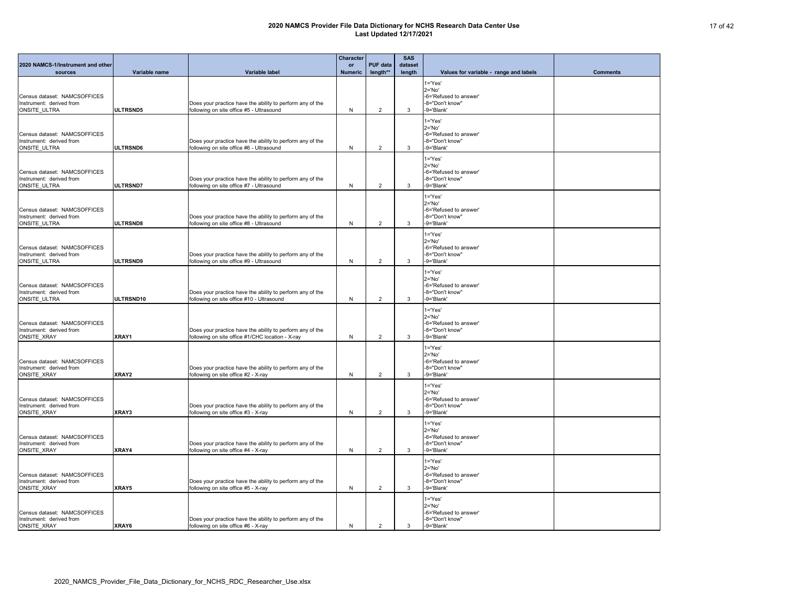|                                                                                 |                 |                                                                                                               | <b>Character</b>     |                             | <b>SAS</b>        |                                                                                      |                 |
|---------------------------------------------------------------------------------|-----------------|---------------------------------------------------------------------------------------------------------------|----------------------|-----------------------------|-------------------|--------------------------------------------------------------------------------------|-----------------|
| 2020 NAMCS-1/Instrument and other<br>sources                                    | Variable name   | Variable label                                                                                                | or<br><b>Numeric</b> | <b>PUF data</b><br>length** | dataset<br>length | Values for variable - range and labels                                               | <b>Comments</b> |
| Census dataset: NAMCSOFFICES<br>Instrument: derived from<br><b>ONSITE ULTRA</b> | ULTRSND5        | Does your practice have the ability to perform any of the<br>following on site office #5 - Ultrasound         | N                    | $\overline{2}$              | 3                 | $1 = Yes'$<br>$2 = 'No'$<br>-6='Refused to answer'<br>-8="Don't know"<br>-9='Blank'  |                 |
| Census dataset: NAMCSOFFICES<br>Instrument: derived from<br>ONSITE_ULTRA        | <b>ULTRSND6</b> | Does your practice have the ability to perform any of the<br>following on site office #6 - Ultrasound         | N                    | $\overline{2}$              | 3                 | $1 = 'Yes'$<br>$2 = 'No'$<br>-6='Refused to answer'<br>-8="Don't know"<br>-9='Blank' |                 |
| Census dataset: NAMCSOFFICES<br>Instrument: derived from<br>ONSITE_ULTRA        | ULTRSND7        | Does your practice have the ability to perform any of the<br>following on site office #7 - Ultrasound         | N                    | $\overline{2}$              | 3                 | $1 = 'Yes'$<br>$2 = 'No'$<br>-6='Refused to answer'<br>-8="Don't know"<br>-9='Blank' |                 |
| Census dataset: NAMCSOFFICES<br>Instrument: derived from<br>ONSITE_ULTRA        | ULTRSND8        | Does your practice have the ability to perform any of the<br>following on site office #8 - Ultrasound         | N                    | $\overline{2}$              | 3                 | $1 = 'Yes'$<br>$2 = 'No'$<br>-6='Refused to answer'<br>-8="Don't know"<br>-9='Blank' |                 |
| Census dataset: NAMCSOFFICES<br>Instrument: derived from<br>ONSITE_ULTRA        | ULTRSND9        | Does your practice have the ability to perform any of the<br>following on site office #9 - Ultrasound         | N                    | $\overline{2}$              | 3                 | $1 = 'Yes'$<br>$2 = 'No'$<br>-6='Refused to answer'<br>-8="Don't know"<br>-9='Blank' |                 |
| Census dataset: NAMCSOFFICES<br>Instrument: derived from<br><b>ONSITE ULTRA</b> | ULTRSND10       | Does your practice have the ability to perform any of the<br>following on site office #10 - Ultrasound        | N                    | $\overline{2}$              | 3                 | $1 = 'Yes'$<br>$2 = 'No'$<br>-6='Refused to answer'<br>-8="Don't know"<br>-9='Blank' |                 |
| Census dataset: NAMCSOFFICES<br>Instrument: derived from<br>ONSITE_XRAY         | XRAY1           | Does your practice have the ability to perform any of the<br>following on site office #1/CHC location - X-ray | N                    | $\overline{2}$              | 3                 | $1 = 'Yes'$<br>$2 = 'No'$<br>-6='Refused to answer'<br>-8="Don't know"<br>-9='Blank' |                 |
| Census dataset: NAMCSOFFICES<br>Instrument: derived from<br>ONSITE_XRAY         | XRAY2           | Does your practice have the ability to perform any of the<br>following on site office #2 - X-ray              | N                    | $\overline{2}$              | 3                 | $1 = 'Yes'$<br>$2 = 'No'$<br>-6='Refused to answer'<br>-8="Don't know"<br>-9='Blank' |                 |
| Census dataset: NAMCSOFFICES<br>Instrument: derived from<br><b>ONSITE XRAY</b>  | XRAY3           | Does your practice have the ability to perform any of the<br>following on site office #3 - X-ray              | N                    | $\overline{2}$              | 3                 | $1 = 'Yes'$<br>$2 = 'No'$<br>-6='Refused to answer'<br>-8="Don't know"<br>-9='Blank' |                 |
| Census dataset: NAMCSOFFICES<br>Instrument: derived from<br>ONSITE_XRAY         | XRAY4           | Does your practice have the ability to perform any of the<br>following on site office #4 - X-ray              | N                    | $\overline{2}$              | 3                 | $1 = 'Yes'$<br>$2 = 'No'$<br>-6='Refused to answer'<br>-8="Don't know"<br>-9='Blank' |                 |
| Census dataset: NAMCSOFFICES<br>Instrument: derived from<br><b>ONSITE XRAY</b>  | XRAY5           | Does your practice have the ability to perform any of the<br>following on site office #5 - X-ray              | N                    | $\overline{2}$              | 3                 | $1 = 'Yes'$<br>$2 = 'No'$<br>-6='Refused to answer'<br>-8="Don't know"<br>-9='Blank' |                 |
| Census dataset: NAMCSOFFICES<br>Instrument: derived from<br><b>ONSITE XRAY</b>  | XRAY6           | Does your practice have the ability to perform any of the<br>following on site office #6 - X-ray              | N                    | $\overline{2}$              | 3                 | $1 = 'Yes'$<br>$2 = 'No'$<br>-6='Refused to answer'<br>-8="Don't know"<br>-9='Blank' |                 |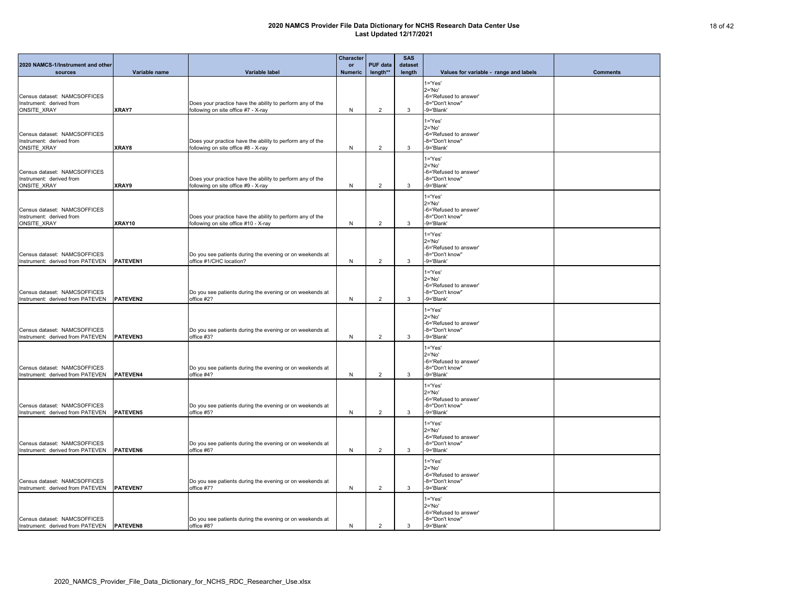|                                                                                |                 |                                                                                                   | <b>Character</b>     |                             | <b>SAS</b>        |                                                                                      |                 |
|--------------------------------------------------------------------------------|-----------------|---------------------------------------------------------------------------------------------------|----------------------|-----------------------------|-------------------|--------------------------------------------------------------------------------------|-----------------|
| 2020 NAMCS-1/Instrument and other<br>sources                                   | Variable name   | Variable label                                                                                    | or<br><b>Numeric</b> | <b>PUF data</b><br>length** | dataset<br>length | Values for variable - range and labels                                               | <b>Comments</b> |
|                                                                                |                 |                                                                                                   |                      |                             |                   | $1 = Yes'$                                                                           |                 |
| Census dataset: NAMCSOFFICES<br>Instrument: derived from<br>ONSITE_XRAY        | XRAY7           | Does your practice have the ability to perform any of the<br>following on site office #7 - X-ray  | N                    | $\overline{2}$              | $\mathbf{3}$      | $2 = 'No'$<br>-6='Refused to answer'<br>-8="Don't know"<br>-9='Blank'                |                 |
| Census dataset: NAMCSOFFICES<br>Instrument: derived from<br>ONSITE_XRAY        | XRAY8           | Does your practice have the ability to perform any of the<br>following on site office #8 - X-ray  | N                    | $\overline{2}$              | 3                 | 1='Yes'<br>$2 = 'No'$<br>-6='Refused to answer'<br>-8="Don't know"<br>-9='Blank'     |                 |
| Census dataset: NAMCSOFFICES<br>Instrument: derived from<br><b>ONSITE XRAY</b> | XRAY9           | Does your practice have the ability to perform any of the<br>following on site office #9 - X-ray  | N                    | $\overline{2}$              | $\mathbf{3}$      | $1 = 'Yes'$<br>$2 = 'No'$<br>-6='Refused to answer'<br>-8="Don't know"<br>-9='Blank' |                 |
| Census dataset: NAMCSOFFICES<br>Instrument: derived from<br><b>ONSITE XRAY</b> | XRAY10          | Does your practice have the ability to perform any of the<br>following on site office #10 - X-ray | N                    | $\overline{2}$              | 3                 | $1 = 'Yes'$<br>$2 = 'No'$<br>-6='Refused to answer'<br>-8="Don't know"<br>-9='Blank' |                 |
| Census dataset: NAMCSOFFICES<br>Instrument: derived from PATEVEN               | <b>PATEVEN1</b> | Do you see patients during the evening or on weekends at<br>office #1/CHC location?               | N                    | $\overline{2}$              | 3                 | $1 = 'Yes'$<br>$2 = 'No'$<br>-6='Refused to answer'<br>-8="Don't know"<br>-9='Blank' |                 |
| Census dataset: NAMCSOFFICES<br>Instrument: derived from PATEVEN               | <b>PATEVEN2</b> | Do you see patients during the evening or on weekends at<br>office #2?                            | N                    | 2                           | 3                 | $1 = 'Yes'$<br>$2 = 'No'$<br>-6='Refused to answer'<br>-8="Don't know"<br>-9='Blank' |                 |
| Census dataset: NAMCSOFFICES<br>Instrument: derived from PATEVEN               | <b>PATEVEN3</b> | Do you see patients during the evening or on weekends at<br>office #3?                            | N                    | $\overline{2}$              | 3                 | $1 = 'Yes'$<br>$2 = 'No'$<br>-6='Refused to answer'<br>-8="Don't know"<br>-9='Blank' |                 |
| Census dataset: NAMCSOFFICES<br>Instrument: derived from PATEVEN               | <b>PATEVEN4</b> | Do you see patients during the evening or on weekends at<br>office #4?                            | N                    | $\overline{2}$              | $\mathbf{3}$      | 1='Yes'<br>$2 = 'No'$<br>-6='Refused to answer'<br>-8="Don't know"<br>-9='Blank'     |                 |
| Census dataset: NAMCSOFFICES<br>Instrument: derived from PATEVEN               | <b>PATEVEN5</b> | Do you see patients during the evening or on weekends at<br>office #5?                            | N                    | $\overline{2}$              | $\mathbf{3}$      | $1 = 'Yes'$<br>$2 = 'No'$<br>-6='Refused to answer'<br>-8="Don't know"<br>-9='Blank' |                 |
| Census dataset: NAMCSOFFICES<br>Instrument: derived from PATEVEN               | <b>PATEVEN6</b> | Do you see patients during the evening or on weekends at<br>office #6?                            | N                    | $\overline{2}$              | 3                 | $1 = 'Yes'$<br>$2 = 'No'$<br>-6='Refused to answer'<br>-8="Don't know"<br>-9='Blank' |                 |
| Census dataset: NAMCSOFFICES<br>Instrument: derived from PATEVEN               | <b>PATEVEN7</b> | Do you see patients during the evening or on weekends at<br>office #7?                            | N                    | $\overline{2}$              | 3                 | $1 = Yes'$<br>$2 = 'No'$<br>-6='Refused to answer'<br>-8="Don't know"<br>-9='Blank'  |                 |
| Census dataset: NAMCSOFFICES<br>Instrument: derived from PATEVEN               | <b>PATEVEN8</b> | Do you see patients during the evening or on weekends at<br>office #8?                            | N                    | $\overline{2}$              | 3                 | $1 = 'Yes'$<br>$2 = 'No'$<br>-6='Refused to answer'<br>-8="Don't know"<br>-9='Blank' |                 |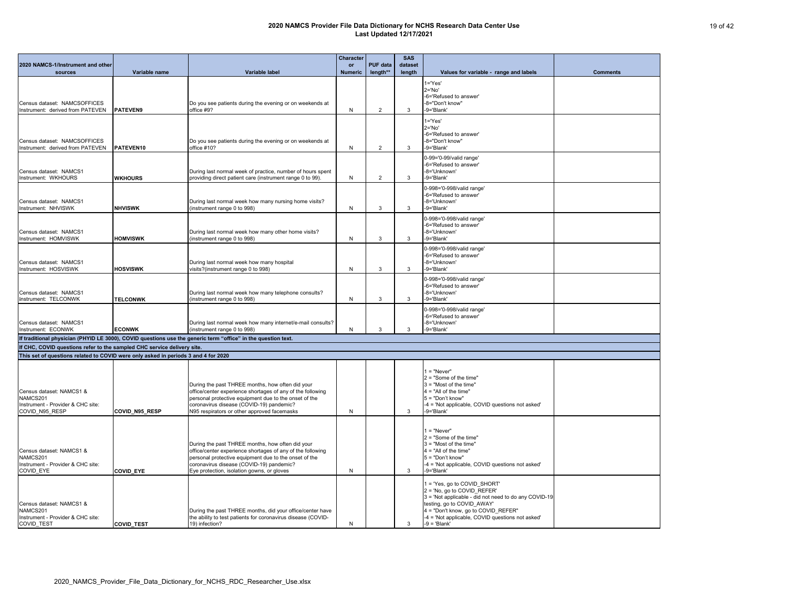| 2020 NAMCS-1/Instrument and other                                                                                                                             |                       |                                                                                                                                                                                                                                                                    | <b>Character</b><br><b>or</b> | <b>PUF data</b> | <b>SAS</b><br>dataset |                                                                                                                                                                                                                                                                    |                 |
|---------------------------------------------------------------------------------------------------------------------------------------------------------------|-----------------------|--------------------------------------------------------------------------------------------------------------------------------------------------------------------------------------------------------------------------------------------------------------------|-------------------------------|-----------------|-----------------------|--------------------------------------------------------------------------------------------------------------------------------------------------------------------------------------------------------------------------------------------------------------------|-----------------|
| sources                                                                                                                                                       | Variable name         | <b>Variable label</b>                                                                                                                                                                                                                                              | <b>Numeric</b>                | length**        | length                | Values for variable - range and labels                                                                                                                                                                                                                             | <b>Comments</b> |
| Census dataset: NAMCSOFFICES<br>Instrument: derived from PATEVEN                                                                                              | <b>IPATEVEN9</b>      | Do you see patients during the evening or on weekends at<br>office #9?                                                                                                                                                                                             | N                             | $\overline{2}$  | 3                     | $1 = Yes'$<br>$2 = 'No'$<br>-6='Refused to answer'<br>-8="Don't know"<br>-9='Blank'                                                                                                                                                                                |                 |
| Census dataset: NAMCSOFFICES<br>Instrument: derived from PATEVEN                                                                                              | PATEVEN10             | Do you see patients during the evening or on weekends at<br>office #10?                                                                                                                                                                                            | N                             | $\overline{2}$  | 3                     | $1 = 'Yes'$<br>$2 = 'No'$<br>-6='Refused to answer'<br>-8="Don't know"<br>-9='Blank'                                                                                                                                                                               |                 |
| Census dataset: NAMCS1<br>Instrument: WKHOURS                                                                                                                 | <b>WKHOURS</b>        | During last normal week of practice, number of hours spent<br>providing direct patient care (instrument range 0 to 99).                                                                                                                                            | N                             | $\overline{2}$  | 3                     | 0-99='0-99/valid range'<br>-6='Refused to answer'<br>-8='Unknown'<br>-9='Blank'                                                                                                                                                                                    |                 |
| Census dataset: NAMCS1<br>Instrument: NHVISWK                                                                                                                 | <b>NHVISWK</b>        | During last normal week how many nursing home visits?<br>(instrument range 0 to 998)                                                                                                                                                                               | N                             | 3               | 3                     | 0-998='0-998/valid range'<br>-6='Refused to answer'<br>-8='Unknown'<br>-9='Blank'                                                                                                                                                                                  |                 |
| Census dataset: NAMCS1<br>Instrument: HOMVISWK                                                                                                                | <b>HOMVISWK</b>       | During last normal week how many other home visits?<br>(instrument range 0 to 998)                                                                                                                                                                                 | N                             | 3               | 3                     | 0-998='0-998/valid range'<br>-6='Refused to answer'<br>-8='Unknown'<br>-9='Blank'                                                                                                                                                                                  |                 |
| Census dataset: NAMCS1<br>Instrument: HOSVISWK                                                                                                                | <b>HOSVISWK</b>       | During last normal week how many hospital<br>visits?(instrument range 0 to 998)                                                                                                                                                                                    | N                             | 3               | 3                     | 0-998='0-998/valid range'<br>-6='Refused to answer'<br>-8='Unknown'<br>-9='Blank'                                                                                                                                                                                  |                 |
| Census dataset: NAMCS1<br>Instrument: TELCONWK                                                                                                                | <b>TELCONWK</b>       | During last normal week how many telephone consults?<br>(instrument range 0 to 998)                                                                                                                                                                                | N                             | 3               | 3                     | 0-998='0-998/valid range'<br>-6='Refused to answer'<br>-8='Unknown'<br>-9='Blank'                                                                                                                                                                                  |                 |
| Census dataset: NAMCS1<br>Instrument: ECONWK                                                                                                                  | <b>ECONWK</b>         | During last normal week how many internet/e-mail consults?<br>(instrument range 0 to 998)                                                                                                                                                                          | N                             | 3               | 3                     | 0-998='0-998/valid range'<br>-6='Refused to answer'<br>-8='Unknown'<br>-9='Blank'                                                                                                                                                                                  |                 |
|                                                                                                                                                               |                       | If traditional physician (PHYID LE 3000), COVID questions use the generic term "office" in the question text.                                                                                                                                                      |                               |                 |                       |                                                                                                                                                                                                                                                                    |                 |
| If CHC, COVID questions refer to the sampled CHC service delivery site.<br>This set of questions related to COVID were only asked in periods 3 and 4 for 2020 |                       |                                                                                                                                                                                                                                                                    |                               |                 |                       |                                                                                                                                                                                                                                                                    |                 |
| Census dataset: NAMCS1 &<br>NAMCS201<br>Instrument - Provider & CHC site:<br>COVID N95 RESP                                                                   | <b>COVID N95 RESP</b> | During the past THREE months, how often did your<br>office/center experience shortages of any of the following<br>personal protective equipment due to the onset of the<br>coronavirus disease (COVID-19) pandemic?<br>N95 respirators or other approved facemasks | N                             |                 | 3                     | $1 = "Never"$<br>$2 = "Some of the time"$<br>$3 =$ "Most of the time"<br>$4 = "All of the time"$<br>$5 = "Don't know"$<br>-4 = 'Not applicable, COVID questions not asked'<br>-9='Blank'                                                                           |                 |
| Census dataset: NAMCS1 &<br>NAMCS201<br>Instrument - Provider & CHC site:<br>COVID EYE                                                                        | <b>COVID_EYE</b>      | During the past THREE months, how often did your<br>office/center experience shortages of any of the following<br>personal protective equipment due to the onset of the<br>coronavirus disease (COVID-19) pandemic?<br>Eye protection, isolation gowns, or gloves  | N                             |                 | 3                     | $1 = "Never"$<br>$2 =$ "Some of the time"<br>$3 =$ "Most of the time"<br>$4 = "All of the time"$<br>$5 = "Don't know"$<br>-4 = 'Not applicable, COVID questions not asked'<br>-9='Blank'                                                                           |                 |
| Census dataset: NAMCS1 &<br>NAMCS201<br>Instrument - Provider & CHC site:<br>COVID_TEST                                                                       | <b>COVID_TEST</b>     | During the past THREE months, did your office/center have<br>the ability to test patients for coronavirus disease (COVID-<br>19) infection?                                                                                                                        | N                             |                 | $\mathbf{3}$          | 1 = 'Yes, go to COVID_SHORT'<br>$2 = 'No$ , go to COVID REFER'<br>3 = 'Not applicable - did not need to do any COVID-19<br>testing, go to COVID_AWAY'<br>4 = "Don't know, go to COVID_REFER"<br>-4 = 'Not applicable, COVID questions not asked'<br>$-9$ = 'Blank' |                 |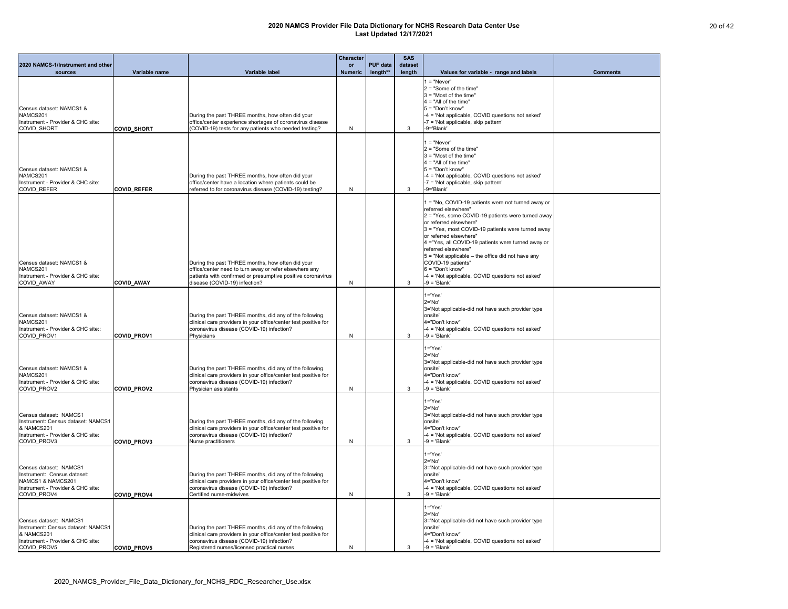| 2020 NAMCS-1/Instrument and other<br>sources                                                                                   | Variable name      | <b>Variable label</b>                                                                                                                                                                                                 | <b>Character</b><br>or<br><b>Numeric</b> | <b>PUF</b> data<br>length** | <b>SAS</b><br>dataset<br>length | Values for variable - range and labels                                                                                                                                                                                                                                                                                                                                                                                                                                                         | <b>Comments</b> |
|--------------------------------------------------------------------------------------------------------------------------------|--------------------|-----------------------------------------------------------------------------------------------------------------------------------------------------------------------------------------------------------------------|------------------------------------------|-----------------------------|---------------------------------|------------------------------------------------------------------------------------------------------------------------------------------------------------------------------------------------------------------------------------------------------------------------------------------------------------------------------------------------------------------------------------------------------------------------------------------------------------------------------------------------|-----------------|
| Census dataset: NAMCS1 &<br>NAMCS201<br>Instrument - Provider & CHC site:<br><b>COVID SHORT</b>                                | <b>COVID_SHORT</b> | During the past THREE months, how often did your<br>office/center experience shortages of coronavirus disease<br>(COVID-19) tests for any patients who needed testing?                                                | N                                        |                             | 3                               | $1 = "Never"$<br>$2 = "Some of the time"$<br>$3 = "Most of the time"$<br>$4 = "All of the time"$<br>$5 = "Don't know"$<br>-4 = 'Not applicable, COVID questions not asked'<br>-7 = 'Not applicable, skip pattern'<br>-9='Blank'                                                                                                                                                                                                                                                                |                 |
| Census dataset: NAMCS1 &<br>NAMCS201<br>Instrument - Provider & CHC site:<br><b>COVID REFER</b>                                | <b>COVID REFER</b> | During the past THREE months, how often did your<br>office/center have a location where patients could be<br>referred to for coronavirus disease (COVID-19) testing?                                                  | N                                        |                             | 3                               | $1 = "Never"$<br>$2 = "Some of the time"$<br>3 = "Most of the time"<br>$4 = "All of the time"$<br>$5 = "Don't know"$<br>-4 = 'Not applicable, COVID questions not asked'<br>-7 = 'Not applicable, skip pattern'<br>-9='Blank'                                                                                                                                                                                                                                                                  |                 |
| Census dataset: NAMCS1 &<br>NAMCS201<br>Instrument - Provider & CHC site:<br><b>COVID AWAY</b>                                 | <b>COVID_AWAY</b>  | During the past THREE months, how often did your<br>office/center need to turn away or refer elsewhere any<br>patients with confirmed or presumptive positive coronavirus<br>disease (COVID-19) infection?            | N                                        |                             | 3                               | 1 = "No, COVID-19 patients were not turned away or<br>referred elsewhere"<br>2 = "Yes, some COVID-19 patients were turned away<br>or referred elsewhere"<br>3 = "Yes, most COVID-19 patients were turned away<br>or referred elsewhere"<br>4 = "Yes, all COVID-19 patients were turned away or<br>referred elsewhere"<br>$5 =$ "Not applicable – the office did not have any<br>COVID-19 patients"<br>$6 = "Don't know"$<br>-4 = 'Not applicable, COVID questions not asked'<br>$-9 = 'Blank'$ |                 |
| Census dataset: NAMCS1 &<br>NAMCS201<br>Instrument - Provider & CHC site::<br>COVID PROV1                                      | <b>COVID PROV1</b> | During the past THREE months, did any of the following<br>clinical care providers in your office/center test positive for<br>coronavirus disease (COVID-19) infection?<br>Physicians                                  | N                                        |                             | 3                               | $1 = 'Yes'$<br>$2 = 'No'$<br>3='Not applicable-did not have such provider type<br>onsite'<br>4="Don't know"<br>-4 = 'Not applicable, COVID questions not asked'<br>$-9 = 'Blank'$                                                                                                                                                                                                                                                                                                              |                 |
| Census dataset: NAMCS1 &<br>NAMCS201<br>Instrument - Provider & CHC site:<br>COVID PROV2                                       | <b>COVID_PROV2</b> | During the past THREE months, did any of the following<br>clinical care providers in your office/center test positive for<br>coronavirus disease (COVID-19) infection?<br>Physician assistants                        | N                                        |                             | 3                               | $1 = 'Yes'$<br>$2 = 'No'$<br>3='Not applicable-did not have such provider type<br>onsite'<br>4="Don't know"<br>-4 = 'Not applicable, COVID questions not asked'<br>$-9 = 'Blank'$                                                                                                                                                                                                                                                                                                              |                 |
| Census dataset: NAMCS1<br>Instrument: Census dataset: NAMCS1<br>& NAMCS201<br>Instrument - Provider & CHC site:<br>COVID PROV3 | <b>COVID_PROV3</b> | During the past THREE months, did any of the following<br>clinical care providers in your office/center test positive for<br>coronavirus disease (COVID-19) infection?<br>Nurse practitioners                         | N                                        |                             | 3                               | 1='Yes'<br>$2 = 'No'$<br>3='Not applicable-did not have such provider type<br>onsite'<br>4="Don't know"<br>-4 = 'Not applicable, COVID questions not asked'<br>$-9$ = 'Blank'                                                                                                                                                                                                                                                                                                                  |                 |
| Census dataset: NAMCS1<br>Instrument: Census dataset:<br>NAMCS1 & NAMCS201<br>Instrument - Provider & CHC site:<br>COVID PROV4 | <b>COVID_PROV4</b> | During the past THREE months, did any of the following<br>clinical care providers in your office/center test positive for<br>coronavirus disease (COVID-19) infection?<br>Certified nurse-midwives                    | N                                        |                             | 3                               | $1 = 'Yes'$<br>$2 = 'No'$<br>3='Not applicable-did not have such provider type<br>onsite'<br>4="Don't know"<br>-4 = 'Not applicable, COVID questions not asked'<br>$-9 = 'Blank'$                                                                                                                                                                                                                                                                                                              |                 |
| Census dataset: NAMCS1<br>Instrument: Census dataset: NAMCS1<br>& NAMCS201<br>Instrument - Provider & CHC site:<br>COVID_PROV5 | <b>COVID_PROV5</b> | During the past THREE months, did any of the following<br>clinical care providers in your office/center test positive for<br>coronavirus disease (COVID-19) infection?<br>Registered nurses/licensed practical nurses | N                                        |                             | 3                               | 1='Yes'<br>$2 = 'No'$<br>3='Not applicable-did not have such provider type<br>onsite'<br>4="Don't know"<br>-4 = 'Not applicable, COVID questions not asked'<br>-9 = 'Blank'                                                                                                                                                                                                                                                                                                                    |                 |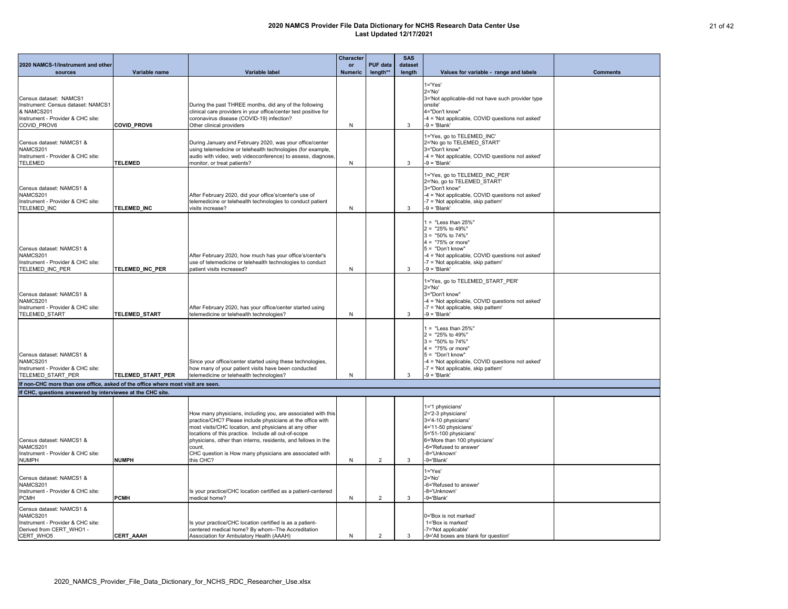| 2020 NAMCS-1/Instrument and other<br>sources                                                                                                                                      | Variable name        | Variable label                                                                                                                                                                                                                                                                                                                                                                                 | <b>Character</b><br><b>or</b><br><b>Numeric</b> | <b>PUF</b> data<br>length** | <b>SAS</b><br>dataset<br>length | Values for variable - range and labels                                                                                                                                                                                     | <b>Comments</b> |
|-----------------------------------------------------------------------------------------------------------------------------------------------------------------------------------|----------------------|------------------------------------------------------------------------------------------------------------------------------------------------------------------------------------------------------------------------------------------------------------------------------------------------------------------------------------------------------------------------------------------------|-------------------------------------------------|-----------------------------|---------------------------------|----------------------------------------------------------------------------------------------------------------------------------------------------------------------------------------------------------------------------|-----------------|
| Census dataset: NAMCS1<br>Instrument: Census dataset: NAMCS1<br>& NAMCS201<br>Instrument - Provider & CHC site:<br>COVID PROV6                                                    | <b>COVID PROV6</b>   | During the past THREE months, did any of the following<br>clinical care providers in your office/center test positive for<br>coronavirus disease (COVID-19) infection?<br>Other clinical providers                                                                                                                                                                                             | N                                               |                             | 3                               | $1 = 'Yes'$<br>$2 = 'No'$<br>3='Not applicable-did not have such provider type<br>onsite'<br>4="Don't know"<br>-4 = 'Not applicable, COVID questions not asked'<br>$-9 = 'Blank'$                                          |                 |
| Census dataset: NAMCS1 &<br>NAMCS201<br>Instrument - Provider & CHC site:<br><b>TELEMED</b>                                                                                       | <b>TELEMED</b>       | During January and February 2020, was your office/center<br>using telemedicine or telehealth technologies (for example,<br>audio with video, web videoconference) to assess, diagnose,<br>monitor, or treat patients?                                                                                                                                                                          | N                                               |                             | 3                               | 1='Yes, go to TELEMED_INC'<br>2='No go to TELEMED_START'<br>3="Don't know"<br>-4 = 'Not applicable, COVID questions not asked'<br>$-9 = 'Blank'$                                                                           |                 |
| Census dataset: NAMCS1 &<br>NAMCS201<br>Instrument - Provider & CHC site:<br><b>TELEMED INC</b>                                                                                   | <b>TELEMED INC</b>   | After February 2020, did your office's/center's use of<br>telemedicine or telehealth technologies to conduct patient<br>visits increase?                                                                                                                                                                                                                                                       | N                                               |                             | 3                               | 1='Yes, go to TELEMED_INC_PER'<br>2='No, go to TELEMED_START'<br>3="Don't know"<br>-4 = 'Not applicable, COVID questions not asked'<br>-7 = 'Not applicable, skip pattern'<br>$-9 = 'Blank'$                               |                 |
| Census dataset: NAMCS1 &<br>NAMCS201<br>Instrument - Provider & CHC site:<br>TELEMED_INC_PER                                                                                      | TELEMED_INC_PER      | After February 2020, how much has your office's/center's<br>use of telemedicine or telehealth technologies to conduct<br>patient visits increased?                                                                                                                                                                                                                                             | N                                               |                             | 3                               | $1 =$ "Less than 25%"<br>2 = "25% to 49%"<br>$3 = "50\%$ to 74%"<br>$4 = "75%$ or more"<br>$5 =$ "Don't know"<br>-4 = 'Not applicable, COVID questions not asked'<br>-7 = 'Not applicable, skip pattern'<br>$-9$ = 'Blank' |                 |
| Census dataset: NAMCS1 &<br>NAMCS201<br>Instrument - Provider & CHC site:<br><b>TELEMED START</b>                                                                                 | <b>TELEMED START</b> | After February 2020, has your office/center started using<br>telemedicine or telehealth technologies?                                                                                                                                                                                                                                                                                          | N                                               |                             | 3                               | 1='Yes, go to TELEMED_START_PER'<br>$2 = 'No'$<br>3="Don't know"<br>-4 = 'Not applicable, COVID questions not asked'<br>-7 = 'Not applicable, skip pattern'<br>$-9 = 'Blank'$                                              |                 |
| Census dataset: NAMCS1 &<br>NAMCS201<br>Instrument - Provider & CHC site:<br>TELEMED START PER<br>If non-CHC more than one office, asked of the office where most visit are seen. | TELEMED_START_PER    | Since your office/center started using these technologies,<br>how many of your patient visits have been conducted<br>telemedicine or telehealth technologies?                                                                                                                                                                                                                                  | N                                               |                             | 3                               | $1 =$ "Less than 25%"<br>2 = "25% to 49%"<br>$3 = "50\%$ to 74%"<br>$4 = "75%$ or more"<br>$5 =$ "Don't know"<br>-4 = 'Not applicable, COVID questions not asked'<br>-7 = 'Not applicable, skip pattern'<br>$-9$ = 'Blank' |                 |
| If CHC, questions answered by interviewee at the CHC site.                                                                                                                        |                      |                                                                                                                                                                                                                                                                                                                                                                                                |                                                 |                             |                                 |                                                                                                                                                                                                                            |                 |
| Census dataset: NAMCS1 &<br>NAMCS201<br>Instrument - Provider & CHC site:<br><b>NUMPH</b>                                                                                         | <b>NUMPH</b>         | How many physicians, including you, are associated with this<br>practice/CHC? Please include physicians at the office with<br>most visits/CHC location, and physicians at any other<br>locations of this practice. Include all out-of-scope<br>physicians, other than interns, residents, and fellows in the<br>count.<br>CHC question is How many physicians are associated with<br>this CHC? | N                                               | $\overline{2}$              | 3                               | 1='1 physicians'<br>2='2-3 physicians'<br>3='4-10 physicians'<br>4='11-50 physicians'<br>5='51-100 physicians'<br>6='More than 100 physicians'<br>-6='Refused to answer'<br>-8='Unknown'<br>-9='Blank'                     |                 |
| Census dataset: NAMCS1 &<br>NAMCS201<br>Instrument - Provider & CHC site:<br><b>PCMH</b>                                                                                          | <b>PCMH</b>          | Is your practice/CHC location certified as a patient-centered<br>medical home?                                                                                                                                                                                                                                                                                                                 | N                                               | $\overline{2}$              | 3                               | $1 = 'Yes'$<br>$2 = 'No'$<br>-6='Refused to answer'<br>-8='Unknown'<br>-9='Blank'                                                                                                                                          |                 |
| Census dataset: NAMCS1 &<br>NAMCS201<br>Instrument - Provider & CHC site:<br>Derived from CERT WHO1 -<br>CERT_WHO5                                                                | <b>CERT_AAAH</b>     | Is your practice/CHC location certified is as a patient-<br>centered medical home? By whom--The Accreditation<br>Association for Ambulatory Health (AAAH)                                                                                                                                                                                                                                      | N                                               | $\overline{2}$              | 3                               | 0='Box is not marked'<br>1='Box is marked'<br>-7='Not applicable'<br>-9='All boxes are blank for question'                                                                                                                 |                 |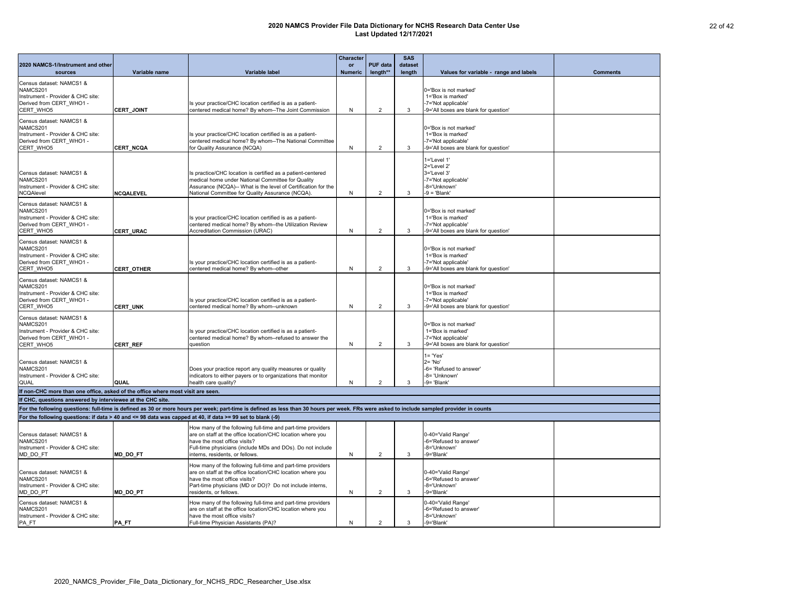|                                                                                                                    |                   |                                                                                                                                                                                                                                                            | <b>Character</b> |                 | <b>SAS</b> |                                                                                                            |                 |
|--------------------------------------------------------------------------------------------------------------------|-------------------|------------------------------------------------------------------------------------------------------------------------------------------------------------------------------------------------------------------------------------------------------------|------------------|-----------------|------------|------------------------------------------------------------------------------------------------------------|-----------------|
| 2020 NAMCS-1/Instrument and other                                                                                  |                   |                                                                                                                                                                                                                                                            | <b>or</b>        | <b>PUF data</b> | dataset    |                                                                                                            |                 |
| sources                                                                                                            | Variable name     | <b>Variable label</b>                                                                                                                                                                                                                                      | <b>Numeric</b>   | length**        | length     | Values for variable - range and labels                                                                     | <b>Comments</b> |
| Census dataset: NAMCS1 &<br>NAMCS201<br>Instrument - Provider & CHC site:<br>Derived from CERT_WHO1 -<br>CERT_WHO5 | CERT_JOINT        | Is your practice/CHC location certified is as a patient-<br>centered medical home? By whom--The Joint Commission                                                                                                                                           | N                | $\overline{2}$  | 3          | 0='Box is not marked'<br>1='Box is marked'<br>-7='Not applicable'<br>-9='All boxes are blank for question' |                 |
| Census dataset: NAMCS1 &<br>NAMCS201<br>Instrument - Provider & CHC site:<br>Derived from CERT WHO1 -<br>CERT WHO5 | <b>CERT_NCQA</b>  | Is your practice/CHC location certified is as a patient-<br>centered medical home? By whom--The National Committee<br>for Quality Assurance (NCQA)                                                                                                         | N                | $\overline{2}$  | 3          | 0='Box is not marked'<br>1='Box is marked'<br>-7='Not applicable'<br>-9='All boxes are blank for question' |                 |
| Census dataset: NAMCS1 &<br>NAMCS201<br>Instrument - Provider & CHC site:<br><b>NCQAlevel</b>                      | <b>NCQALEVEL</b>  | ls practice/CHC location is certified as a patient-centered<br>medical home under National Committee for Quality<br>Assurance (NCQA)-- What is the level of Certification for the<br>National Committee for Quality Assurance (NCQA).                      | N                | $\overline{2}$  | 3          | 1='Level 1'<br>2='Level 2'<br>3='Level 3'<br>-7='Not applicable'<br>-8='Unknown'<br>$-9 = 'Blank'$         |                 |
| Census dataset: NAMCS1 &<br>NAMCS201<br>Instrument - Provider & CHC site:<br>Derived from CERT WHO1 -<br>CERT WHO5 | <b>CERT URAC</b>  | Is your practice/CHC location certified is as a patient-<br>centered medical home? By whom--the Utilization Review<br>Accreditation Commission (URAC)                                                                                                      | N                | $\overline{2}$  | 3          | 0='Box is not marked'<br>1='Box is marked'<br>-7='Not applicable'<br>-9='All boxes are blank for question' |                 |
| Census dataset: NAMCS1 &<br>NAMCS201<br>Instrument - Provider & CHC site:<br>Derived from CERT_WHO1 -<br>CERT WHO5 | <b>CERT_OTHER</b> | Is your practice/CHC location certified is as a patient-<br>centered medical home? By whom--other                                                                                                                                                          | N                | $\overline{2}$  | 3          | 0='Box is not marked'<br>1='Box is marked'<br>-7='Not applicable'<br>-9='All boxes are blank for question' |                 |
| Census dataset: NAMCS1 &<br>NAMCS201<br>Instrument - Provider & CHC site:<br>Derived from CERT_WHO1 -<br>CERT WHO5 | <b>CERT_UNK</b>   | Is your practice/CHC location certified is as a patient-<br>centered medical home? By whom--unknown                                                                                                                                                        | N                | $\overline{2}$  | -3         | 0='Box is not marked'<br>1='Box is marked'<br>-7='Not applicable'<br>-9='All boxes are blank for question' |                 |
| Census dataset: NAMCS1 &<br>NAMCS201<br>Instrument - Provider & CHC site:<br>Derived from CERT_WHO1 -<br>CERT_WHO5 | <b>CERT_REF</b>   | Is your practice/CHC location certified is as a patient-<br>centered medical home? By whom--refused to answer the<br>question                                                                                                                              | N                | $\overline{2}$  | 3          | 0='Box is not marked'<br>1='Box is marked'<br>-7='Not applicable'<br>-9='All boxes are blank for question' |                 |
| Census dataset: NAMCS1 &<br>NAMCS201<br>Instrument - Provider & CHC site:<br>QUAL                                  | <b>QUAL</b>       | Does your practice report any quality measures or quality<br>indicators to either payers or to organizations that monitor<br>health care quality?                                                                                                          | N                | $\overline{2}$  | 3          | $1 = 'Yes'$<br>2= 'No'<br>-6= 'Refused to answer'<br>-8= 'Unknown'<br>-9= 'Blank'                          |                 |
| If non-CHC more than one office, asked of the office where most visit are seen.                                    |                   |                                                                                                                                                                                                                                                            |                  |                 |            |                                                                                                            |                 |
| If CHC, questions answered by interviewee at the CHC site.                                                         |                   |                                                                                                                                                                                                                                                            |                  |                 |            |                                                                                                            |                 |
|                                                                                                                    |                   | For the following questions: full-time is defined as 30 or more hours per week; part-time is defined as less than 30 hours per week. FRs were asked to include sampled provider in counts                                                                  |                  |                 |            |                                                                                                            |                 |
| For the following questions: if data > 40 and <= 98 data was capped at 40, if data >= 99 set to blank (-9)         |                   |                                                                                                                                                                                                                                                            |                  |                 |            |                                                                                                            |                 |
| Census dataset: NAMCS1 &<br>NAMCS201<br>Instrument - Provider & CHC site:<br>MD_DO_FT                              | MD_DO_FT          | How many of the following full-time and part-time providers<br>are on staff at the office location/CHC location where you<br>have the most office visits?<br>Full-time physicians (include MDs and DOs). Do not include<br>interns, residents, or fellows. | N                | $\overline{2}$  | 3          | 0-40='Valid Range'<br>-6='Refused to answer'<br>-8='Unknown'<br>-9='Blank'                                 |                 |
| Census dataset: NAMCS1 &<br>NAMCS201<br>Instrument - Provider & CHC site:<br>MD_DO_PT                              | MD_DO_PT          | How many of the following full-time and part-time providers<br>are on staff at the office location/CHC location where you<br>have the most office visits?<br>Part-time physicians (MD or DO)? Do not include interns,<br>residents, or fellows.            | N                | $\overline{2}$  | 3          | 0-40='Valid Range'<br>-6='Refused to answer'<br>-8='Unknown'<br>-9='Blank'                                 |                 |
| Census dataset: NAMCS1 &<br>NAMCS201<br>Instrument - Provider & CHC site:<br>PA FT                                 | <b>PAFT</b>       | How many of the following full-time and part-time providers<br>are on staff at the office location/CHC location where you<br>have the most office visits?<br>Full-time Physician Assistants (PA)?                                                          | N                | $\overline{2}$  | 3          | 0-40='Valid Range'<br>-6='Refused to answer'<br>-8='Unknown'<br>-9='Blank'                                 |                 |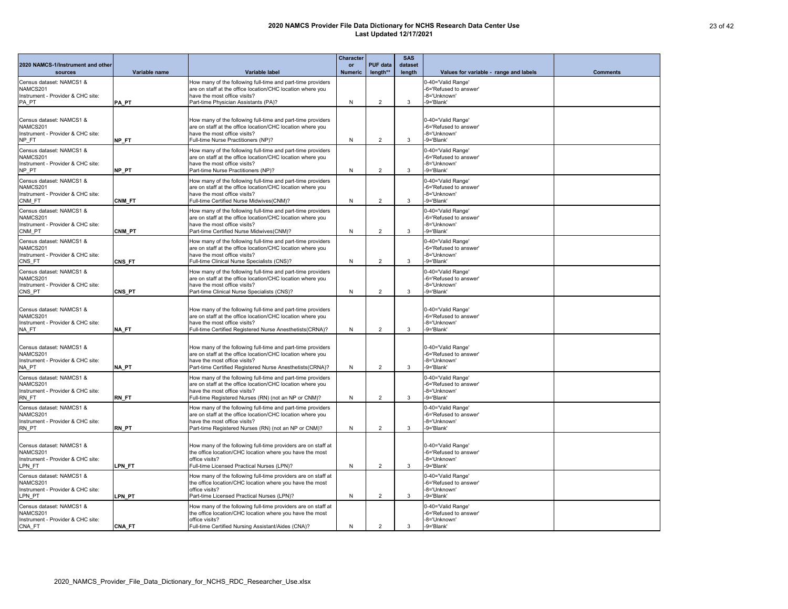| 2020 NAMCS-1/Instrument and other<br>sources                                        | Variable name | <b>Variable label</b>                                                                                                                                                                                                 | <b>Character</b><br><b>or</b><br><b>Numeric</b> | <b>PUF</b> data<br>length** | <b>SAS</b><br>dataset<br>length | Values for variable - range and labels                                     | <b>Comments</b> |
|-------------------------------------------------------------------------------------|---------------|-----------------------------------------------------------------------------------------------------------------------------------------------------------------------------------------------------------------------|-------------------------------------------------|-----------------------------|---------------------------------|----------------------------------------------------------------------------|-----------------|
| Census dataset: NAMCS1 &<br>NAMCS201<br>Instrument - Provider & CHC site:<br>PA_PT  | PA_PT         | How many of the following full-time and part-time providers<br>are on staff at the office location/CHC location where you<br>have the most office visits?<br>Part-time Physician Assistants (PA)?                     | N                                               | $\overline{2}$              | 3                               | 0-40='Valid Range'<br>-6='Refused to answer'<br>-8='Unknown'<br>-9='Blank' |                 |
| Census dataset: NAMCS1 &<br>NAMCS201<br>Instrument - Provider & CHC site:<br>NP_FT  | NP_FT         | How many of the following full-time and part-time providers<br>are on staff at the office location/CHC location where you<br>have the most office visits?<br>Full-time Nurse Practitioners (NP)?                      | N                                               | $\overline{2}$              | 3                               | 0-40='Valid Range'<br>-6='Refused to answer'<br>-8='Unknown'<br>-9='Blank' |                 |
| Census dataset: NAMCS1 &<br>NAMCS201<br>Instrument - Provider & CHC site:<br>NP_PT  | NP_PT         | How many of the following full-time and part-time providers<br>are on staff at the office location/CHC location where you<br>have the most office visits?<br>Part-time Nurse Practitioners (NP)?                      | $\mathsf{N}$                                    | $\overline{2}$              | 3                               | 0-40='Valid Range'<br>-6='Refused to answer'<br>-8='Unknown'<br>-9='Blank' |                 |
| Census dataset: NAMCS1 &<br>NAMCS201<br>Instrument - Provider & CHC site:<br>CNM FT | CNM_FT        | How many of the following full-time and part-time providers<br>are on staff at the office location/CHC location where you<br>have the most office visits?<br>Full-time Certified Nurse Midwives(CNM)?                 | N                                               | $\overline{2}$              | 3                               | 0-40='Valid Range'<br>-6='Refused to answer'<br>-8='Unknown'<br>-9='Blank' |                 |
| Census dataset: NAMCS1 &<br>NAMCS201<br>Instrument - Provider & CHC site:<br>CNM PT | CNM_PT        | How many of the following full-time and part-time providers<br>are on staff at the office location/CHC location where you<br>have the most office visits?<br>Part-time Certified Nurse Midwives(CNM)?                 | N                                               | $\overline{2}$              | 3                               | 0-40='Valid Range'<br>-6='Refused to answer'<br>-8='Unknown'<br>-9='Blank' |                 |
| Census dataset: NAMCS1 &<br>NAMCS201<br>Instrument - Provider & CHC site:<br>CNS_FT | CNS_FT        | How many of the following full-time and part-time providers<br>are on staff at the office location/CHC location where you<br>have the most office visits?<br>Full-time Clinical Nurse Specialists (CNS)?              | N                                               | $\overline{2}$              | 3                               | 0-40='Valid Range'<br>-6='Refused to answer'<br>-8='Unknown'<br>-9='Blank' |                 |
| Census dataset: NAMCS1 &<br>NAMCS201<br>Instrument - Provider & CHC site:<br>CNS_PT | CNS_PT        | How many of the following full-time and part-time providers<br>are on staff at the office location/CHC location where you<br>have the most office visits?<br>Part-time Clinical Nurse Specialists (CNS)?              | N                                               | $\overline{2}$              | 3                               | 0-40='Valid Range'<br>-6='Refused to answer'<br>-8='Unknown'<br>-9='Blank' |                 |
| Census dataset: NAMCS1 &<br>NAMCS201<br>Instrument - Provider & CHC site:<br>NA_FT  | NA_FT         | How many of the following full-time and part-time providers<br>are on staff at the office location/CHC location where you<br>have the most office visits?<br>Full-time Certified Registered Nurse Anesthetists(CRNA)? | N                                               | $\overline{2}$              | 3                               | 0-40='Valid Range'<br>-6='Refused to answer'<br>-8='Unknown'<br>-9='Blank' |                 |
| Census dataset: NAMCS1 &<br>NAMCS201<br>Instrument - Provider & CHC site:<br>NA_PT  | NA_PT         | How many of the following full-time and part-time providers<br>are on staff at the office location/CHC location where you<br>have the most office visits?<br>Part-time Certified Registered Nurse Anesthetists(CRNA)? | N                                               | 2                           | 3                               | 0-40='Valid Range'<br>-6='Refused to answer'<br>-8='Unknown'<br>-9='Blank' |                 |
| Census dataset: NAMCS1 &<br>NAMCS201<br>Instrument - Provider & CHC site:<br>RN_FT  | RN_FT         | How many of the following full-time and part-time providers<br>are on staff at the office location/CHC location where you<br>have the most office visits?<br>Full-time Registered Nurses (RN) (not an NP or CNM)?     | N                                               | $\overline{2}$              | 3                               | 0-40='Valid Range'<br>-6='Refused to answer'<br>-8='Unknown'<br>-9='Blank' |                 |
| Census dataset: NAMCS1 &<br>NAMCS201<br>Instrument - Provider & CHC site:<br>RN_PT  | RN_PT         | How many of the following full-time and part-time providers<br>are on staff at the office location/CHC location where you<br>have the most office visits?<br>Part-time Registered Nurses (RN) (not an NP or CNM)?     | N                                               | $\overline{2}$              | 3                               | 0-40='Valid Range'<br>-6='Refused to answer'<br>-8='Unknown'<br>-9='Blank' |                 |
| Census dataset: NAMCS1 &<br>NAMCS201<br>Instrument - Provider & CHC site:<br>LPN FT | LPN_FT        | How many of the following full-time providers are on staff at<br>the office location/CHC location where you have the most<br>office visits?<br>Full-time Licensed Practical Nurses (LPN)?                             | N                                               | $\overline{2}$              | 3                               | 0-40='Valid Range'<br>-6='Refused to answer'<br>-8='Unknown'<br>-9='Blank' |                 |
| Census dataset: NAMCS1 &<br>NAMCS201<br>Instrument - Provider & CHC site:<br>LPN_PT | LPN_PT        | How many of the following full-time providers are on staff at<br>the office location/CHC location where you have the most<br>office visits?<br>Part-time Licensed Practical Nurses (LPN)?                             | N                                               | $\overline{2}$              | 3                               | 0-40='Valid Range'<br>-6='Refused to answer'<br>-8='Unknown'<br>-9='Blank' |                 |
| Census dataset: NAMCS1 &<br>NAMCS201<br>Instrument - Provider & CHC site:<br>CNA_FT | CNA_FT        | How many of the following full-time providers are on staff at<br>the office location/CHC location where you have the most<br>office visits?<br>Full-time Certified Nursing Assistant/Aides (CNA)?                     | N                                               | $\overline{2}$              | 3                               | 0-40='Valid Range'<br>-6='Refused to answer'<br>-8='Unknown'<br>-9='Blank' |                 |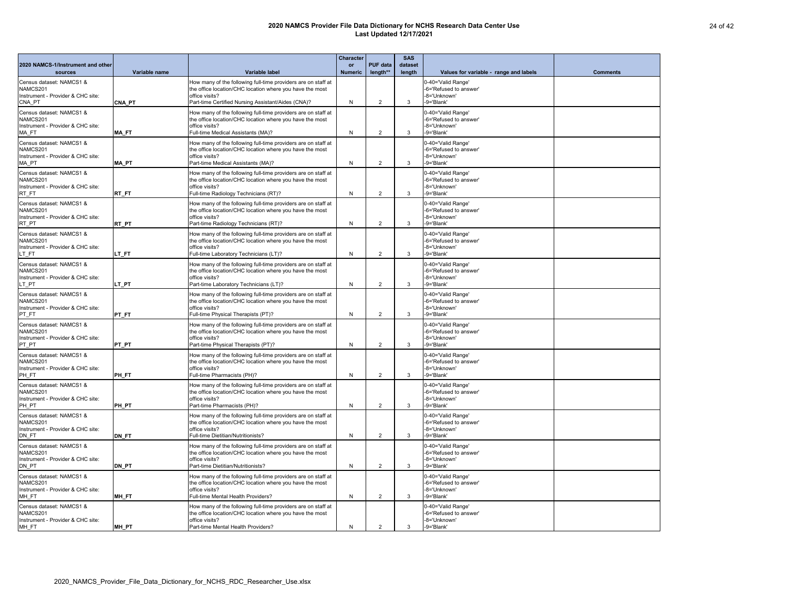| 2020 NAMCS-1/Instrument and other                                                   |               |                                                                                                                                                                                                   | <b>Character</b><br><b>or</b> | <b>PUF data</b> | <b>SAS</b><br>dataset |                                                                            |                 |
|-------------------------------------------------------------------------------------|---------------|---------------------------------------------------------------------------------------------------------------------------------------------------------------------------------------------------|-------------------------------|-----------------|-----------------------|----------------------------------------------------------------------------|-----------------|
| sources                                                                             | Variable name | <b>Variable label</b>                                                                                                                                                                             | <b>Numeric</b>                | length**        | length                | Values for variable - range and labels                                     | <b>Comments</b> |
| Census dataset: NAMCS1 &<br>NAMCS201<br>Instrument - Provider & CHC site:<br>CNA PT | <b>CNA PT</b> | How many of the following full-time providers are on staff at<br>the office location/CHC location where you have the most<br>office visits?<br>Part-time Certified Nursing Assistant/Aides (CNA)? | N                             | $\overline{2}$  | 3                     | 0-40='Valid Range'<br>-6='Refused to answer'<br>-8='Unknown'<br>-9='Blank' |                 |
| Census dataset: NAMCS1 &<br>NAMCS201<br>Instrument - Provider & CHC site:           |               | How many of the following full-time providers are on staff at<br>the office location/CHC location where you have the most<br>office visits?                                                       |                               |                 |                       | 0-40='Valid Range'<br>-6='Refused to answer'<br>-8='Unknown'               |                 |
| MA_FT                                                                               | <b>MA_FT</b>  | Full-time Medical Assistants (MA)?                                                                                                                                                                | N                             | $\overline{2}$  | 3                     | -9='Blank'                                                                 |                 |
| Census dataset: NAMCS1 &<br>NAMCS201<br>Instrument - Provider & CHC site:<br>MA_PT  | <b>MA_PT</b>  | How many of the following full-time providers are on staff at<br>the office location/CHC location where you have the most<br>office visits?<br>Part-time Medical Assistants (MA)?                 | N                             | $\overline{2}$  | 3                     | 0-40='Valid Range'<br>-6='Refused to answer'<br>-8='Unknown'<br>-9='Blank' |                 |
| Census dataset: NAMCS1 &<br>NAMCS201<br>Instrument - Provider & CHC site:           |               | How many of the following full-time providers are on staff at<br>the office location/CHC location where you have the most<br>office visits?                                                       |                               |                 |                       | 0-40='Valid Range'<br>-6='Refused to answer'<br>-8='Unknown'               |                 |
| RT_FT                                                                               | RT_FT         | Full-time Radiology Technicians (RT)?                                                                                                                                                             | N                             | $\overline{2}$  | 3                     | -9='Blank'                                                                 |                 |
| Census dataset: NAMCS1 &<br>NAMCS201<br>Instrument - Provider & CHC site:<br>RT_PT  | RT_PT         | How many of the following full-time providers are on staff at<br>the office location/CHC location where you have the most<br>office visits?<br>Part-time Radiology Technicians (RT)?              | N                             | $\overline{2}$  | 3                     | 0-40='Valid Range'<br>-6='Refused to answer'<br>-8='Unknown'<br>-9='Blank' |                 |
| Census dataset: NAMCS1 &<br>NAMCS201<br>Instrument - Provider & CHC site:           |               | How many of the following full-time providers are on staff at<br>the office location/CHC location where you have the most<br>office visits?                                                       |                               |                 |                       | 0-40='Valid Range'<br>-6='Refused to answer'<br>-8='Unknown'               |                 |
| LT_FT                                                                               | LT_FT         | Full-time Laboratory Technicians (LT)?                                                                                                                                                            | N                             | $\overline{2}$  | 3                     | -9='Blank'                                                                 |                 |
| Census dataset: NAMCS1 &<br>NAMCS201<br>Instrument - Provider & CHC site:<br>LT_PT  | LT_PT         | How many of the following full-time providers are on staff at<br>the office location/CHC location where you have the most<br>office visits?<br>Part-time Laboratory Technicians (LT)?             | N                             | $\mathcal{P}$   | 3                     | 0-40='Valid Range'<br>-6='Refused to answer'<br>-8='Unknown'<br>-9='Blank' |                 |
| Census dataset: NAMCS1 &<br>NAMCS201<br>Instrument - Provider & CHC site:           |               | How many of the following full-time providers are on staff at<br>the office location/CHC location where you have the most<br>office visits?                                                       |                               |                 |                       | 0-40='Valid Range'<br>-6='Refused to answer'<br>-8='Unknown'               |                 |
| PT_FT<br>Census dataset: NAMCS1 &<br>NAMCS201<br>Instrument - Provider & CHC site:  | PT_FT         | Full-time Physical Therapists (PT)?<br>How many of the following full-time providers are on staff at<br>the office location/CHC location where you have the most<br>office visits?                | N                             | $\overline{2}$  | 3                     | -9='Blank'<br>0-40='Valid Range'<br>-6='Refused to answer'<br>-8='Unknown' |                 |
| PT_PT                                                                               | PT_PT         | Part-time Physical Therapists (PT)?                                                                                                                                                               | N                             | $\overline{2}$  | 3                     | -9='Blank'                                                                 |                 |
| Census dataset: NAMCS1 &<br>NAMCS201<br>Instrument - Provider & CHC site:<br>PH_FT  | PH_FT         | How many of the following full-time providers are on staff at<br>the office location/CHC location where you have the most<br>office visits?<br>Full-time Pharmacists (PH)?                        | N                             | $\overline{2}$  | 3                     | 0-40='Valid Range'<br>-6='Refused to answer'<br>-8='Unknown'<br>-9='Blank' |                 |
| Census dataset: NAMCS1 &<br>NAMCS201<br>Instrument - Provider & CHC site:<br>PH_PT  | PH_PT         | How many of the following full-time providers are on staff at<br>the office location/CHC location where you have the most<br>office visits?<br>Part-time Pharmacists (PH)?                        | N                             | $\overline{2}$  | 3                     | 0-40='Valid Range'<br>-6='Refused to answer'<br>-8='Unknown'<br>-9='Blank' |                 |
| Census dataset: NAMCS1 &<br>NAMCS201<br>Instrument - Provider & CHC site:           |               | How many of the following full-time providers are on staff at<br>the office location/CHC location where you have the most<br>office visits?                                                       |                               |                 |                       | 0-40='Valid Range'<br>-6='Refused to answer'<br>-8='Unknown'               |                 |
| DN_FT                                                                               | DN_FT         | Full-time Dietitian/Nutritionists?                                                                                                                                                                | N                             | $\overline{2}$  | 3                     | -9='Blank'                                                                 |                 |
| Census dataset: NAMCS1 &<br>NAMCS201<br>Instrument - Provider & CHC site:           |               | How many of the following full-time providers are on staff at<br>the office location/CHC location where you have the most<br>office visits?                                                       |                               |                 |                       | 0-40='Valid Range'<br>-6='Refused to answer'<br>-8='Unknown'               |                 |
| DN_PT                                                                               | DN_PT         | Part-time Dietitian/Nutritionists?                                                                                                                                                                | N                             | $\overline{2}$  | 3                     | -9='Blank'                                                                 |                 |
| Census dataset: NAMCS1 &<br>NAMCS201<br>Instrument - Provider & CHC site:<br>MH_FT  | MH_FT         | How many of the following full-time providers are on staff at<br>the office location/CHC location where you have the most<br>office visits?<br>Full-time Mental Health Providers?                 | N                             | $\overline{2}$  | 3                     | 0-40='Valid Range'<br>-6='Refused to answer'<br>-8='Unknown'<br>-9='Blank' |                 |
| Census dataset: NAMCS1 &                                                            |               | How many of the following full-time providers are on staff at                                                                                                                                     |                               |                 |                       | 0-40='Valid Range'                                                         |                 |
| NAMCS201<br>Instrument - Provider & CHC site:<br>MH_FT                              | MH_PT         | the office location/CHC location where you have the most<br>office visits?<br>Part-time Mental Health Providers?                                                                                  | N                             | $\overline{2}$  | 3                     | -6='Refused to answer'<br>-8='Unknown'<br>-9='Blank'                       |                 |
|                                                                                     |               |                                                                                                                                                                                                   |                               |                 |                       |                                                                            |                 |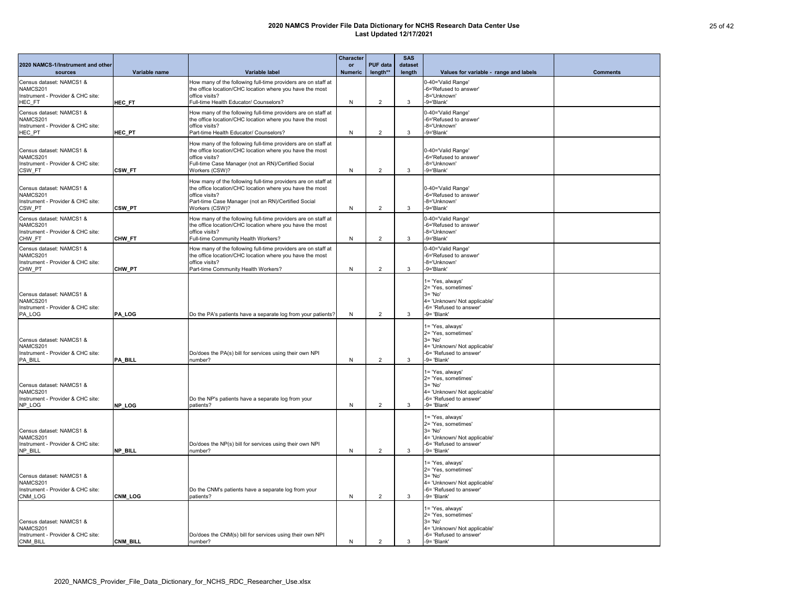| 2020 NAMCS-1/Instrument and other                                                     |                 |                                                                                                                                                                                                                      | Character<br><b>or</b> | <b>PUF data</b> | <b>SAS</b><br>dataset |                                                                                                                                    |                 |
|---------------------------------------------------------------------------------------|-----------------|----------------------------------------------------------------------------------------------------------------------------------------------------------------------------------------------------------------------|------------------------|-----------------|-----------------------|------------------------------------------------------------------------------------------------------------------------------------|-----------------|
| sources                                                                               | Variable name   | Variable label                                                                                                                                                                                                       | <b>Numeric</b>         | length**        | length                | Values for variable - range and labels                                                                                             | <b>Comments</b> |
| Census dataset: NAMCS1 &<br>NAMCS201<br>Instrument - Provider & CHC site:             |                 | How many of the following full-time providers are on staff at<br>the office location/CHC location where you have the most<br>office visits?                                                                          |                        |                 |                       | 0-40='Valid Range'<br>-6='Refused to answer'<br>-8='Unknown'                                                                       |                 |
| HEC_FT<br>Census dataset: NAMCS1 &                                                    | HEC_FT          | Full-time Health Educator/ Counselors?<br>How many of the following full-time providers are on staff at                                                                                                              | N                      | $\overline{2}$  | 3                     | -9='Blank'<br>0-40='Valid Range'                                                                                                   |                 |
| NAMCS201                                                                              |                 | the office location/CHC location where you have the most                                                                                                                                                             |                        |                 |                       | -6='Refused to answer'                                                                                                             |                 |
| Instrument - Provider & CHC site:<br>HEC_PT                                           | HEC_PT          | office visits?<br>Part-time Health Educator/ Counselors?                                                                                                                                                             | N                      | 2               | 3                     | -8='Unknown'<br>-9='Blank'                                                                                                         |                 |
| Census dataset: NAMCS1 &<br>NAMCS201<br>Instrument - Provider & CHC site:             |                 | How many of the following full-time providers are on staff at<br>the office location/CHC location where you have the most<br>office visits?<br>Full-time Case Manager (not an RN)/Certified Social                   |                        |                 |                       | 0-40='Valid Range'<br>-6='Refused to answer'<br>-8='Unknown'                                                                       |                 |
| CSW FT                                                                                | <b>CSW_FT</b>   | Workers (CSW)?                                                                                                                                                                                                       | N                      | $\overline{2}$  | 3                     | -9='Blank'                                                                                                                         |                 |
| Census dataset: NAMCS1 &<br>NAMCS201<br>Instrument - Provider & CHC site:<br>CSW PT   | <b>CSW_PT</b>   | How many of the following full-time providers are on staff at<br>the office location/CHC location where you have the most<br>office visits?<br>Part-time Case Manager (not an RN)/Certified Social<br>Workers (CSW)? | N                      | 2               | 3                     | 0-40='Valid Range'<br>-6='Refused to answer'<br>-8='Unknown'<br>-9='Blank'                                                         |                 |
| Census dataset: NAMCS1 &<br>NAMCS201<br>Instrument - Provider & CHC site:<br>CHW_FT   | CHW_FT          | How many of the following full-time providers are on staff at<br>the office location/CHC location where you have the most<br>office visits?<br>Full-time Community Health Workers?                                   | N                      | 2               | 3                     | 0-40='Valid Range'<br>-6='Refused to answer'<br>-8='Unknown'<br>-9='Blank'                                                         |                 |
| Census dataset: NAMCS1 &                                                              |                 | How many of the following full-time providers are on staff at                                                                                                                                                        |                        |                 |                       | 0-40='Valid Range'                                                                                                                 |                 |
| NAMCS201<br>Instrument - Provider & CHC site:<br>CHW_PT                               | CHW_PT          | the office location/CHC location where you have the most<br>office visits?<br>Part-time Community Health Workers?                                                                                                    | N                      | $\overline{2}$  | 3                     | -6='Refused to answer'<br>-8='Unknown'<br>-9='Blank'                                                                               |                 |
| Census dataset: NAMCS1 &<br>NAMCS201<br>Instrument - Provider & CHC site:<br>PA_LOG   | <b>PA_LOG</b>   | Do the PA's patients have a separate log from your patients?                                                                                                                                                         | N                      | $\overline{2}$  | 3                     | 1= 'Yes, always'<br>2= 'Yes, sometimes'<br>$3 = 'No'$<br>4= 'Unknown/ Not applicable'<br>-6= 'Refused to answer'<br>$-9$ = 'Blank' |                 |
| Census dataset: NAMCS1 &<br>NAMCS201<br>Instrument - Provider & CHC site:<br>PA_BILL  | PA_BILL         | Do/does the PA(s) bill for services using their own NPI<br>number?                                                                                                                                                   | N                      | $\overline{2}$  | 3                     | 1= 'Yes, always'<br>2= 'Yes, sometimes'<br>$3 = 'No'$<br>4= 'Unknown/ Not applicable'<br>-6= 'Refused to answer'<br>-9= 'Blank'    |                 |
| Census dataset: NAMCS1 &<br>NAMCS201<br>Instrument - Provider & CHC site:<br>NP_LOG   | <b>NP_LOG</b>   | Do the NP's patients have a separate log from your<br>patients?                                                                                                                                                      | N                      | $\overline{2}$  | 3                     | 1= 'Yes, always'<br>2= 'Yes, sometimes'<br>$3 = 'No'$<br>4= 'Unknown/ Not applicable'<br>-6= 'Refused to answer'<br>-9= 'Blank'    |                 |
| Census dataset: NAMCS1 &<br>NAMCS201<br>Instrument - Provider & CHC site:<br>NP_BILL  | NP_BILL         | Do/does the NP(s) bill for services using their own NPI<br>number?                                                                                                                                                   | N                      | $\overline{2}$  | 3                     | 1= 'Yes, always'<br>2= 'Yes, sometimes'<br>$3 = 'No'$<br>4= 'Unknown/ Not applicable'<br>-6= 'Refused to answer'<br>$-9$ = 'Blank' |                 |
| Census dataset: NAMCS1 &<br>NAMCS201<br>Instrument - Provider & CHC site:<br>CNM_LOG  | <b>CNM_LOG</b>  | Do the CNM's patients have a separate log from your<br>patients?                                                                                                                                                     | N                      | $\overline{2}$  | 3                     | 1= 'Yes, always'<br>2= 'Yes, sometimes'<br>$3 = 'No'$<br>4= 'Unknown/ Not applicable'<br>-6= 'Refused to answer'<br>-9= 'Blank'    |                 |
| Census dataset: NAMCS1 &<br>NAMCS201<br>Instrument - Provider & CHC site:<br>CNM_BILL | <b>CNM_BILL</b> | Do/does the CNM(s) bill for services using their own NPI<br>number?                                                                                                                                                  | N                      | $\overline{2}$  | 3                     | 1= 'Yes, always'<br>2= 'Yes, sometimes'<br>$3 = 'No'$<br>4= 'Unknown/ Not applicable'<br>-6= 'Refused to answer'<br>-9= 'Blank'    |                 |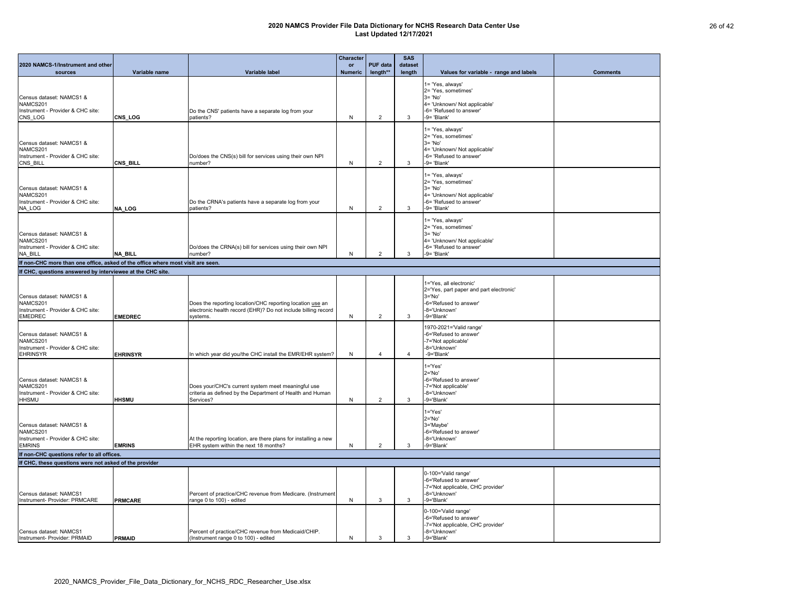|                                                                                              |                 |                                                                                                                                        | Character      |                 | <b>SAS</b> |                                                                                                                                          |                 |
|----------------------------------------------------------------------------------------------|-----------------|----------------------------------------------------------------------------------------------------------------------------------------|----------------|-----------------|------------|------------------------------------------------------------------------------------------------------------------------------------------|-----------------|
| 2020 NAMCS-1/Instrument and other                                                            |                 |                                                                                                                                        | <b>or</b>      | <b>PUF data</b> | dataset    |                                                                                                                                          |                 |
| sources                                                                                      | Variable name   | Variable label                                                                                                                         | <b>Numeric</b> | length**        | length     | Values for variable - range and labels                                                                                                   | <b>Comments</b> |
| Census dataset: NAMCS1 &<br>NAMCS201<br>Instrument - Provider & CHC site:<br>CNS LOG         | <b>CNS_LOG</b>  | Do the CNS' patients have a separate log from your<br>patients?                                                                        | N              | $\overline{2}$  | 3          | 1= 'Yes, always'<br>2= 'Yes, sometimes'<br>$3 = 'No'$<br>4= 'Unknown/ Not applicable'<br>-6= 'Refused to answer'<br>-9= 'Blank'          |                 |
|                                                                                              |                 |                                                                                                                                        |                |                 |            |                                                                                                                                          |                 |
| Census dataset: NAMCS1 &<br>NAMCS201<br>Instrument - Provider & CHC site:<br>CNS_BILL        | <b>CNS_BILL</b> | Do/does the CNS(s) bill for services using their own NPI<br>number?                                                                    | N              | $\overline{2}$  | 3          | 1= 'Yes, always'<br>2= 'Yes, sometimes'<br>$3 = 'No'$<br>4= 'Unknown/ Not applicable'<br>-6= 'Refused to answer'<br>-9= 'Blank'          |                 |
| Census dataset: NAMCS1 &<br>NAMCS201<br>Instrument - Provider & CHC site:<br>NA_LOG          | NA_LOG          | Do the CRNA's patients have a separate log from your<br>patients?                                                                      | N              | $\overline{2}$  | 3          | 1= 'Yes, always'<br>2= 'Yes, sometimes'<br>$3 = 'No'$<br>4= 'Unknown/ Not applicable'<br>-6= 'Refused to answer'<br>-9= 'Blank'          |                 |
| Census dataset: NAMCS1 &<br>NAMCS201<br>Instrument - Provider & CHC site:<br>NA_BILL         | <b>NA_BILL</b>  | Do/does the CRNA(s) bill for services using their own NPI<br>number?                                                                   | N              | $\overline{2}$  | 3          | 1= 'Yes, always'<br>2= 'Yes, sometimes'<br>$3 = 'No'$<br>4= 'Unknown/ Not applicable'<br>-6= 'Refused to answer'<br>-9= 'Blank'          |                 |
| If non-CHC more than one office, asked of the office where most visit are seen.              |                 |                                                                                                                                        |                |                 |            |                                                                                                                                          |                 |
| If CHC, questions answered by interviewee at the CHC site.                                   |                 |                                                                                                                                        |                |                 |            |                                                                                                                                          |                 |
| Census dataset: NAMCS1 &<br>NAMCS201<br>Instrument - Provider & CHC site:<br><b>EMEDREC</b>  | <b>EMEDREC</b>  | Does the reporting location/CHC reporting location use an<br>electronic health record (EHR)? Do not include billing record<br>systems. | N              | $\overline{2}$  | 3          | 1='Yes, all electronic'<br>2='Yes, part paper and part electronic'<br>$3 = 'No'$<br>-6='Refused to answer'<br>-8='Unknown'<br>-9='Blank' |                 |
| Census dataset: NAMCS1 &<br>NAMCS201<br>Instrument - Provider & CHC site:<br><b>EHRINSYR</b> | <b>EHRINSYR</b> | In which year did you/the CHC install the EMR/EHR system?                                                                              | N              | 4               | 4          | 1970-2021='Valid range'<br>-6='Refused to answer'<br>-7='Not applicable'<br>-8='Unknown'<br>-9='Blank'                                   |                 |
| Census dataset: NAMCS1 &<br>NAMCS201<br>Instrument - Provider & CHC site:<br><b>HHSMU</b>    | <b>HHSMU</b>    | Does your/CHC's current system meet meaningful use<br>criteria as defined by the Department of Health and Human<br>Services?           | N              | 2               | 3          | $1 = 'Yes'$<br>$2 = 'No'$<br>-6='Refused to answer'<br>-7='Not applicable'<br>-8='Unknown'<br>-9='Blank'                                 |                 |
| Census dataset: NAMCS1 &<br>NAMCS201<br>Instrument - Provider & CHC site:<br><b>EMRINS</b>   | <b>EMRINS</b>   | At the reporting location, are there plans for installing a new<br>EHR system within the next 18 months?                               | N              | $\overline{2}$  | 3          | $1 = 'Yes'$<br>$2 = 'No'$<br>3='Maybe'<br>-6='Refused to answer'<br>-8='Unknown'<br>-9='Blank'                                           |                 |
| If non-CHC questions refer to all offices.                                                   |                 |                                                                                                                                        |                |                 |            |                                                                                                                                          |                 |
| If CHC, these questions were not asked of the provider                                       |                 |                                                                                                                                        |                |                 |            |                                                                                                                                          |                 |
| Census dataset: NAMCS1<br>Instrument- Provider: PRMCARE                                      | <b>PRMCARE</b>  | Percent of practice/CHC revenue from Medicare. (Instrument<br>range 0 to 100) - edited                                                 | N              | 3               | 3          | 0-100='Valid range'<br>-6='Refused to answer'<br>-7='Not applicable, CHC provider'<br>-8='Unknown'<br>-9='Blank'                         |                 |
| Census dataset: NAMCS1<br>Instrument- Provider: PRMAID                                       | <b>PRMAID</b>   | Percent of practice/CHC revenue from Medicaid/CHIP.<br>(Instrument range 0 to 100) - edited                                            | N              | 3               | 3          | 0-100='Valid range'<br>-6='Refused to answer'<br>-7='Not applicable, CHC provider'<br>-8='Unknown'<br>-9='Blank'                         |                 |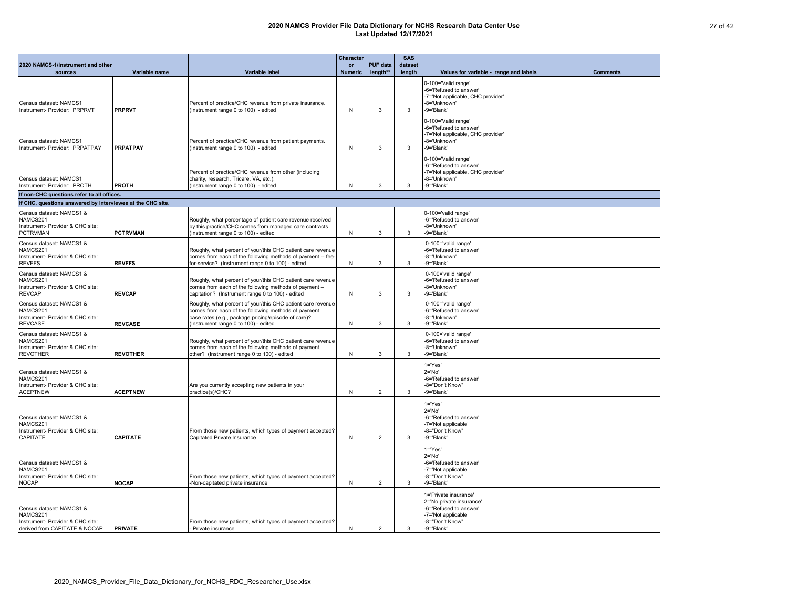|                                                                                                           |                 |                                                                                                                                                                                                                     | <b>Character</b>     |                             | <b>SAS</b>        |                                                                                                                                     |                 |
|-----------------------------------------------------------------------------------------------------------|-----------------|---------------------------------------------------------------------------------------------------------------------------------------------------------------------------------------------------------------------|----------------------|-----------------------------|-------------------|-------------------------------------------------------------------------------------------------------------------------------------|-----------------|
| 2020 NAMCS-1/Instrument and other<br><b>sources</b>                                                       | Variable name   | <b>Variable label</b>                                                                                                                                                                                               | or<br><b>Numeric</b> | <b>PUF data</b><br>length** | dataset<br>length | Values for variable - range and labels                                                                                              | <b>Comments</b> |
| Census dataset: NAMCS1<br>Instrument- Provider: PRPRVT                                                    | <b>PRPRVT</b>   | Percent of practice/CHC revenue from private insurance.<br>(Instrument range 0 to 100) - edited                                                                                                                     | N                    | 3                           | -3                | 0-100='Valid range'<br>-6='Refused to answer'<br>-7='Not applicable, CHC provider'<br>-8='Unknown'<br>-9='Blank'                    |                 |
| Census dataset: NAMCS1<br>Instrument- Provider: PRPATPAY                                                  | <b>PRPATPAY</b> | Percent of practice/CHC revenue from patient payments.<br>(Instrument range 0 to 100) - edited                                                                                                                      | N                    | 3                           | 3                 | 0-100='Valid range'<br>-6='Refused to answer'<br>-7='Not applicable, CHC provider'<br>-8='Unknown'<br>-9='Blank'                    |                 |
| Census dataset: NAMCS1<br>Instrument- Provider: PROTH                                                     | <b>PROTH</b>    | Percent of practice/CHC revenue from other (including<br>charity, research, Tricare, VA, etc.).<br>(Instrument range 0 to 100) - edited                                                                             | N                    | 3                           | 3                 | 0-100='Valid range'<br>-6='Refused to answer'<br>-7='Not applicable, CHC provider'<br>-8='Unknown'<br>-9='Blank'                    |                 |
| If non-CHC questions refer to all offices.                                                                |                 |                                                                                                                                                                                                                     |                      |                             |                   |                                                                                                                                     |                 |
| If CHC, questions answered by interviewee at the CHC site.                                                |                 |                                                                                                                                                                                                                     |                      |                             |                   |                                                                                                                                     |                 |
| Census dataset: NAMCS1 &<br>NAMCS201<br>Instrument- Provider & CHC site:<br><b>PCTRVMAN</b>               | <b>PCTRVMAN</b> | Roughly, what percentage of patient care revenue received<br>by this practice/CHC comes from managed care contracts.<br>(Instrument range 0 to 100) - edited                                                        | N                    | 3                           | 3                 | 0-100='valid range'<br>-6='Refused to answer'<br>-8='Unknown'<br>-9='Blank'                                                         |                 |
| Census dataset: NAMCS1 &<br>NAMCS201<br>Instrument- Provider & CHC site:<br><b>REVFFS</b>                 | <b>REVFFS</b>   | Roughly, what percent of your/this CHC patient care revenue<br>comes from each of the following methods of payment -- fee-<br>for-service? (Instrument range 0 to 100) - edited                                     | N                    | 3                           | 3                 | 0-100='valid range'<br>-6='Refused to answer'<br>-8='Unknown'<br>-9='Blank'                                                         |                 |
| Census dataset: NAMCS1 &<br>NAMCS201<br>Instrument- Provider & CHC site:<br><b>REVCAP</b>                 | <b>REVCAP</b>   | Roughly, what percent of your/this CHC patient care revenue<br>comes from each of the following methods of payment -<br>capitation? (Instrument range 0 to 100) - edited                                            | N                    | 3                           | 3                 | 0-100='valid range'<br>-6='Refused to answer'<br>-8='Unknown'<br>-9='Blank'                                                         |                 |
| Census dataset: NAMCS1 &<br>NAMCS201<br>Instrument- Provider & CHC site:<br><b>REVCASE</b>                | <b>REVCASE</b>  | Roughly, what percent of your/this CHC patient care revenue<br>comes from each of the following methods of payment -<br>case rates (e.g., package pricing/episode of care)?<br>(Instrument range 0 to 100) - edited | N                    | 3                           | 3                 | 0-100='valid range'<br>-6='Refused to answer'<br>-8='Unknown'<br>-9='Blank'                                                         |                 |
| Census dataset: NAMCS1 &<br>NAMCS201<br>Instrument- Provider & CHC site:<br><b>REVOTHER</b>               | <b>REVOTHER</b> | Roughly, what percent of your/this CHC patient care revenue<br>comes from each of the following methods of payment -<br>other? (Instrument range 0 to 100) - edited                                                 | N                    | 3                           | 3                 | 0-100='valid range'<br>-6='Refused to answer'<br>-8='Unknown'<br>-9='Blank'                                                         |                 |
| Census dataset: NAMCS1 &<br>NAMCS201<br>Instrument- Provider & CHC site:<br><b>ACEPTNEW</b>               | <b>ACEPTNEW</b> | Are you currently accepting new patients in your<br>practice(s)/CHC?                                                                                                                                                | N                    | $\overline{2}$              | 3                 | $1 = 'Yes'$<br>$2 = 'No'$<br>-6='Refused to answer'<br>-8="Don't Know"<br>-9='Blank'                                                |                 |
| Census dataset: NAMCS1 &<br>NAMCS201<br>Instrument- Provider & CHC site:<br><b>CAPITATE</b>               | <b>CAPITATE</b> | From those new patients, which types of payment accepted?<br>Capitated Private Insurance                                                                                                                            | N                    | $\overline{2}$              | $\mathbf{3}$      | $1 = 'Yes'$<br>$2 = 'No'$<br>-6='Refused to answer'<br>-7='Not applicable'<br>-8="Don't Know"<br>-9='Blank'                         |                 |
| Census dataset: NAMCS1 &<br>NAMCS201<br>Instrument- Provider & CHC site:<br><b>NOCAP</b>                  | <b>NOCAP</b>    | From those new patients, which types of payment accepted?<br>-Non-capitated private insurance                                                                                                                       | N                    | 2                           | 3                 | $1 = Yes'$<br>$2 = 'No'$<br>-6='Refused to answer'<br>-7='Not applicable'<br>-8="Don't Know"<br>-9='Blank'                          |                 |
| Census dataset: NAMCS1 &<br>NAMCS201<br>Instrument- Provider & CHC site:<br>derived from CAPITATE & NOCAP | <b>PRIVATE</b>  | From those new patients, which types of payment accepted?<br>- Private insurance                                                                                                                                    | N                    | $\overline{2}$              | 3                 | 1='Private insurance'<br>2='No private insurance'<br>-6='Refused to answer'<br>-7='Not applicable'<br>-8="Don't Know"<br>-9='Blank' |                 |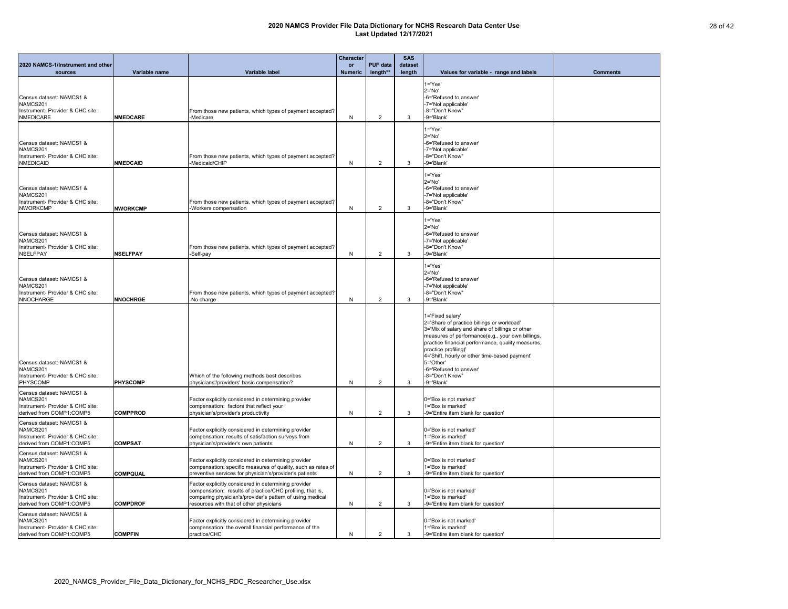| 2020 NAMCS-1/Instrument and other                                                                    |                  |                                                                                                                                                                                                                           | <b>Character</b><br><b>or</b> | <b>PUF data</b> | <b>SAS</b><br>dataset |                                                                                                                                                                                                                                                                                                                                                                             |                 |
|------------------------------------------------------------------------------------------------------|------------------|---------------------------------------------------------------------------------------------------------------------------------------------------------------------------------------------------------------------------|-------------------------------|-----------------|-----------------------|-----------------------------------------------------------------------------------------------------------------------------------------------------------------------------------------------------------------------------------------------------------------------------------------------------------------------------------------------------------------------------|-----------------|
| sources                                                                                              | Variable name    | Variable label                                                                                                                                                                                                            | <b>Numeric</b>                | length**        | length                | Values for variable - range and labels                                                                                                                                                                                                                                                                                                                                      | <b>Comments</b> |
| Census dataset: NAMCS1 &<br>NAMCS201<br>Instrument- Provider & CHC site:<br><b>NMEDICARE</b>         | <b>NMEDCARE</b>  | From those new patients, which types of payment accepted?<br>-Medicare                                                                                                                                                    | N                             | $\overline{2}$  | -3                    | $1 = 'Yes'$<br>$2 = 'No'$<br>-6='Refused to answer'<br>-7='Not applicable'<br>-8="Don't Know"<br>-9='Blank'                                                                                                                                                                                                                                                                 |                 |
| Census dataset: NAMCS1 &<br>NAMCS201<br>Instrument- Provider & CHC site:<br><b>NMEDICAID</b>         | <b>NMEDCAID</b>  | From those new patients, which types of payment accepted?<br>-Medicaid/CHIP                                                                                                                                               | N                             | $\overline{2}$  | 3                     | $1 = 'Yes'$<br>$2 = 'No'$<br>-6='Refused to answer'<br>-7='Not applicable'<br>-8="Don't Know"<br>-9='Blank'                                                                                                                                                                                                                                                                 |                 |
| Census dataset: NAMCS1 &<br>NAMCS201<br>Instrument- Provider & CHC site:<br><b>NWORKCMP</b>          | <b>INWORKCMP</b> | From those new patients, which types of payment accepted?<br>-Workers compensation                                                                                                                                        | N                             | $\overline{2}$  | 3                     | 1='Yes'<br>$2 = 'No'$<br>-6='Refused to answer'<br>-7='Not applicable'<br>-8="Don't Know"<br>-9='Blank'                                                                                                                                                                                                                                                                     |                 |
| Census dataset: NAMCS1 &<br>NAMCS201<br>Instrument- Provider & CHC site:<br><b>NSELFPAY</b>          | <b>NSELFPAY</b>  | From those new patients, which types of payment accepted?<br>-Self-pay                                                                                                                                                    | N                             | $\overline{2}$  | 3                     | $1 = 'Yes'$<br>$2 = 'No'$<br>-6='Refused to answer'<br>-7='Not applicable'<br>-8="Don't Know"<br>-9='Blank'                                                                                                                                                                                                                                                                 |                 |
| Census dataset: NAMCS1 &<br>NAMCS201<br>Instrument- Provider & CHC site:<br><b>NNOCHARGE</b>         | <b>NNOCHRGE</b>  | From those new patients, which types of payment accepted?<br>-No charge                                                                                                                                                   | N                             | $\overline{2}$  | 3                     | $1 = 'Yes'$<br>$2 = 'No'$<br>-6='Refused to answer'<br>-7='Not applicable'<br>-8="Don't Know"<br>-9='Blank'                                                                                                                                                                                                                                                                 |                 |
| Census dataset: NAMCS1 &<br>NAMCS201<br>Instrument- Provider & CHC site:<br>PHYSCOMP                 | <b>IPHYSCOMP</b> | Which of the following methods best describes<br>physicians'/providers' basic compensation?                                                                                                                               | N                             | $\overline{2}$  | 3                     | 1='Fixed salary'<br>2='Share of practice billings or workload'<br>3='Mix of salary and share of billings or other<br>measures of performance(e.g., your own billings,<br>practice financial performance, quality measures,<br>practice profiling)'<br>4='Shift, hourly or other time-based payment'<br>5='Other'<br>-6='Refused to answer'<br>-8="Don't Know"<br>-9='Blank' |                 |
| Census dataset: NAMCS1 &<br>NAMCS201<br>Instrument- Provider & CHC site:<br>derived from COMP1:COMP5 | <b>COMPPROD</b>  | Factor explicitly considered in determining provider<br>compensation: factors that reflect your<br>physician's/provider's productivity                                                                                    | N                             | $\overline{2}$  | 3                     | 0='Box is not marked'<br>1='Box is marked'<br>-9='Entire item blank for question'                                                                                                                                                                                                                                                                                           |                 |
| Census dataset: NAMCS1 &<br>NAMCS201<br>Instrument- Provider & CHC site:<br>derived from COMP1:COMP5 | <b>COMPSAT</b>   | Factor explicitly considered in determining provider<br>compensation: results of satisfaction surveys from<br>physician's/provider's own patients                                                                         | N                             | $\overline{2}$  | -3                    | 0='Box is not marked'<br>1='Box is marked'<br>-9='Entire item blank for question'                                                                                                                                                                                                                                                                                           |                 |
| Census dataset: NAMCS1 &<br>NAMCS201<br>Instrument- Provider & CHC site:<br>derived from COMP1:COMP5 | <b>COMPQUAL</b>  | Factor explicitly considered in determining provider<br>compensation: specific measures of quality, such as rates of<br>preventive services for physician's/provider's patients                                           | N                             | $\overline{2}$  | 3                     | 0='Box is not marked'<br>1='Box is marked'<br>-9='Entire item blank for question'                                                                                                                                                                                                                                                                                           |                 |
| Census dataset: NAMCS1 &<br>NAMCS201<br>Instrument- Provider & CHC site:<br>derived from COMP1:COMP5 | <b>COMPDROF</b>  | Factor explicitly considered in determining provider<br>compensation: results of practice/CHC profiling, that is,<br>comparing physician's/provider's pattern of using medical<br>resources with that of other physicians | N                             | $\overline{2}$  | 3                     | 0='Box is not marked'<br>1='Box is marked'<br>-9='Entire item blank for question'                                                                                                                                                                                                                                                                                           |                 |
| Census dataset: NAMCS1 &<br>NAMCS201<br>Instrument- Provider & CHC site:<br>derived from COMP1:COMP5 | <b>COMPFIN</b>   | Factor explicitly considered in determining provider<br>compensation: the overall financial performance of the<br>practice/CHC                                                                                            | N                             | $\overline{2}$  | 3                     | 0='Box is not marked'<br>1='Box is marked'<br>-9='Entire item blank for question'                                                                                                                                                                                                                                                                                           |                 |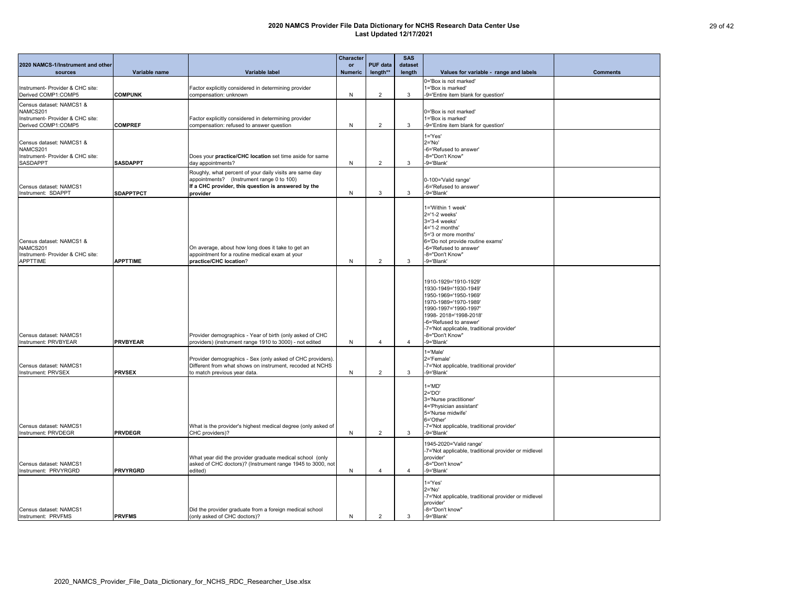| 2020 NAMCS-1/Instrument and other<br>sources                                                | Variable name    | Variable label                                                                                                                                              | Character<br>or<br><b>Numeric</b> | <b>PUF data</b><br>length** | <b>SAS</b><br>dataset<br>length | Values for variable - range and labels                                                                                                                                                                                                                     | <b>Comments</b> |
|---------------------------------------------------------------------------------------------|------------------|-------------------------------------------------------------------------------------------------------------------------------------------------------------|-----------------------------------|-----------------------------|---------------------------------|------------------------------------------------------------------------------------------------------------------------------------------------------------------------------------------------------------------------------------------------------------|-----------------|
| Instrument- Provider & CHC site:                                                            |                  | Factor explicitly considered in determining provider                                                                                                        |                                   |                             |                                 | 0='Box is not marked'<br>1='Box is marked'                                                                                                                                                                                                                 |                 |
| Derived COMP1:COMP5                                                                         | <b>COMPUNK</b>   | compensation: unknown                                                                                                                                       | N                                 | $\overline{2}$              | $\mathbf{3}$                    | -9='Entire item blank for question'                                                                                                                                                                                                                        |                 |
| Census dataset: NAMCS1 &<br>NAMCS201                                                        |                  |                                                                                                                                                             |                                   |                             |                                 | 0='Box is not marked'                                                                                                                                                                                                                                      |                 |
| Instrument- Provider & CHC site:                                                            |                  | Factor explicitly considered in determining provider                                                                                                        |                                   |                             |                                 | 1='Box is marked'                                                                                                                                                                                                                                          |                 |
| Derived COMP1:COMP5                                                                         | <b>COMPREF</b>   | compensation: refused to answer question                                                                                                                    | N                                 | $\overline{2}$              | 3                               | -9='Entire item blank for question'                                                                                                                                                                                                                        |                 |
| Census dataset: NAMCS1 &                                                                    |                  |                                                                                                                                                             |                                   |                             |                                 | $1 = 'Yes'$<br>$2 = 'No'$                                                                                                                                                                                                                                  |                 |
| NAMCS201<br>Instrument- Provider & CHC site:                                                |                  | Does your practice/CHC location set time aside for same                                                                                                     |                                   |                             |                                 | -6='Refused to answer'<br>-8="Don't Know"                                                                                                                                                                                                                  |                 |
| <b>SASDAPPT</b>                                                                             | <b>SASDAPPT</b>  | day appointments?                                                                                                                                           | N                                 | $\overline{2}$              | 3                               | -9='Blank'                                                                                                                                                                                                                                                 |                 |
| Census dataset: NAMCS1                                                                      |                  | Roughly, what percent of your daily visits are same day<br>appointments? (Instrument range 0 to 100)<br>If a CHC provider, this question is answered by the |                                   |                             |                                 | 0-100='Valid range'<br>-6='Refused to answer'                                                                                                                                                                                                              |                 |
| Instrument: SDAPPT                                                                          | <b>SDAPPTPCT</b> | provider                                                                                                                                                    | N                                 | 3                           | -3                              | -9='Blank'                                                                                                                                                                                                                                                 |                 |
| Census dataset: NAMCS1 &<br>NAMCS201<br>Instrument- Provider & CHC site:<br><b>APPTTIME</b> | <b>APPTTIME</b>  | On average, about how long does it take to get an<br>appointment for a routine medical exam at your<br>practice/CHC location?                               | N                                 | $\overline{2}$              | 3                               | 1='Within 1 week'<br>2='1-2 weeks'<br>3='3-4 weeks'<br>$4=1-2$ months'<br>5='3 or more months'<br>6='Do not provide routine exams'<br>-6='Refused to answer'<br>-8="Don't Know"<br>-9='Blank'                                                              |                 |
|                                                                                             |                  |                                                                                                                                                             |                                   |                             |                                 |                                                                                                                                                                                                                                                            |                 |
| Census dataset: NAMCS1<br>Instrument: PRVBYEAR                                              | <b>PRVBYEAR</b>  | Provider demographics - Year of birth (only asked of CHC<br>providers) (instrument range 1910 to 3000) - not edited                                         | N                                 | 4                           | $\overline{4}$                  | 1910-1929='1910-1929'<br>1930-1949='1930-1949'<br>1950-1969='1950-1969'<br>1970-1989='1970-1989'<br>1990-1997='1990-1997'<br>1998-2018='1998-2018'<br>-6='Refused to answer'<br>-7='Not applicable, traditional provider'<br>-8="Don't Know"<br>-9='Blank' |                 |
| Census dataset: NAMCS1<br>Instrument: PRVSEX                                                | <b>PRVSEX</b>    | Provider demographics - Sex (only asked of CHC providers).<br>Different from what shows on instrument, recoded at NCHS<br>to match previous year data.      | N                                 | $\overline{2}$              | $\mathbf{3}$                    | 1='Male'<br>2='Female'<br>-7='Not applicable, traditional provider'<br>-9='Blank'                                                                                                                                                                          |                 |
| Census dataset: NAMCS1<br>Instrument: PRVDEGR                                               | <b>PRVDEGR</b>   | What is the provider's highest medical degree (only asked of<br>CHC providers)?                                                                             | N                                 | $\overline{2}$              | 3                               | $1 = 'MD'$<br>$2 = 'DO'$<br>3='Nurse practitioner'<br>4='Physician assistant'<br>5='Nurse midwife'<br>6='Other'<br>-7='Not applicable, traditional provider'<br>-9='Blank'                                                                                 |                 |
| Census dataset: NAMCS1<br>Instrument: PRVYRGRD                                              | <b>PRVYRGRD</b>  | What year did the provider graduate medical school (only<br>asked of CHC doctors)? (Instrument range 1945 to 3000, not<br>edited)                           | N                                 | $\overline{4}$              | 4                               | 1945-2020='Valid range'<br>-7='Not applicable, traditional provider or midlevel<br>provider'<br>-8="Don't know"<br>-9='Blank'                                                                                                                              |                 |
| Census dataset: NAMCS1<br>Instrument: PRVFMS                                                | <b>PRVFMS</b>    | Did the provider graduate from a foreign medical school<br>(only asked of CHC doctors)?                                                                     | N                                 | $\overline{2}$              | 3                               | $1 = 'Yes'$<br>$2 = 'No'$<br>-7='Not applicable, traditional provider or midlevel<br>provider'<br>-8="Don't know"<br>-9='Blank'                                                                                                                            |                 |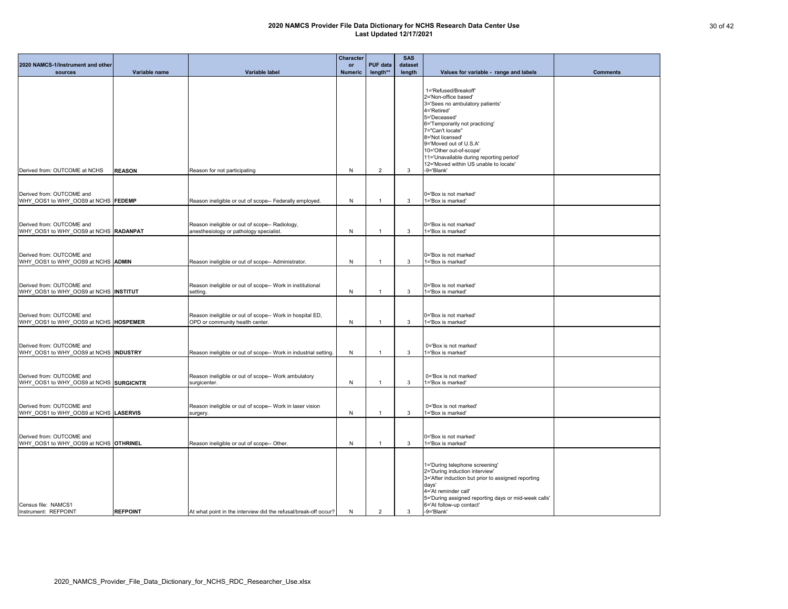| 30. | ΩТ | 4 |
|-----|----|---|
|     |    |   |

|                                                                     |                 |                                                                                             | <b>Character</b>            |                             | <b>SAS</b>        |                                                                                   |                 |
|---------------------------------------------------------------------|-----------------|---------------------------------------------------------------------------------------------|-----------------------------|-----------------------------|-------------------|-----------------------------------------------------------------------------------|-----------------|
| 2020 NAMCS-1/Instrument and other<br>sources                        | Variable name   | Variable label                                                                              | <b>or</b><br><b>Numeric</b> | <b>PUF data</b><br>length** | dataset<br>length | Values for variable - range and labels                                            | <b>Comments</b> |
|                                                                     |                 |                                                                                             |                             |                             |                   |                                                                                   |                 |
|                                                                     |                 |                                                                                             |                             |                             |                   | 1='Refused/Breakoff'                                                              |                 |
|                                                                     |                 |                                                                                             |                             |                             |                   | 2='Non-office based'                                                              |                 |
|                                                                     |                 |                                                                                             |                             |                             |                   | 3='Sees no ambulatory patients'                                                   |                 |
|                                                                     |                 |                                                                                             |                             |                             |                   | 4='Retired'                                                                       |                 |
|                                                                     |                 |                                                                                             |                             |                             |                   | 5='Deceased'                                                                      |                 |
|                                                                     |                 |                                                                                             |                             |                             |                   | 6='Temporarily not practicing'<br>7="Can't locate"                                |                 |
|                                                                     |                 |                                                                                             |                             |                             |                   | 8='Not licensed'                                                                  |                 |
|                                                                     |                 |                                                                                             |                             |                             |                   | 9='Moved out of U.S.A'                                                            |                 |
|                                                                     |                 |                                                                                             |                             |                             |                   | 10='Other out-of-scope'                                                           |                 |
|                                                                     |                 |                                                                                             |                             |                             |                   | 11='Unavailable during reporting period'<br>12='Moved within US unable to locate' |                 |
| Derived from: OUTCOME at NCHS                                       | <b>REASON</b>   | Reason for not participating                                                                | N                           | $\overline{2}$              | 3                 | -9='Blank'                                                                        |                 |
|                                                                     |                 |                                                                                             |                             |                             |                   |                                                                                   |                 |
|                                                                     |                 |                                                                                             |                             |                             |                   |                                                                                   |                 |
| Derived from: OUTCOME and                                           |                 |                                                                                             |                             |                             |                   | 0='Box is not marked'                                                             |                 |
| WHY_OOS1 to WHY_OOS9 at NCHS FEDEMP                                 |                 | Reason ineligible or out of scope-- Federally employed.                                     | N                           | $\overline{1}$              | 3                 | 1='Box is marked'                                                                 |                 |
|                                                                     |                 |                                                                                             |                             |                             |                   |                                                                                   |                 |
|                                                                     |                 |                                                                                             |                             |                             |                   |                                                                                   |                 |
| Derived from: OUTCOME and                                           |                 | Reason ineligible or out of scope-- Radiology,                                              |                             |                             |                   | 0='Box is not marked'                                                             |                 |
| WHY OOS1 to WHY OOS9 at NCHS RADANPAT                               |                 | anesthesiology or pathology specialist.                                                     | N                           |                             | 3                 | 1='Box is marked'                                                                 |                 |
|                                                                     |                 |                                                                                             |                             |                             |                   |                                                                                   |                 |
| Derived from: OUTCOME and                                           |                 |                                                                                             |                             |                             |                   | 0='Box is not marked'                                                             |                 |
| WHY_OOS1 to WHY_OOS9 at NCHS ADMIN                                  |                 | Reason ineligible or out of scope-- Administrator.                                          | N                           | -1                          | 3                 | 1='Box is marked'                                                                 |                 |
|                                                                     |                 |                                                                                             |                             |                             |                   |                                                                                   |                 |
|                                                                     |                 |                                                                                             |                             |                             |                   |                                                                                   |                 |
| Derived from: OUTCOME and                                           |                 | Reason ineligible or out of scope-- Work in institutional                                   |                             |                             |                   | 0='Box is not marked'                                                             |                 |
| WHY_OOS1 to WHY_OOS9 at NCHS  INSTITUT                              |                 | setting.                                                                                    | N                           | -1                          | 3                 | 1='Box is marked'                                                                 |                 |
|                                                                     |                 |                                                                                             |                             |                             |                   |                                                                                   |                 |
|                                                                     |                 |                                                                                             |                             |                             |                   |                                                                                   |                 |
| Derived from: OUTCOME and<br>WHY_OOS1 to WHY_OOS9 at NCHS  HOSPEMER |                 | Reason ineligible or out of scope-- Work in hospital ED,<br>OPD or community health center. | N                           | -1                          | 3                 | 0='Box is not marked'<br>1='Box is marked'                                        |                 |
|                                                                     |                 |                                                                                             |                             |                             |                   |                                                                                   |                 |
|                                                                     |                 |                                                                                             |                             |                             |                   |                                                                                   |                 |
| Derived from: OUTCOME and                                           |                 |                                                                                             |                             |                             |                   | 0='Box is not marked'                                                             |                 |
| WHY_OOS1 to WHY_OOS9 at NCHS INDUSTRY                               |                 | Reason ineligible or out of scope-- Work in industrial setting.                             | N                           |                             | 3                 | 1='Box is marked'                                                                 |                 |
|                                                                     |                 |                                                                                             |                             |                             |                   |                                                                                   |                 |
|                                                                     |                 |                                                                                             |                             |                             |                   |                                                                                   |                 |
| Derived from: OUTCOME and                                           |                 | Reason ineligible or out of scope-- Work ambulatory                                         |                             |                             |                   | 0='Box is not marked'                                                             |                 |
| WHY_OOS1 to WHY_OOS9 at NCHS SURGICNTR                              |                 | surgicenter.                                                                                | N                           | $\overline{1}$              | 3                 | 1='Box is marked'                                                                 |                 |
|                                                                     |                 |                                                                                             |                             |                             |                   |                                                                                   |                 |
| Derived from: OUTCOME and                                           |                 | Reason ineligible or out of scope-- Work in laser vision                                    |                             |                             |                   | 0='Box is not marked'                                                             |                 |
| WHY_OOS1 to WHY_OOS9 at NCHS LASERVIS                               |                 | surgery.                                                                                    | N                           |                             | 3                 | 1='Box is marked'                                                                 |                 |
|                                                                     |                 |                                                                                             |                             |                             |                   |                                                                                   |                 |
|                                                                     |                 |                                                                                             |                             |                             |                   |                                                                                   |                 |
| Derived from: OUTCOME and                                           |                 |                                                                                             |                             |                             |                   | 0='Box is not marked'                                                             |                 |
| WHY_OOS1 to WHY_OOS9 at NCHS OTHRINEL                               |                 | Reason ineligible or out of scope-- Other.                                                  | N                           |                             | 3                 | 1='Box is marked'                                                                 |                 |
|                                                                     |                 |                                                                                             |                             |                             |                   |                                                                                   |                 |
|                                                                     |                 |                                                                                             |                             |                             |                   | 1='During telephone screening'                                                    |                 |
|                                                                     |                 |                                                                                             |                             |                             |                   | 2='During induction interview'                                                    |                 |
|                                                                     |                 |                                                                                             |                             |                             |                   | 3='After induction but prior to assigned reporting                                |                 |
|                                                                     |                 |                                                                                             |                             |                             |                   | days'                                                                             |                 |
|                                                                     |                 |                                                                                             |                             |                             |                   | 4='At reminder call'<br>5='During assigned reporting days or mid-week calls'      |                 |
| Census file: NAMCS1                                                 |                 |                                                                                             |                             |                             |                   | 6='At follow-up contact'                                                          |                 |
| Instrument: REFPOINT                                                | <b>REFPOINT</b> | At what point in the interview did the refusal/break-off occur?                             | N                           | 2                           | 3                 | -9='Blank'                                                                        |                 |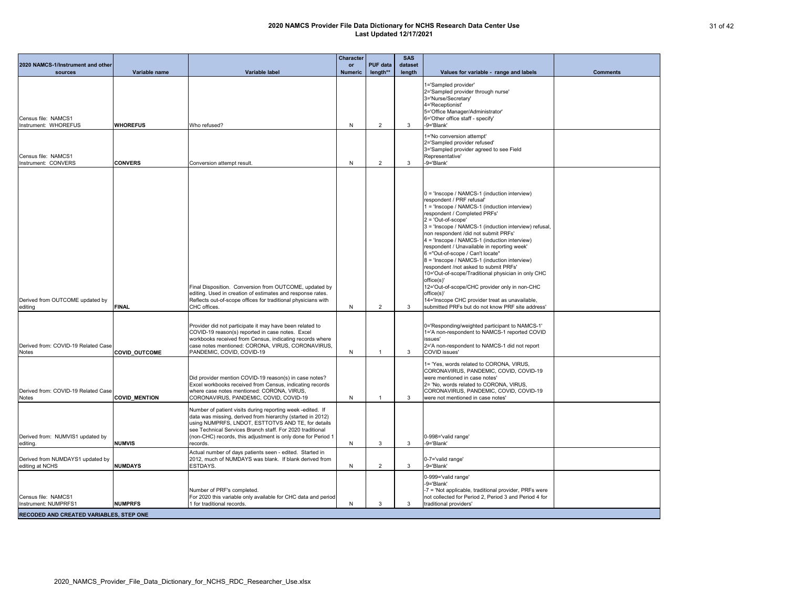| 2020 NAMCS-1/Instrument and other<br>sources                                                  | Variable name                  | Variable label                                                                                                                                                                                                                                                                                                          | <b>Character</b><br>or<br><b>Numeric</b> | <b>PUF data</b><br>length**      | <b>SAS</b><br>dataset<br>length | Values for variable - range and labels                                                                                                                                                                                                                                                                                                                                                                                                                                                                                                                                                                                                                                                                                                                               | <b>Comments</b> |
|-----------------------------------------------------------------------------------------------|--------------------------------|-------------------------------------------------------------------------------------------------------------------------------------------------------------------------------------------------------------------------------------------------------------------------------------------------------------------------|------------------------------------------|----------------------------------|---------------------------------|----------------------------------------------------------------------------------------------------------------------------------------------------------------------------------------------------------------------------------------------------------------------------------------------------------------------------------------------------------------------------------------------------------------------------------------------------------------------------------------------------------------------------------------------------------------------------------------------------------------------------------------------------------------------------------------------------------------------------------------------------------------------|-----------------|
| Census file: NAMCS1<br>Instrument: WHOREFUS                                                   | <b>WHOREFUS</b>                | Who refused?                                                                                                                                                                                                                                                                                                            | N                                        | $\overline{2}$                   | 3                               | 1='Sampled provider'<br>2='Sampled provider through nurse'<br>3='Nurse/Secretary'<br>4='Receptionist'<br>5='Office Manager/Administrator'<br>6='Other office staff - specify'<br>-9='Blank'                                                                                                                                                                                                                                                                                                                                                                                                                                                                                                                                                                          |                 |
| Census file: NAMCS1                                                                           |                                |                                                                                                                                                                                                                                                                                                                         |                                          |                                  |                                 | 1='No conversion attempt'<br>2='Sampled provider refused'<br>3='Sampled provider agreed to see Field<br>Representative'                                                                                                                                                                                                                                                                                                                                                                                                                                                                                                                                                                                                                                              |                 |
| Instrument: CONVERS<br>Derived from OUTCOME updated by<br>editing                             | <b>CONVERS</b><br><b>FINAL</b> | Conversion attempt result.<br>Final Disposition. Conversion from OUTCOME, updated by<br>editing. Used in creation of estimates and response rates.<br>Reflects out-of-scope offices for traditional physicians with<br>CHC offices.                                                                                     | N<br>N                                   | $\overline{2}$<br>$\overline{2}$ | 3<br>3                          | -9='Blank'<br>0 = 'Inscope / NAMCS-1 (induction interview)<br>respondent / PRF refusal'<br>1 = 'Inscope / NAMCS-1 (induction interview)<br>respondent / Completed PRFs'<br>2 = 'Out-of-scope'<br>3 = 'Inscope / NAMCS-1 (induction interview) refusal,<br>non respondent /did not submit PRFs'<br>4 = 'Inscope / NAMCS-1 (induction interview)<br>respondent / Unavailable in reporting week'<br>6 = "Out-of-scope / Can't locate"<br>8 = 'Inscope / NAMCS-1 (induction interview)<br>respondent /not asked to submit PRFs'<br>10='Out-of-scope/Traditional physician in only CHC<br>office(s)'<br>12='Out-of-scope/CHC provider only in non-CHC<br>office(s)'<br>14='Inscope CHC provider treat as unavailable,<br>submitted PRFs but do not know PRF site address' |                 |
| Derived from: COVID-19 Related Case<br><b>Notes</b>                                           | <b>COVID OUTCOME</b>           | Provider did not participate it may have been related to<br>COVID-19 reason(s) reported in case notes. Excel<br>workbooks received from Census, indicating records where<br>case notes mentioned: CORONA, VIRUS, CORONAVIRUS,<br>PANDEMIC, COVID, COVID-19                                                              | N.                                       |                                  | 3                               | 0='Responding/weighted participant to NAMCS-1'<br>1='A non-respondent to NAMCS-1 reported COVID<br>issues'<br>2='A non-respondent to NAMCS-1 did not report<br>COVID issues'                                                                                                                                                                                                                                                                                                                                                                                                                                                                                                                                                                                         |                 |
| Derived from: COVID-19 Related Case<br>Notes                                                  | <b>COVID_MENTION</b>           | Did provider mention COVID-19 reason(s) in case notes?<br>Excel workbooks received from Census, indicating records<br>where case notes mentioned: CORONA, VIRUS,<br>CORONAVIRUS, PANDEMIC, COVID, COVID-19                                                                                                              | N                                        |                                  | 3                               | 1= 'Yes, words related to CORONA, VIRUS,<br>CORONAVIRUS, PANDEMIC, COVID, COVID-19<br>were mentioned in case notes'<br>2= 'No, words related to CORONA, VIRUS,<br>CORONAVIRUS, PANDEMIC, COVID, COVID-19<br>were not mentioned in case notes'                                                                                                                                                                                                                                                                                                                                                                                                                                                                                                                        |                 |
| Derived from: NUMVIS1 updated by<br>editing.                                                  | <b>NUMVIS</b>                  | Number of patient visits during reporting week -edited. If<br>data was missing, derived from hierarchy (started in 2012)<br>using NUMPRFS, LNDOT, ESTTOTVS AND TE, for details<br>see Technical Services Branch staff. For 2020 traditional<br>(non-CHC) records, this adjustment is only done for Period 1<br>records. | N                                        | 3                                | 3                               | 0-998='valid range'<br>-9='Blank'                                                                                                                                                                                                                                                                                                                                                                                                                                                                                                                                                                                                                                                                                                                                    |                 |
| Derived from NUMDAYS1 updated by<br>editing at NCHS                                           | <b>NUMDAYS</b>                 | Actual number of days patients seen - edited. Started in<br>2012, much of NUMDAYS was blank. If blank derived from<br>ESTDAYS.                                                                                                                                                                                          | N                                        | $\overline{2}$                   | 3                               | 0-7='valid range'<br>-9='Blank'                                                                                                                                                                                                                                                                                                                                                                                                                                                                                                                                                                                                                                                                                                                                      |                 |
| Census file: NAMCS1<br>Instrument: NUMPRFS1<br><b>RECODED AND CREATED VARIABLES, STEP ONE</b> | <b>NUMPRFS</b>                 | Number of PRF's completed.<br>For 2020 this variable only available for CHC data and period<br>1 for traditional records.                                                                                                                                                                                               | N                                        | 3                                | 3                               | 0-999='valid range'<br>-9='Blank'<br>-7 = 'Not applicable, traditional provider, PRFs were<br>not collected for Period 2, Period 3 and Period 4 for<br>traditional providers'                                                                                                                                                                                                                                                                                                                                                                                                                                                                                                                                                                                        |                 |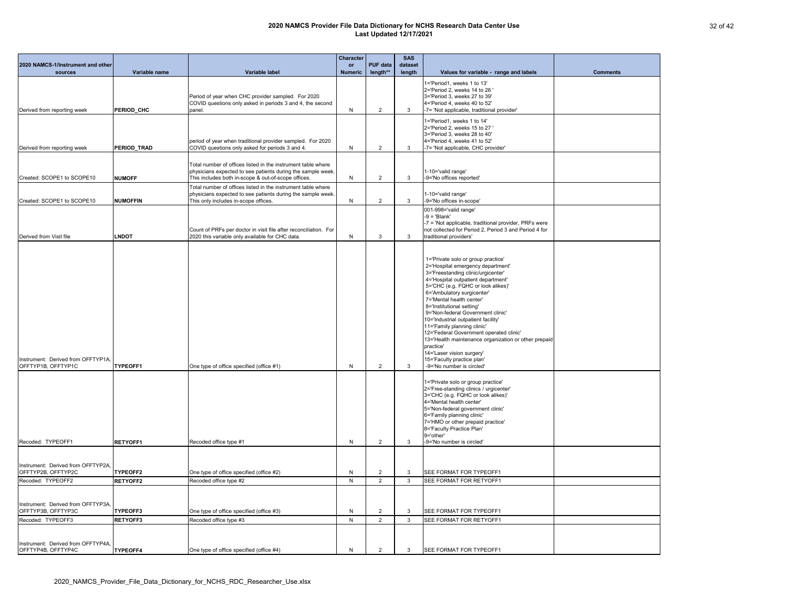| 2020 NAMCS-1/Instrument and other<br>sources                                  | Variable name                      | Variable label                                                                                                                                                                     | <b>Character</b><br><b>or</b><br><b>Numeric</b> | <b>PUF data</b><br>length**      | <b>SAS</b><br>dataset<br>length | Values for variable - range and labels                                                                                                                                                                                                                                                                                                                                                                                                                                                                                                                                                                                                                                                                                                                                                                                                                                                                  | <b>Comments</b> |
|-------------------------------------------------------------------------------|------------------------------------|------------------------------------------------------------------------------------------------------------------------------------------------------------------------------------|-------------------------------------------------|----------------------------------|---------------------------------|---------------------------------------------------------------------------------------------------------------------------------------------------------------------------------------------------------------------------------------------------------------------------------------------------------------------------------------------------------------------------------------------------------------------------------------------------------------------------------------------------------------------------------------------------------------------------------------------------------------------------------------------------------------------------------------------------------------------------------------------------------------------------------------------------------------------------------------------------------------------------------------------------------|-----------------|
| Derived from reporting week                                                   | PERIOD_CHC                         | Period of year when CHC provider sampled. For 2020<br>COVID questions only asked in periods 3 and 4, the second<br>panel.                                                          | N                                               | $\overline{2}$                   | 3                               | 1='Period1, weeks 1 to 13'<br>2='Period 2, weeks 14 to 26'<br>3='Period 3, weeks 27 to 39'<br>4='Period 4, weeks 40 to 52'<br>-7= 'Not applicable, traditional provider'                                                                                                                                                                                                                                                                                                                                                                                                                                                                                                                                                                                                                                                                                                                                |                 |
|                                                                               |                                    | period of year when traditional provider sampled. For 2020                                                                                                                         |                                                 |                                  |                                 | 1='Period1, weeks 1 to 14'<br>2='Period 2, weeks 15 to 27'<br>3='Period 3, weeks 28 to 40'<br>4='Period 4, weeks 41 to 52'                                                                                                                                                                                                                                                                                                                                                                                                                                                                                                                                                                                                                                                                                                                                                                              |                 |
| Derived from reporting week                                                   | PERIOD_TRAD                        | COVID questions only asked for periods 3 and 4.                                                                                                                                    | N                                               | 2                                | 3                               | -7= 'Not applicable, CHC provider'                                                                                                                                                                                                                                                                                                                                                                                                                                                                                                                                                                                                                                                                                                                                                                                                                                                                      |                 |
| Created: SCOPE1 to SCOPE10                                                    | <b>NUMOFF</b>                      | Total number of offices listed in the instrument table where<br>physicians expected to see patients during the sample week.<br>This includes both in-scope & out-of-scope offices. | N                                               | $\overline{2}$                   | 3                               | 1-10='valid range'<br>-9='No offices reported'                                                                                                                                                                                                                                                                                                                                                                                                                                                                                                                                                                                                                                                                                                                                                                                                                                                          |                 |
| Created: SCOPE1 to SCOPE10                                                    | <b>NUMOFFIN</b>                    | Total number of offices listed in the instrument table where<br>physicians expected to see patients during the sample week.<br>This only includes in-scope offices.                | N                                               | $\overline{2}$                   | 3                               | 1-10='valid range'<br>-9='No offices in-scope'                                                                                                                                                                                                                                                                                                                                                                                                                                                                                                                                                                                                                                                                                                                                                                                                                                                          |                 |
| Derived from Visit file                                                       | <b>LNDOT</b>                       | Count of PRFs per doctor in visit file after reconciliation. For<br>2020 this variable only available for CHC data.                                                                | N                                               | 3                                | 3                               | 001-998='valid range'<br>$-9 = 'Blank'$<br>-7 = 'Not applicable, traditional provider, PRFs were<br>not collected for Period 2, Period 3 and Period 4 for<br>traditional providers'                                                                                                                                                                                                                                                                                                                                                                                                                                                                                                                                                                                                                                                                                                                     |                 |
| Instrument: Derived from OFFTYP1A,<br>OFFTYP1B, OFFTYP1C                      | <b>TYPEOFF1</b>                    | One type of office specified (office #1)                                                                                                                                           | N                                               | $\overline{2}$                   | 3                               | 1='Private solo or group practice'<br>2='Hospital emergency department'<br>3='Freestanding clinic/urgicenter'<br>4='Hospital outpatient department'<br>5='CHC (e.g. FQHC or look alikes)'<br>6='Ambulatory surgicenter'<br>7='Mental health center'<br>8='Institutional setting'<br>9='Non-federal Government clinic'<br>10='Industrial outpatient facility'<br>11='Family planning clinic'<br>12='Federal Government operated clinic'<br>13='Health maintenance organization or other prepaid<br>practice'<br>14='Laser vision surgery'<br>15='Faculty practice plan'<br>-9='No number is circled'<br>1='Private solo or group practice'<br>2='Free-standing clinics / urgicenter'<br>3='CHC (e.g. FQHC or look alikes)'<br>4='Mental health center'<br>5='Non-federal government clinic'<br>6='Family planning clinic'<br>7='HMO or other prepaid practice'<br>8='Faculty Practice Plan'<br>9='other' |                 |
| Recoded: TYPEOFF1                                                             | <b>RETYOFF1</b>                    | Recoded office type #1                                                                                                                                                             | N                                               | $\overline{2}$                   | 3                               | -9='No number is circled'                                                                                                                                                                                                                                                                                                                                                                                                                                                                                                                                                                                                                                                                                                                                                                                                                                                                               |                 |
| Instrument: Derived from OFFTYP2A,<br>OFFTYP2B, OFFTYP2C<br>Recoded: TYPEOFF2 | <b>TYPEOFF2</b><br><b>RETYOFF2</b> | One type of office specified (office #2)<br>Recoded office type #2                                                                                                                 | N<br>N                                          | $\overline{2}$<br>$\overline{2}$ | 3<br>3                          | SEE FORMAT FOR TYPEOFF1<br>SEE FORMAT FOR RETYOFF1                                                                                                                                                                                                                                                                                                                                                                                                                                                                                                                                                                                                                                                                                                                                                                                                                                                      |                 |
| Instrument: Derived from OFFTYP3A,                                            |                                    |                                                                                                                                                                                    |                                                 |                                  |                                 |                                                                                                                                                                                                                                                                                                                                                                                                                                                                                                                                                                                                                                                                                                                                                                                                                                                                                                         |                 |
| OFFTYP3B, OFFTYP3C<br>Recoded: TYPEOFF3                                       | TYPEOFF3<br><b>RETYOFF3</b>        | One type of office specified (office #3)<br>Recoded office type #3                                                                                                                 | N<br>N                                          | $\overline{2}$<br>2              | 3<br>3                          | SEE FORMAT FOR TYPEOFF1<br>SEE FORMAT FOR RETYOFF1                                                                                                                                                                                                                                                                                                                                                                                                                                                                                                                                                                                                                                                                                                                                                                                                                                                      |                 |
|                                                                               |                                    |                                                                                                                                                                                    |                                                 |                                  |                                 |                                                                                                                                                                                                                                                                                                                                                                                                                                                                                                                                                                                                                                                                                                                                                                                                                                                                                                         |                 |
| Instrument: Derived from OFFTYP4A,<br>OFFTYP4B, OFFTYP4C                      | <b>TYPEOFF4</b>                    | One type of office specified (office #4)                                                                                                                                           | N                                               | $\overline{2}$                   | 3                               | SEE FORMAT FOR TYPEOFF1                                                                                                                                                                                                                                                                                                                                                                                                                                                                                                                                                                                                                                                                                                                                                                                                                                                                                 |                 |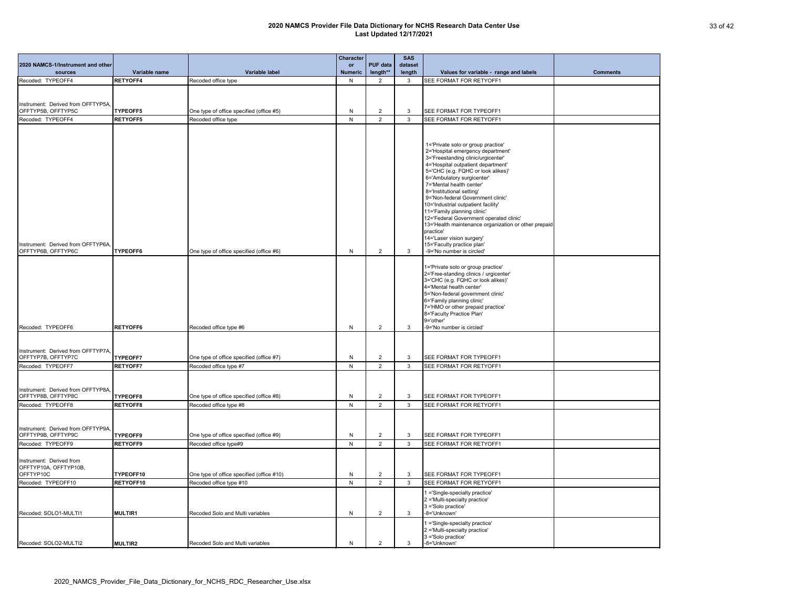|                                                                               |                             |                                                                    | <b>Character</b>            | <b>PUF data</b>     | <b>SAS</b>        |                                                                                                                                                                                                                                                                                                                                                                                                                                                                                                                                          |                 |
|-------------------------------------------------------------------------------|-----------------------------|--------------------------------------------------------------------|-----------------------------|---------------------|-------------------|------------------------------------------------------------------------------------------------------------------------------------------------------------------------------------------------------------------------------------------------------------------------------------------------------------------------------------------------------------------------------------------------------------------------------------------------------------------------------------------------------------------------------------------|-----------------|
| 2020 NAMCS-1/Instrument and other<br>sources                                  | Variable name               | Variable label                                                     | <b>or</b><br><b>Numeric</b> | length**            | dataset<br>length | Values for variable - range and labels                                                                                                                                                                                                                                                                                                                                                                                                                                                                                                   | <b>Comments</b> |
| Recoded: TYPEOFF4                                                             | <b>RETYOFF4</b>             | Recoded office type                                                | N                           | $\overline{2}$      | 3                 | SEE FORMAT FOR RETYOFF1                                                                                                                                                                                                                                                                                                                                                                                                                                                                                                                  |                 |
|                                                                               |                             |                                                                    |                             |                     |                   |                                                                                                                                                                                                                                                                                                                                                                                                                                                                                                                                          |                 |
| Instrument: Derived from OFFTYP5A,                                            |                             |                                                                    |                             |                     |                   |                                                                                                                                                                                                                                                                                                                                                                                                                                                                                                                                          |                 |
| OFFTYP5B, OFFTYP5C                                                            | <b>TYPEOFF5</b>             | One type of office specified (office #5)                           | N                           | $\overline{2}$      | 3                 | <b>SEE FORMAT FOR TYPEOFF1</b>                                                                                                                                                                                                                                                                                                                                                                                                                                                                                                           |                 |
| Recoded: TYPEOFF4                                                             | <b>RETYOFF5</b>             | Recoded office type                                                | N                           | $\overline{2}$      | 3                 | SEE FORMAT FOR RETYOFF1                                                                                                                                                                                                                                                                                                                                                                                                                                                                                                                  |                 |
|                                                                               |                             |                                                                    |                             |                     |                   | 1='Private solo or group practice'<br>2='Hospital emergency department'<br>3='Freestanding clinic/urgicenter'<br>4='Hospital outpatient department'<br>5='CHC (e.g. FQHC or look alikes)'<br>6='Ambulatory surgicenter'<br>7='Mental health center'<br>8='Institutional setting'<br>9='Non-federal Government clinic'<br>10='Industrial outpatient facility'<br>11='Family planning clinic'<br>12='Federal Government operated clinic'<br>13='Health maintenance organization or other prepaid<br>practice'<br>14='Laser vision surgery' |                 |
| Instrument: Derived from OFFTYP6A.<br>OFFTYP6B, OFFTYP6C                      | <b>TYPEOFF6</b>             | One type of office specified (office #6)                           | N                           | $\overline{2}$      | 3                 | 15='Faculty practice plan'<br>-9='No number is circled'                                                                                                                                                                                                                                                                                                                                                                                                                                                                                  |                 |
|                                                                               |                             |                                                                    |                             |                     |                   | 1='Private solo or group practice'<br>2='Free-standing clinics / urgicenter'<br>3='CHC (e.g. FQHC or look alikes)'<br>4='Mental health center'<br>5='Non-federal government clinic'<br>6='Family planning clinic'<br>7='HMO or other prepaid practice'<br>8='Faculty Practice Plan'<br>9='other'                                                                                                                                                                                                                                         |                 |
| Recoded: TYPEOFF6                                                             | <b>RETYOFF6</b>             | Recoded office type #6                                             | N                           | $\overline{2}$      | 3                 | -9='No number is circled'                                                                                                                                                                                                                                                                                                                                                                                                                                                                                                                |                 |
| Instrument: Derived from OFFTYP7A,<br>OFFTYP7B, OFFTYP7C                      | <b>TYPEOFF7</b>             | One type of office specified (office #7)                           | N                           | $\overline{2}$      | 3                 | SEE FORMAT FOR TYPEOFF1                                                                                                                                                                                                                                                                                                                                                                                                                                                                                                                  |                 |
| Recoded: TYPEOFF7                                                             | <b>RETYOFF7</b>             | Recoded office type #7                                             | N                           | $\overline{2}$      | 3                 | SEE FORMAT FOR RETYOFF1                                                                                                                                                                                                                                                                                                                                                                                                                                                                                                                  |                 |
| Instrument: Derived from OFFTYP8A,<br>OFFTYP8B, OFFTYP8C<br>Recoded: TYPEOFF8 | TYPEOFF8<br><b>RETYOFF8</b> | One type of office specified (office #8)<br>Recoded office type #8 | N<br>N                      | $\overline{2}$<br>2 | 3<br>3            | SEE FORMAT FOR TYPEOFF1<br>SEE FORMAT FOR RETYOFF1                                                                                                                                                                                                                                                                                                                                                                                                                                                                                       |                 |
|                                                                               |                             |                                                                    |                             |                     |                   |                                                                                                                                                                                                                                                                                                                                                                                                                                                                                                                                          |                 |
| Instrument: Derived from OFFTYP9A,<br>OFFTYP9B, OFFTYP9C                      | <b>TYPEOFF9</b>             | One type of office specified (office #9)                           | N                           | $\overline{2}$      | 3                 | <b>SEE FORMAT FOR TYPEOFF1</b>                                                                                                                                                                                                                                                                                                                                                                                                                                                                                                           |                 |
| Recoded: TYPEOFF9                                                             | <b>RETYOFF9</b>             | Recoded office type#9                                              | N                           | 2                   | 3                 | SEE FORMAT FOR RETYOFF1                                                                                                                                                                                                                                                                                                                                                                                                                                                                                                                  |                 |
| Instrument: Derived from<br>OFFTYP10A, OFFTYP10B,<br>OFFTYP10C                | TYPEOFF10                   | One type of office specified (office #10)                          | N                           | $\overline{2}$      | 3                 | SEE FORMAT FOR TYPEOFF1                                                                                                                                                                                                                                                                                                                                                                                                                                                                                                                  |                 |
| Recoded: TYPEOFF10                                                            | <b>RETYOFF10</b>            | Recoded office type #10                                            | N                           | $\overline{2}$      | 3                 | SEE FORMAT FOR RETYOFF1                                                                                                                                                                                                                                                                                                                                                                                                                                                                                                                  |                 |
| Recoded: SOLO1-MULTI1                                                         | <b>MULTIR1</b>              | Recoded Solo and Multi variables                                   | N                           | $\overline{c}$      | 3                 | 1 ='Single-specialty practice'<br>2 ='Multi-specialty practice'<br>3 ='Solo practice'<br>-8='Unknown'                                                                                                                                                                                                                                                                                                                                                                                                                                    |                 |
| Recoded: SOLO2-MULTI2                                                         | <b>MULTIR2</b>              | Recoded Solo and Multi variables                                   | N                           | $\overline{2}$      | 3                 | I ='Single-specialty practice'<br>2 ='Multi-specialty practice'<br>3 ='Solo practice'<br>-8='Unknown'                                                                                                                                                                                                                                                                                                                                                                                                                                    |                 |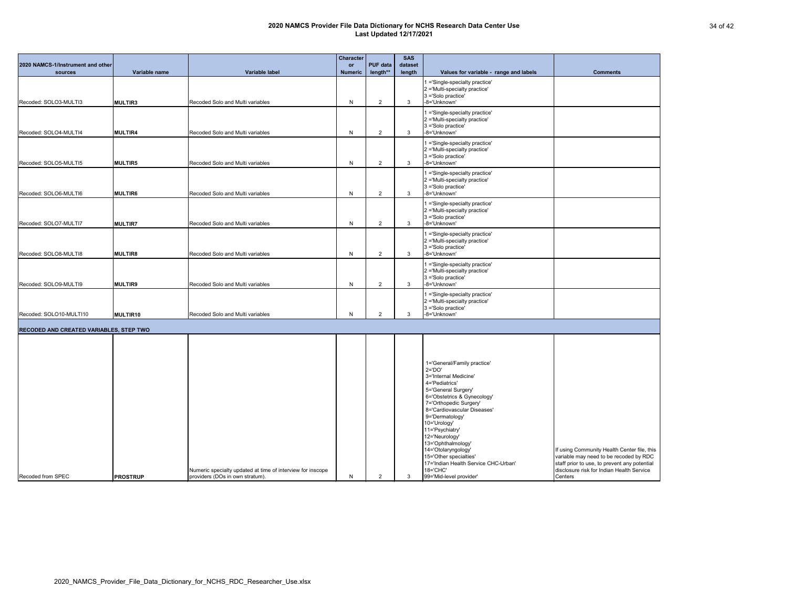|                                         |                 |                                                                                               | <b>Character</b> |                 | <b>SAS</b>   |                                                                                                                                                                                                                                                                                                                                                                                                                                   |                                                                                                                                                                                               |
|-----------------------------------------|-----------------|-----------------------------------------------------------------------------------------------|------------------|-----------------|--------------|-----------------------------------------------------------------------------------------------------------------------------------------------------------------------------------------------------------------------------------------------------------------------------------------------------------------------------------------------------------------------------------------------------------------------------------|-----------------------------------------------------------------------------------------------------------------------------------------------------------------------------------------------|
| 2020 NAMCS-1/Instrument and other       |                 |                                                                                               | <b>or</b>        | <b>PUF data</b> | dataset      |                                                                                                                                                                                                                                                                                                                                                                                                                                   |                                                                                                                                                                                               |
| <b>sources</b>                          | Variable name   | Variable label                                                                                | <b>Numeric</b>   | length**        | length       | Values for variable - range and labels                                                                                                                                                                                                                                                                                                                                                                                            | <b>Comments</b>                                                                                                                                                                               |
| Recoded: SOLO3-MULTI3                   | <b>MULTIR3</b>  | Recoded Solo and Multi variables                                                              | <b>N</b>         | $\overline{2}$  | 3            | 1 ='Single-specialty practice'<br>2 ='Multi-specialty practice'<br>3 ='Solo practice'<br>-8='Unknown'                                                                                                                                                                                                                                                                                                                             |                                                                                                                                                                                               |
| Recoded: SOLO4-MULTI4                   | <b>MULTIR4</b>  | Recoded Solo and Multi variables                                                              | N                | $\overline{2}$  | $\mathbf{3}$ | 1 ='Single-specialty practice'<br>2 ='Multi-specialty practice'<br>3 ='Solo practice'<br>-8='Unknown'                                                                                                                                                                                                                                                                                                                             |                                                                                                                                                                                               |
| Recoded: SOLO5-MULTI5                   | <b>MULTIR5</b>  | Recoded Solo and Multi variables                                                              | N                | $\overline{2}$  | 3            | 1 ='Single-specialty practice'<br>2 ='Multi-specialty practice'<br>3 ='Solo practice'<br>-8='Unknown'                                                                                                                                                                                                                                                                                                                             |                                                                                                                                                                                               |
| Recoded: SOLO6-MULTI6                   | <b>MULTIR6</b>  | Recoded Solo and Multi variables                                                              | N                | 2               | 3            | 1 ='Single-specialty practice'<br>2 ='Multi-specialty practice'<br>3 ='Solo practice'<br>-8='Unknown'                                                                                                                                                                                                                                                                                                                             |                                                                                                                                                                                               |
| Recoded: SOLO7-MULTI7                   | <b>MULTIR7</b>  | Recoded Solo and Multi variables                                                              | N                | $\overline{2}$  | 3            | 1 ='Single-specialty practice'<br>2 ='Multi-specialty practice'<br>3 ='Solo practice'<br>-8='Unknown'                                                                                                                                                                                                                                                                                                                             |                                                                                                                                                                                               |
| Recoded: SOLO8-MULTI8                   | <b>MULTIR8</b>  | Recoded Solo and Multi variables                                                              | N                | 2               | 3            | 1 ='Single-specialty practice'<br>2 ='Multi-specialty practice'<br>3 ='Solo practice'<br>-8='Unknown'                                                                                                                                                                                                                                                                                                                             |                                                                                                                                                                                               |
| Recoded: SOLO9-MULTI9                   | <b>MULTIR9</b>  | Recoded Solo and Multi variables                                                              | N                | $\overline{2}$  | $\mathbf{3}$ | 1 ='Single-specialty practice'<br>2 ='Multi-specialty practice'<br>3 ='Solo practice'<br>-8='Unknown'                                                                                                                                                                                                                                                                                                                             |                                                                                                                                                                                               |
| Recoded: SOLO10-MULTI10                 | MULTIR10        | Recoded Solo and Multi variables                                                              | N                | $\overline{2}$  | 3            | 1 ='Single-specialty practice'<br>2 ='Multi-specialty practice'<br>3 ='Solo practice'<br>-8='Unknown'                                                                                                                                                                                                                                                                                                                             |                                                                                                                                                                                               |
|                                         |                 |                                                                                               |                  |                 |              |                                                                                                                                                                                                                                                                                                                                                                                                                                   |                                                                                                                                                                                               |
| RECODED AND CREATED VARIABLES, STEP TWO |                 |                                                                                               |                  |                 |              |                                                                                                                                                                                                                                                                                                                                                                                                                                   |                                                                                                                                                                                               |
| Recoded from SPEC                       | <b>PROSTRUP</b> | Numeric specialty updated at time of interview for inscope<br>providers (DOs in own stratum). | N                | $\overline{2}$  | $\mathbf{3}$ | 1='General/Family practice'<br>$2 = 'DO'$<br>3='Internal Medicine'<br>4='Pediatrics'<br>5='General Surgery'<br>6='Obstetrics & Gynecology'<br>7='Orthopedic Surgery'<br>8='Cardiovascular Diseases'<br>9='Dermatology'<br>10='Urology'<br>11='Psychiatry'<br>12='Neurology'<br>13='Ophthalmology'<br>14='Otolaryngology'<br>15='Other specialties'<br>17='Indian Health Service CHC-Urban'<br>18='CHC'<br>99='Mid-level provider' | If using Community Health Center file, this<br>variable may need to be recoded by RDC<br>staff prior to use, to prevent any potential<br>disclosure risk for Indian Health Service<br>Centers |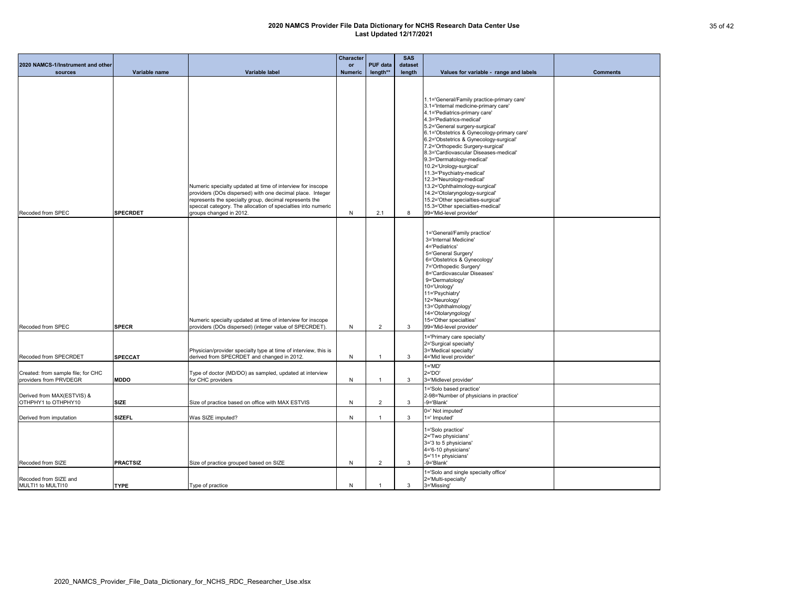|                                                              |                 |                                                                                                                                                                                                                                                                              | <b>Character</b> |                 | <b>SAS</b>   |                                                                                                                                                                                                                                                                                                                                                                                                                                                                                                                                                                                                                                                 |                 |
|--------------------------------------------------------------|-----------------|------------------------------------------------------------------------------------------------------------------------------------------------------------------------------------------------------------------------------------------------------------------------------|------------------|-----------------|--------------|-------------------------------------------------------------------------------------------------------------------------------------------------------------------------------------------------------------------------------------------------------------------------------------------------------------------------------------------------------------------------------------------------------------------------------------------------------------------------------------------------------------------------------------------------------------------------------------------------------------------------------------------------|-----------------|
| 2020 NAMCS-1/Instrument and other                            |                 |                                                                                                                                                                                                                                                                              | <b>or</b>        | <b>PUF data</b> | dataset      |                                                                                                                                                                                                                                                                                                                                                                                                                                                                                                                                                                                                                                                 |                 |
| sources                                                      | Variable name   | Variable label                                                                                                                                                                                                                                                               | <b>Numeric</b>   | length**        | length       | Values for variable - range and labels                                                                                                                                                                                                                                                                                                                                                                                                                                                                                                                                                                                                          | <b>Comments</b> |
| Recoded from SPEC                                            | <b>SPECRDET</b> | Numeric specialty updated at time of interview for inscope<br>providers (DOs dispersed) with one decimal place. Integer<br>represents the specialty group, decimal represents the<br>speccat category. The allocation of specialties into numeric<br>groups changed in 2012. | N                | 2.1             | 8            | 1.1='General/Family practice-primary care'<br>3.1='Internal medicine-primary care'<br>4.1='Pediatrics-primary care'<br>4.3='Pediatrics-medical'<br>5.2='General surgery-surgical'<br>6.1='Obstetrics & Gynecology-primary care'<br>6.2='Obstetrics & Gynecology-surgical'<br>7.2='Orthopedic Surgery-surgical'<br>8.3='Cardiovascular Diseases-medical'<br>9.3='Dermatology-medical'<br>10.2='Urology-surgical'<br>11.3='Psychiatry-medical'<br>12.3='Neurology-medical'<br>13.2='Ophthalmology-surgical'<br>14.2='Otolaryngology-surgical'<br>15.2='Other specialties-surgical'<br>15.3='Other specialties-medical'<br>99='Mid-level provider' |                 |
| Recoded from SPEC                                            | <b>SPECR</b>    | Numeric specialty updated at time of interview for inscope<br>providers (DOs dispersed) (integer value of SPECRDET).                                                                                                                                                         | N                | $\overline{2}$  | 3            | 1='General/Family practice'<br>3='Internal Medicine'<br>4='Pediatrics'<br>5='General Surgery'<br>6='Obstetrics & Gynecology'<br>7='Orthopedic Surgery'<br>8='Cardiovascular Diseases'<br>9='Dermatology'<br>10='Urology'<br>11='Psychiatry'<br>12='Neurology'<br>13='Ophthalmology'<br>14='Otolaryngology'<br>15='Other specialties'<br>99='Mid-level provider'                                                                                                                                                                                                                                                                                 |                 |
| Recoded from SPECRDET                                        | <b>SPECCAT</b>  | Physician/provider specialty type at time of interview, this is<br>derived from SPECRDET and changed in 2012.                                                                                                                                                                | N                | $\overline{1}$  | 3            | 1='Primary care specialty'<br>2='Surgical specialty'<br>3='Medical specialty'<br>4='Mid level provider'                                                                                                                                                                                                                                                                                                                                                                                                                                                                                                                                         |                 |
| Created: from sample file; for CHC<br>providers from PRVDEGR | <b>MDDO</b>     | Type of doctor (MD/DO) as sampled, updated at interview<br>for CHC providers                                                                                                                                                                                                 | N                | $\overline{1}$  | 3            | $1 = 'MD'$<br>$2 = 'DO'$<br>3='Midlevel provider'                                                                                                                                                                                                                                                                                                                                                                                                                                                                                                                                                                                               |                 |
| Derived from MAX(ESTVIS) &<br>OTHPHY1 to OTHPHY10            | <b>SIZE</b>     | Size of practice based on office with MAX ESTVIS                                                                                                                                                                                                                             | N                | $\sqrt{2}$      | $\mathbf{3}$ | 1='Solo based practice'<br>2-98='Number of physicians in practice'<br>-9='Blank'                                                                                                                                                                                                                                                                                                                                                                                                                                                                                                                                                                |                 |
| Derived from imputation                                      | <b>SIZEFL</b>   | Was SIZE imputed?                                                                                                                                                                                                                                                            | N                | $\mathbf{1}$    | 3            | 0=' Not imputed'<br>1=' Imputed'                                                                                                                                                                                                                                                                                                                                                                                                                                                                                                                                                                                                                |                 |
| Recoded from SIZE                                            | <b>PRACTSIZ</b> | Size of practice grouped based on SIZE                                                                                                                                                                                                                                       | N                | $\overline{2}$  | $\mathbf{3}$ | 1='Solo practice'<br>2='Two physicians'<br>3='3 to 5 physicians'<br>4='6-10 physicians'<br>5='11+ physicians'<br>-9='Blank'                                                                                                                                                                                                                                                                                                                                                                                                                                                                                                                     |                 |
| Recoded from SIZE and<br>MULTI1 to MULTI10                   | <b>TYPE</b>     | Type of practice                                                                                                                                                                                                                                                             | N                |                 | 3            | 1='Solo and single specialty office'<br>2='Multi-specialty'<br>3='Missing'                                                                                                                                                                                                                                                                                                                                                                                                                                                                                                                                                                      |                 |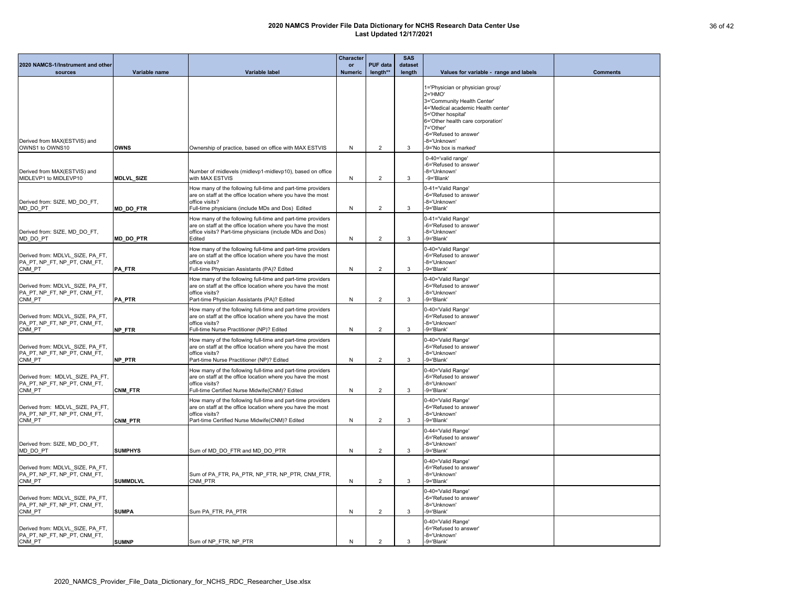|                                                                            |                   |                                                                                                                                                                                                   | <b>Character</b>            |                             | <b>SAS</b>        |                                                                                                                                                                                                                                        |                 |
|----------------------------------------------------------------------------|-------------------|---------------------------------------------------------------------------------------------------------------------------------------------------------------------------------------------------|-----------------------------|-----------------------------|-------------------|----------------------------------------------------------------------------------------------------------------------------------------------------------------------------------------------------------------------------------------|-----------------|
| 2020 NAMCS-1/Instrument and other<br>sources                               | Variable name     | <b>Variable label</b>                                                                                                                                                                             | <b>or</b><br><b>Numeric</b> | <b>PUF data</b><br>length** | dataset<br>length | Values for variable - range and labels                                                                                                                                                                                                 | <b>Comments</b> |
| Derived from MAX(ESTVIS) and                                               |                   |                                                                                                                                                                                                   |                             |                             |                   | 1='Physician or physician group'<br>$2 = 'HMO'$<br>3='Community Health Center'<br>4='Medical academic Health center'<br>5='Other hospital'<br>6='Other health care corporation'<br>7='Other'<br>-6='Refused to answer'<br>-8='Unknown' |                 |
| OWNS1 to OWNS10                                                            | <b>OWNS</b>       | Ownership of practice, based on office with MAX ESTVIS                                                                                                                                            | N                           | $\overline{2}$              | 3                 | -9='No box is marked'                                                                                                                                                                                                                  |                 |
| Derived from MAX(ESTVIS) and<br>MIDLEVP1 to MIDLEVP10                      | <b>MDLVL_SIZE</b> | Number of midlevels (midlevp1-midlevp10), based on office<br>with MAX ESTVIS                                                                                                                      | N                           | $\overline{2}$              | 3                 | 0-40='valid range'<br>-6='Refused to answer'<br>-8='Unknown'<br>-9='Blank'                                                                                                                                                             |                 |
| Derived from: SIZE, MD DO FT,<br>MD DO PT                                  | MD_DO_FTR         | How many of the following full-time and part-time providers<br>are on staff at the office location where you have the most<br>office visits?<br>Full-time physicians (include MDs and Dos) Edited | N                           | $\overline{2}$              | 3                 | 0-41='Valid Range'<br>-6='Refused to answer'<br>-8='Unknown'<br>-9='Blank'                                                                                                                                                             |                 |
| Derived from: SIZE, MD_DO_FT,<br>MD DO PT                                  | <b>MD DO PTR</b>  | How many of the following full-time and part-time providers<br>are on staff at the office location where you have the most<br>office visits? Part-time physicians (include MDs and Dos)<br>Edited | N                           | $\overline{2}$              | 3                 | 0-41='Valid Range'<br>-6='Refused to answer'<br>-8='Unknown'<br>-9='Blank'                                                                                                                                                             |                 |
| Derived from: MDLVL_SIZE, PA_FT,<br>PA_PT, NP_FT, NP_PT, CNM_FT,<br>CNM PT | <b>PA_FTR</b>     | How many of the following full-time and part-time providers<br>are on staff at the office location where you have the most<br>office visits?<br>Full-time Physician Assistants (PA)? Edited       | N                           | $\overline{2}$              | 3                 | 0-40='Valid Range'<br>-6='Refused to answer'<br>-8='Unknown'<br>-9='Blank'                                                                                                                                                             |                 |
| Derived from: MDLVL_SIZE, PA_FT,<br>PA_PT, NP_FT, NP_PT, CNM_FT,<br>CNM_PT | PA_PTR            | How many of the following full-time and part-time providers<br>are on staff at the office location where you have the most<br>office visits?<br>Part-time Physician Assistants (PA)? Edited       | $\mathsf{N}$                | $\overline{2}$              | 3                 | 0-40='Valid Range'<br>-6='Refused to answer'<br>-8='Unknown'<br>-9='Blank'                                                                                                                                                             |                 |
| Derived from: MDLVL SIZE, PA FT,<br>PA_PT, NP_FT, NP_PT, CNM_FT,<br>CNM_PT | NP_FTR            | How many of the following full-time and part-time providers<br>are on staff at the office location where you have the most<br>office visits?<br>Full-time Nurse Practitioner (NP)? Edited         | $\mathsf{N}$                | $\overline{2}$              | 3                 | 0-40='Valid Range'<br>-6='Refused to answer'<br>-8='Unknown'<br>-9='Blank'                                                                                                                                                             |                 |
| Derived from: MDLVL SIZE, PA FT.<br>PA_PT, NP_FT, NP_PT, CNM_FT,<br>CNM PT | NP_PTR            | How many of the following full-time and part-time providers<br>are on staff at the office location where you have the most<br>office visits?<br>Part-time Nurse Practitioner (NP)? Edited         | N                           | $\overline{2}$              | 3                 | 0-40='Valid Range'<br>-6='Refused to answer'<br>-8='Unknown'<br>-9='Blank'                                                                                                                                                             |                 |
| Derived from: MDLVL SIZE, PA FT,<br>PA_PT, NP_FT, NP_PT, CNM_FT,<br>CNM_PT | CNM_FTR           | How many of the following full-time and part-time providers<br>are on staff at the office location where you have the most<br>office visits?<br>Full-time Certified Nurse Midwife(CNM)? Edited    | $\mathsf{N}$                | $\overline{2}$              | 3                 | 0-40='Valid Range'<br>-6='Refused to answer'<br>-8='Unknown'<br>-9='Blank'                                                                                                                                                             |                 |
| Derived from: MDLVL SIZE, PA FT,<br>PA_PT, NP_FT, NP_PT, CNM_FT,<br>CNM PT | CNM_PTR           | How many of the following full-time and part-time providers<br>are on staff at the office location where you have the most<br>office visits?<br>Part-time Certified Nurse Midwife(CNM)? Edited    | N                           | $\overline{2}$              | 3                 | 0-40='Valid Range'<br>-6='Refused to answer'<br>-8='Unknown'<br>-9='Blank'                                                                                                                                                             |                 |
| Derived from: SIZE, MD DO FT,<br>MD DO PT                                  | <b>SUMPHYS</b>    | Sum of MD DO FTR and MD DO PTR                                                                                                                                                                    | N                           | $\overline{2}$              | 3                 | 0-44='Valid Range'<br>-6='Refused to answer'<br>-8='Unknown'<br>-9='Blank'                                                                                                                                                             |                 |
| Derived from: MDLVL SIZE, PA FT,<br>PA_PT, NP_FT, NP_PT, CNM_FT,<br>CNM_PT | <b>SUMMDLVL</b>   | Sum of PA_FTR, PA_PTR, NP_FTR, NP_PTR, CNM_FTR,<br>CNM PTR                                                                                                                                        | N                           | $\overline{2}$              | 3                 | 0-40='Valid Range'<br>-6='Refused to answer'<br>-8='Unknown'<br>-9='Blank'                                                                                                                                                             |                 |
| Derived from: MDLVL SIZE, PA FT,<br>PA_PT, NP_FT, NP_PT, CNM_FT,<br>CNM PT | <b>SUMPA</b>      | Sum PA FTR, PA PTR                                                                                                                                                                                | N                           | $\overline{2}$              | 3                 | 0-40='Valid Range'<br>-6='Refused to answer'<br>-8='Unknown'<br>-9='Blank'                                                                                                                                                             |                 |
| Derived from: MDLVL SIZE, PA FT,<br>PA_PT, NP_FT, NP_PT, CNM_FT,<br>CNM_PT | <b>SUMNP</b>      | Sum of NP FTR, NP PTR                                                                                                                                                                             | N                           | $\overline{2}$              | 3                 | 0-40='Valid Range'<br>-6='Refused to answer'<br>-8='Unknown'<br>-9='Blank'                                                                                                                                                             |                 |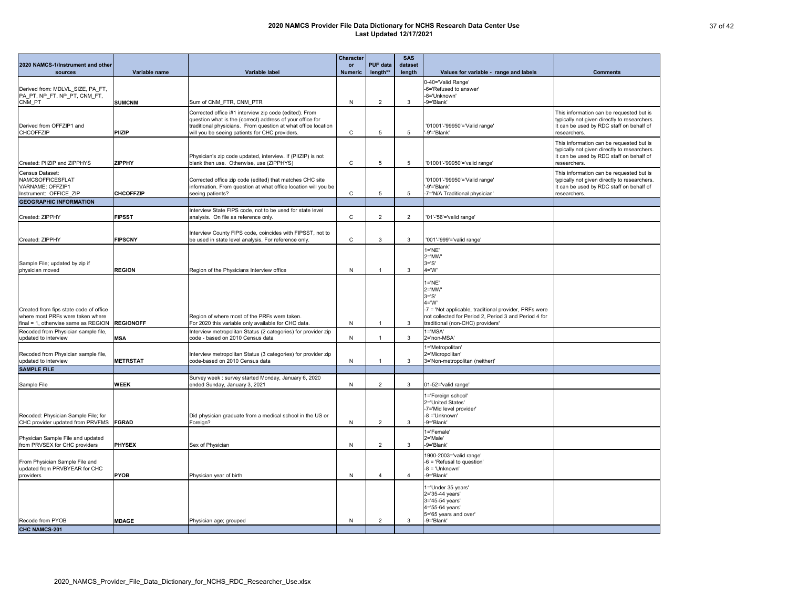| 2020 NAMCS-1/Instrument and other<br>sources                                                                      | Variable name                 | Variable label                                                                                                                                                                                                                         | Character<br><b>or</b><br><b>Numeric</b> | <b>PUF data</b><br>length** | <b>SAS</b><br>dataset<br>length | Values for variable - range and labels                                                                                                                                                                   | <b>Comments</b>                                                                                                                                      |
|-------------------------------------------------------------------------------------------------------------------|-------------------------------|----------------------------------------------------------------------------------------------------------------------------------------------------------------------------------------------------------------------------------------|------------------------------------------|-----------------------------|---------------------------------|----------------------------------------------------------------------------------------------------------------------------------------------------------------------------------------------------------|------------------------------------------------------------------------------------------------------------------------------------------------------|
| Derived from: MDLVL SIZE, PA FT,<br>PA_PT, NP_FT, NP_PT, CNM_FT,<br>CNM PT                                        | <b>SUMCNM</b>                 | Sum of CNM_FTR, CNM_PTR                                                                                                                                                                                                                | N                                        | $\overline{2}$              | 3                               | 0-40='Valid Range'<br>-6='Refused to answer'<br>-8='Unknown'<br>-9='Blank'                                                                                                                               |                                                                                                                                                      |
| Derived from OFFZIP1 and<br><b>CHCOFFZIP</b>                                                                      | <b>PIIZIP</b>                 | Corrected office i#1 interview zip code (edited). From<br>question what is the (correct) address of your office for<br>traditional physicians. From question at what office location<br>will you be seeing patients for CHC providers. | C                                        | 5                           | 5                               | '01001'-'99950'='Valid range'<br>-9'='Blank'                                                                                                                                                             | This information can be requested but is<br>typically not given directly to researchers.<br>It can be used by RDC staff on behalf of<br>researchers. |
| Created: PIIZIP and ZIPPHYS                                                                                       | <b>ZIPPHY</b>                 | Physician's zip code updated, interview. If (PIIZIP) is not<br>blank then use. Otherwise, use (ZIPPHYS)                                                                                                                                | C                                        | 5                           | 5                               | '01001'-'99950'='valid range'                                                                                                                                                                            | This information can be requested but is<br>typically not given directly to researchers.<br>It can be used by RDC staff on behalf of<br>researchers. |
| Census Dataset:<br>NAMCSOFFICESFLAT<br>VARNAME: OFFZIP1<br>Instrument: OFFICE ZIP                                 | <b>CHCOFFZIP</b>              | Corrected office zip code (edited) that matches CHC site<br>information. From question at what office location will you be<br>seeing patients?                                                                                         | C                                        | 5                           | 5                               | '01001'-'99950'='Valid range'<br>-9'='Blank'<br>-7='N/A Traditional physician'                                                                                                                           | This information can be requested but is<br>typically not given directly to researchers.<br>It can be used by RDC staff on behalf of<br>researchers. |
| <b>GEOGRAPHIC INFORMATION</b>                                                                                     |                               |                                                                                                                                                                                                                                        |                                          |                             |                                 |                                                                                                                                                                                                          |                                                                                                                                                      |
| Created: ZIPPHY                                                                                                   | <b>FIPSST</b>                 | Interview State FIPS code, not to be used for state level<br>analysis. On file as reference only.                                                                                                                                      | C                                        | $\overline{2}$              | $\overline{2}$                  | '01'-'56'='valid range'                                                                                                                                                                                  |                                                                                                                                                      |
| Created: ZIPPHY                                                                                                   | <b>FIPSCNY</b>                | Interview County FIPS code, coincides with FIPSST, not to<br>be used in state level analysis. For reference only.                                                                                                                      | C                                        | 3                           | 3                               | '001'-'999'='valid range'                                                                                                                                                                                |                                                                                                                                                      |
| Sample File; updated by zip if<br>physician moved                                                                 | <b>REGION</b>                 | Region of the Physicians Interview office                                                                                                                                                                                              | N                                        |                             | 3                               | $1 = 'NE'$<br>$2 = 'M W'$<br>$3 = 'S'$<br>$4 = 'W'$                                                                                                                                                      |                                                                                                                                                      |
| Created from fips state code of office<br>where most PRFs were taken where<br>final = 1, otherwise same as REGION | <b>REGIONOFF</b>              | Region of where most of the PRFs were taken.<br>For 2020 this variable only available for CHC data.                                                                                                                                    | N                                        |                             | 3                               | $1 = 'NE'$<br>$2 = 'MW'$<br>$3 = 'S'$<br>$4 = 'W'$<br>-7 = 'Not applicable, traditional provider, PRFs were<br>not collected for Period 2, Period 3 and Period 4 for<br>traditional (non-CHC) providers' |                                                                                                                                                      |
| Recoded from Physician sample file,<br>updated to interview                                                       |                               | Interview metropolitan Status (2 categories) for provider zip<br>code - based on 2010 Census data                                                                                                                                      | N                                        |                             | 3                               | 1='MSA'<br>2='non-MSA'                                                                                                                                                                                   |                                                                                                                                                      |
| Recoded from Physician sample file,<br>updated to interview                                                       | <b>MSA</b><br><b>METRSTAT</b> | Interview metropolitan Status (3 categories) for provider zip<br>code-based on 2010 Census data                                                                                                                                        | N                                        |                             | 3                               | 1='Metropolitan'<br>2='Micropolitan'<br>3='Non-metropolitan (neither)'                                                                                                                                   |                                                                                                                                                      |
| <b>SAMPLE FILE</b>                                                                                                |                               |                                                                                                                                                                                                                                        |                                          |                             |                                 |                                                                                                                                                                                                          |                                                                                                                                                      |
| Sample File                                                                                                       | <b>WEEK</b>                   | Survey week: survey started Monday, January 6, 2020<br>ended Sunday, January 3, 2021                                                                                                                                                   | N                                        | $\overline{2}$              | 3                               | 01-52='valid range'                                                                                                                                                                                      |                                                                                                                                                      |
| Recoded: Physician Sample File; for<br>CHC provider updated from PRVFMS                                           | FGRAD                         | Did physician graduate from a medical school in the US or<br>Foreign?                                                                                                                                                                  | N                                        | $\overline{2}$              | 3                               | 1='Foreign school'<br>2='United States'<br>-7='Mid level provider'<br>-8 ='Unknown'<br>-9='Blank'                                                                                                        |                                                                                                                                                      |
| Physician Sample File and updated<br>from PRVSEX for CHC providers                                                | <b>PHYSEX</b>                 | Sex of Physician                                                                                                                                                                                                                       | N                                        | $\overline{2}$              | 3                               | 1='Female'<br>2='Male'<br>-9='Blank'                                                                                                                                                                     |                                                                                                                                                      |
| From Physician Sample File and<br>updated from PRVBYEAR for CHC<br>providers                                      | <b>PYOB</b>                   | Physician year of birth                                                                                                                                                                                                                | N                                        | $\boldsymbol{\Delta}$       | $\overline{4}$                  | 1900-2003='valid range'<br>-6 = 'Refusal to question'<br>$-8 = 'Unknown'$<br>-9='Blank'                                                                                                                  |                                                                                                                                                      |
| Recode from PYOB<br><b>CHC NAMCS-201</b>                                                                          | <b>MDAGE</b>                  | Physician age; grouped                                                                                                                                                                                                                 | N                                        | $\overline{2}$              | 3                               | 1='Under 35 years'<br>2='35-44 years'<br>3='45-54 years'<br>4='55-64 years'<br>5='65 years and over'<br>-9='Blank'                                                                                       |                                                                                                                                                      |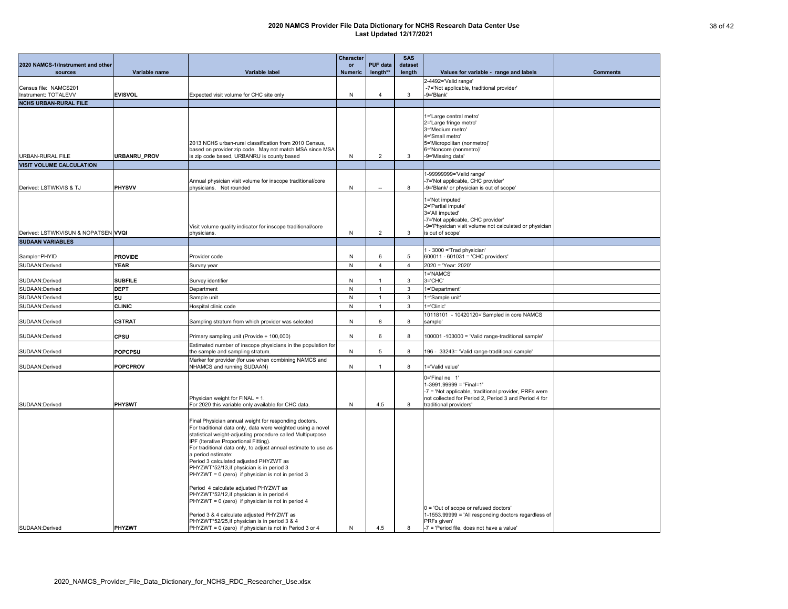| 2020 NAMCS-1/Instrument and other<br>sources  | Variable name       | Variable label                                                                                                                                                                                                                                                                                                                                                                                                                                                                                                                                                                                                                                                                                                                                                           | <b>Character</b><br>or<br><b>Numeric</b> | <b>PUF data</b><br>length** | <b>SAS</b><br>dataset<br>length | Values for variable - range and labels                                                                                                                                                 | Comments |
|-----------------------------------------------|---------------------|--------------------------------------------------------------------------------------------------------------------------------------------------------------------------------------------------------------------------------------------------------------------------------------------------------------------------------------------------------------------------------------------------------------------------------------------------------------------------------------------------------------------------------------------------------------------------------------------------------------------------------------------------------------------------------------------------------------------------------------------------------------------------|------------------------------------------|-----------------------------|---------------------------------|----------------------------------------------------------------------------------------------------------------------------------------------------------------------------------------|----------|
| Census file: NAMCS201<br>Instrument: TOTALEVV | <b>EVISVOL</b>      | Expected visit volume for CHC site only                                                                                                                                                                                                                                                                                                                                                                                                                                                                                                                                                                                                                                                                                                                                  | N                                        | 4                           | 3                               | 2-4492='Valid range'<br>-7='Not applicable, traditional provider'<br>-9='Blank'                                                                                                        |          |
| <b>NCHS URBAN-RURAL FILE</b>                  |                     |                                                                                                                                                                                                                                                                                                                                                                                                                                                                                                                                                                                                                                                                                                                                                                          |                                          |                             |                                 |                                                                                                                                                                                        |          |
| <b>URBAN-RURAL FILE</b>                       | <b>URBANRU PROV</b> | 2013 NCHS urban-rural classification from 2010 Census,<br>based on provider zip code. May not match MSA since MSA<br>is zip code based, URBANRU is county based                                                                                                                                                                                                                                                                                                                                                                                                                                                                                                                                                                                                          | N                                        | $\overline{2}$              | 3                               | 1='Large central metro'<br>2='Large fringe metro'<br>3='Medium metro'<br>4='Small metro'<br>5='Micropolitan (nonmetro)'<br>6='Noncore (nonmetro)'<br>-9='Missing data'                 |          |
| <b>VISIT VOLUME CALCULATION</b>               |                     |                                                                                                                                                                                                                                                                                                                                                                                                                                                                                                                                                                                                                                                                                                                                                                          |                                          |                             |                                 |                                                                                                                                                                                        |          |
| Derived: LSTWKVIS & TJ                        | <b>PHYSVV</b>       | Annual physician visit volume for inscope traditional/core<br>physicians. Not rounded                                                                                                                                                                                                                                                                                                                                                                                                                                                                                                                                                                                                                                                                                    | N                                        | $\overline{\phantom{a}}$    | 8                               | 1-99999999='Valid range'<br>-7='Not applicable, CHC provider'<br>-9='Blank/ or physician is out of scope'                                                                              |          |
| Derived: LSTWKVISUN & NOPATSEN VVQI           |                     | Visit volume quality indicator for inscope traditional/core<br>physicians.                                                                                                                                                                                                                                                                                                                                                                                                                                                                                                                                                                                                                                                                                               | N                                        | $\overline{2}$              | 3                               | 1='Not imputed'<br>2='Partial impute'<br>3='All imputed'<br>-7='Not applicable, CHC provider'<br>-9='Physician visit volume not calculated or physician<br>is out of scope'            |          |
| <b>SUDAAN VARIABLES</b>                       |                     |                                                                                                                                                                                                                                                                                                                                                                                                                                                                                                                                                                                                                                                                                                                                                                          |                                          |                             |                                 |                                                                                                                                                                                        |          |
| Sample=PHYID                                  | <b>PROVIDE</b>      | Provider code                                                                                                                                                                                                                                                                                                                                                                                                                                                                                                                                                                                                                                                                                                                                                            | N                                        | 6                           | 5                               | 1 - 3000 ='Trad physician'<br>600011 - 601031 = 'CHC providers'                                                                                                                        |          |
| SUDAAN:Derived                                | <b>YEAR</b>         | Survey year                                                                                                                                                                                                                                                                                                                                                                                                                                                                                                                                                                                                                                                                                                                                                              | N                                        | $\overline{4}$              | $\overline{4}$                  | 2020 = 'Year: 2020'                                                                                                                                                                    |          |
| SUDAAN: Derived                               | <b>SUBFILE</b>      | Survey identifier                                                                                                                                                                                                                                                                                                                                                                                                                                                                                                                                                                                                                                                                                                                                                        | N                                        |                             | 3                               | 1='NAMCS'<br>3='CHC'                                                                                                                                                                   |          |
| SUDAAN:Derived                                | <b>DEPT</b>         | Department                                                                                                                                                                                                                                                                                                                                                                                                                                                                                                                                                                                                                                                                                                                                                               | N                                        | -1                          | 3                               | 1='Department'                                                                                                                                                                         |          |
| SUDAAN: Derived                               | <b>SU</b>           | Sample unit                                                                                                                                                                                                                                                                                                                                                                                                                                                                                                                                                                                                                                                                                                                                                              | N                                        | 1                           | 3                               | 1='Sample unit'<br>1='Clinic'                                                                                                                                                          |          |
| SUDAAN: Derived                               | <b>CLINIC</b>       | Hospital clinic code                                                                                                                                                                                                                                                                                                                                                                                                                                                                                                                                                                                                                                                                                                                                                     | N                                        |                             | 3                               | 10118101 - 10420120='Sampled in core NAMCS                                                                                                                                             |          |
| SUDAAN: Derived                               | <b>CSTRAT</b>       | Sampling stratum from which provider was selected                                                                                                                                                                                                                                                                                                                                                                                                                                                                                                                                                                                                                                                                                                                        | N                                        | 8                           | 8                               | sample'                                                                                                                                                                                |          |
| SUDAAN: Derived                               | <b>CPSU</b>         | Primary sampling unit (Provide + 100,000)                                                                                                                                                                                                                                                                                                                                                                                                                                                                                                                                                                                                                                                                                                                                | N                                        | 6                           | 8                               | 100001 -103000 = 'Valid range-traditional sample'                                                                                                                                      |          |
| SUDAAN: Derived                               | <b>POPCPSU</b>      | Estimated number of inscope physicians in the population for<br>the sample and sampling stratum.                                                                                                                                                                                                                                                                                                                                                                                                                                                                                                                                                                                                                                                                         | N                                        | 5                           | 8                               | 196 - 33243= 'Valid range-traditional sample'                                                                                                                                          |          |
| SUDAAN: Derived                               | <b>POPCPROV</b>     | Marker for provider (for use when combining NAMCS and<br>NHAMCS and running SUDAAN)                                                                                                                                                                                                                                                                                                                                                                                                                                                                                                                                                                                                                                                                                      | N                                        |                             | 8                               | 1='Valid value'                                                                                                                                                                        |          |
| SUDAAN: Derived                               | <b>PHYSWT</b>       | Physician weight for FINAL = 1.<br>For 2020 this variable only available for CHC data.                                                                                                                                                                                                                                                                                                                                                                                                                                                                                                                                                                                                                                                                                   | N                                        | 4.5                         | 8                               | 0='Final ne 1'<br>1-3991.99999 = 'Final=1'<br>-7 = 'Not applicable, traditional provider, PRFs were<br>not collected for Period 2, Period 3 and Period 4 for<br>traditional providers' |          |
| SUDAAN: Derived                               | <b>PHYZWT</b>       | Final Physician annual weight for responding doctors.<br>For traditional data only, data were weighted using a novel<br>statistical weight-adjusting procedure called Multipurpose<br>IPF (Iterative Proportional Fitting).<br>For traditional data only, to adjust annual estimate to use as<br>a period estimate:<br>Period 3 calculated adjusted PHYZWT as<br>PHYZWT*52/13, if physician is in period 3<br>$PHYZWT = 0$ (zero) if physician is not in period 3<br>Period 4 calculate adjusted PHYZWT as<br>PHYZWT*52/12, if physician is in period 4<br>PHYZWT = $0$ (zero) if physician is not in period 4<br>Period 3 & 4 calculate adjusted PHYZWT as<br>PHYZWT*52/25, if physician is in period 3 & 4<br>PHYZWT = $0$ (zero) if physician is not in Period 3 or 4 | N                                        | 4.5                         | 8                               | 0 = 'Out of scope or refused doctors'<br>1-1553.99999 = 'All responding doctors regardless of<br>PRFs given'<br>-7 = 'Period file, does not have a value'                              |          |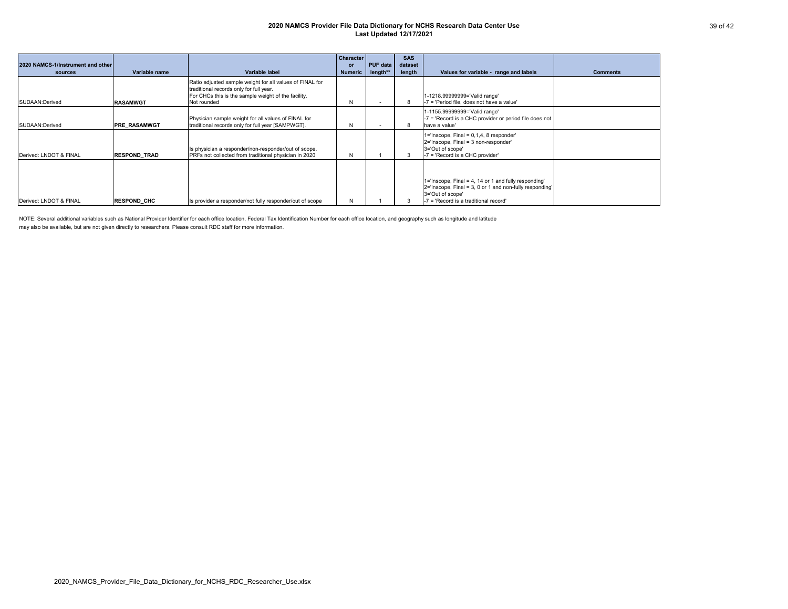39 of 42



| 2020 NAMCS-1/Instrument and other<br>sources | Variable name       | Variable label                                                                                                                                                            | <b>Character</b><br><b>or</b><br><b>Numeric</b> | <b>PUF data</b><br>length** | <b>SAS</b><br>dataset<br>length | Values for variable - range and labels                                                                                                                                       | <b>Comments</b> |
|----------------------------------------------|---------------------|---------------------------------------------------------------------------------------------------------------------------------------------------------------------------|-------------------------------------------------|-----------------------------|---------------------------------|------------------------------------------------------------------------------------------------------------------------------------------------------------------------------|-----------------|
| SUDAAN: Derived                              | <b>RASAMWGT</b>     | Ratio adjusted sample weight for all values of FINAL for<br>traditional records only for full year.<br>For CHCs this is the sample weight of the facility.<br>Not rounded | N                                               |                             | 8                               | 1-1218.99999999='Valid range'<br>-7 = 'Period file, does not have a value'                                                                                                   |                 |
| SUDAAN:Derived                               | <b>PRE RASAMWGT</b> | Physician sample weight for all values of FINAL for<br>traditional records only for full year [SAMPWGT].                                                                  | N                                               |                             | 8                               | 1-1155.99999999='Valid range'<br>$-7$ = 'Record is a CHC provider or period file does not<br>have a value'                                                                   |                 |
| Derived: LNDOT & FINAL                       | <b>RESPOND TRAD</b> | Is physician a responder/non-responder/out of scope.<br>PRFs not collected from traditional physician in 2020                                                             | N                                               |                             | 3                               | 1='Inscope, Final = 0,1,4, 8 responder'<br>2='Inscope, Final = 3 non-responder'<br>3='Out of scope'<br>-7 = 'Record is a CHC provider'                                       |                 |
| Derived: LNDOT & FINAL                       | RESPOND CHC         | Is provider a responder/not fully responder/out of scope                                                                                                                  | N                                               |                             |                                 | 1='Inscope, Final = 4, 14 or 1 and fully responding'<br>2='Inscope, Final = 3, 0 or 1 and non-fully responding'<br>3='Out of scope'<br>-7 = 'Record is a traditional record' |                 |

NOTE: Several additional variables such as National Provider Identifier for each office location, Federal Tax Identification Number for each office location, and geography such as longitude and latitude may also be available, but are not given directly to researchers. Please consult RDC staff for more information.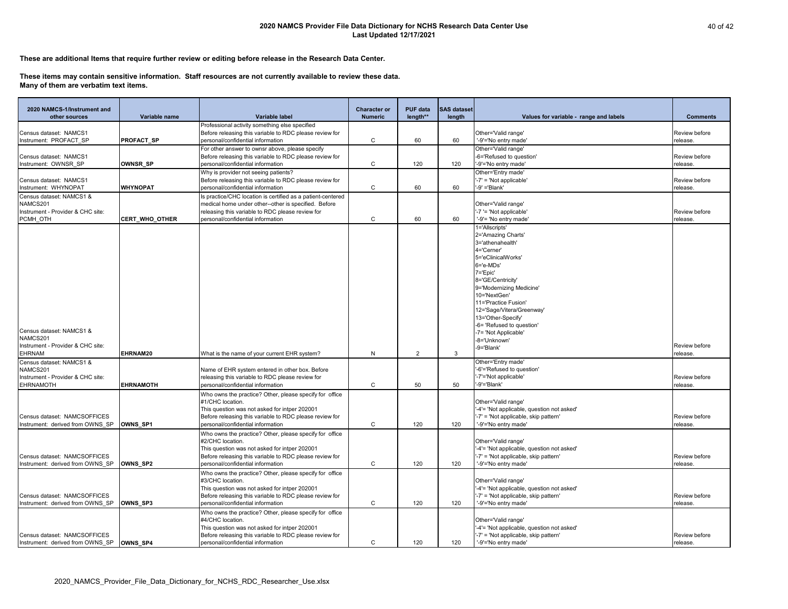**These are additional Items that require further review or editing before release in the Research Data Center.**

**These items may contain sensitive information. Staff resources are not currently available to review these data. Many of them are verbatim text items.**

| 2020 NAMCS-1/Instrument and<br>other sources     | Variable name         | <b>Variable label</b>                                                                                    | <b>Character or</b><br><b>Numeric</b> | <b>PUF data</b><br>length** | <b>SAS dataset</b><br>length | Values for variable - range and labels                                              | <b>Comments</b>           |
|--------------------------------------------------|-----------------------|----------------------------------------------------------------------------------------------------------|---------------------------------------|-----------------------------|------------------------------|-------------------------------------------------------------------------------------|---------------------------|
|                                                  |                       | Professional activity something else specified                                                           |                                       |                             |                              |                                                                                     |                           |
| Census dataset: NAMCS1<br>Instrument: PROFACT SP | PROFACT_SP            | Before releasing this variable to RDC please review for<br>personal/confidential information             | C                                     | 60                          | 60                           | Other='Valid range'<br>'-9'='No entry made'                                         | Review before<br>release. |
|                                                  |                       | For other answer to ownsr above, please specify                                                          |                                       |                             |                              | Other='Valid range'                                                                 |                           |
| Census dataset: NAMCS1                           |                       | Before releasing this variable to RDC please review for                                                  |                                       |                             |                              | -6='Refused to question'                                                            | Review before             |
| Instrument: OWNSR SP                             | OWNSR_SP              | personal/confidential information                                                                        | C                                     | 120                         | 120                          | '-9'='No entry made'                                                                | release.                  |
|                                                  |                       | Why is provider not seeing patients?                                                                     |                                       |                             |                              | Other='Entry made'                                                                  |                           |
| Census dataset: NAMCS1                           |                       | Before releasing this variable to RDC please review for                                                  |                                       |                             |                              | $-7'$ = 'Not applicable'                                                            | Review before             |
| Instrument: WHYNOPAT                             | <b>WHYNOPAT</b>       | personal/confidential information                                                                        | C                                     | 60                          | 60                           | $-9'$ = Blank'                                                                      | release.                  |
| Census dataset: NAMCS1 &<br>NAMCS201             |                       | Is practice/CHC location is certified as a patient-centered                                              |                                       |                             |                              |                                                                                     |                           |
| Instrument - Provider & CHC site:                |                       | medical home under other--other is specified. Before<br>releasing this variable to RDC please review for |                                       |                             |                              | Other='Valid range'<br>$-7 =$ 'Not applicable'                                      | Review before             |
| PCMH OTH                                         | <b>CERT_WHO_OTHER</b> | personal/confidential information                                                                        | C                                     | 60                          | 60                           | '-9'= 'No entry made'                                                               | release.                  |
|                                                  |                       |                                                                                                          |                                       |                             |                              | 1='Allscripts'                                                                      |                           |
|                                                  |                       |                                                                                                          |                                       |                             |                              | 2='Amazing Charts'                                                                  |                           |
|                                                  |                       |                                                                                                          |                                       |                             |                              | 3='athenahealth'                                                                    |                           |
|                                                  |                       |                                                                                                          |                                       |                             |                              | 4='Cerner'                                                                          |                           |
|                                                  |                       |                                                                                                          |                                       |                             |                              | 5='eClinicalWorks'                                                                  |                           |
|                                                  |                       |                                                                                                          |                                       |                             |                              | 6='e-MDs'                                                                           |                           |
|                                                  |                       |                                                                                                          |                                       |                             |                              | 7='Epic'                                                                            |                           |
|                                                  |                       |                                                                                                          |                                       |                             |                              | 8='GE/Centricity'                                                                   |                           |
|                                                  |                       |                                                                                                          |                                       |                             |                              | 9='Modernizing Medicine'<br>10='NextGen'                                            |                           |
|                                                  |                       |                                                                                                          |                                       |                             |                              | 11='Practice Fusion'                                                                |                           |
|                                                  |                       |                                                                                                          |                                       |                             |                              | 12='Sage/Vitera/Greenway'                                                           |                           |
|                                                  |                       |                                                                                                          |                                       |                             |                              | 13='Other-Specify'                                                                  |                           |
|                                                  |                       |                                                                                                          |                                       |                             |                              | -6= 'Refused to question'                                                           |                           |
| Census dataset: NAMCS1 &                         |                       |                                                                                                          |                                       |                             |                              | -7= 'Not Applicable'                                                                |                           |
| NAMCS201<br>Instrument - Provider & CHC site:    |                       |                                                                                                          |                                       |                             |                              | -8='Unknown'                                                                        | Review before             |
| <b>EHRNAM</b>                                    | EHRNAM20              | What is the name of your current EHR system?                                                             | N                                     | 2                           | 3                            | -9='Blank'                                                                          | release.                  |
| Census dataset: NAMCS1 &                         |                       |                                                                                                          |                                       |                             |                              | Other='Entry made'                                                                  |                           |
| NAMCS201                                         |                       | Name of EHR system entered in other box. Before                                                          |                                       |                             |                              | '-6'='Refused to question'                                                          |                           |
| Instrument - Provider & CHC site:                |                       | releasing this variable to RDC please review for                                                         |                                       |                             |                              | '-7'='Not applicable'                                                               | Review before             |
| <b>EHRNAMOTH</b>                                 | <b>EHRNAMOTH</b>      | personal/confidential information                                                                        | C                                     | 50                          | 50                           | '-9'='Blank'                                                                        | release.                  |
|                                                  |                       | Who owns the practice? Other, please specify for office                                                  |                                       |                             |                              |                                                                                     |                           |
|                                                  |                       | #1/CHC location.                                                                                         |                                       |                             |                              | Other='Valid range'                                                                 |                           |
|                                                  |                       | This question was not asked for intper 202001                                                            |                                       |                             |                              | '-4'= 'Not applicable, question not asked'                                          |                           |
| Census dataset: NAMCSOFFICES                     |                       | Before releasing this variable to RDC please review for                                                  |                                       |                             |                              | '-7' = 'Not applicable, skip pattern'                                               | Review before             |
| Instrument: derived from OWNS SP                 | OWNS_SP1              | personal/confidential information                                                                        | $\mathbf C$                           | 120                         | 120                          | '-9'='No entry made'                                                                | release.                  |
|                                                  |                       | Who owns the practice? Other, please specify for office                                                  |                                       |                             |                              |                                                                                     |                           |
|                                                  |                       | #2/CHC location.                                                                                         |                                       |                             |                              | Other='Valid range'                                                                 |                           |
| Census dataset: NAMCSOFFICES                     |                       | This question was not asked for intper 202001<br>Before releasing this variable to RDC please review for |                                       |                             |                              | '-4'= 'Not applicable, question not asked'<br>'-7' = 'Not applicable, skip pattern' | Review before             |
| Instrument: derived from OWNS SP                 | OWNS_SP2              | personal/confidential information                                                                        | С                                     | 120                         | 120                          | '-9'='No entry made'                                                                | release.                  |
|                                                  |                       | Who owns the practice? Other, please specify for office                                                  |                                       |                             |                              |                                                                                     |                           |
|                                                  |                       | #3/CHC location.                                                                                         |                                       |                             |                              | Other='Valid range'                                                                 |                           |
|                                                  |                       | This question was not asked for intper 202001                                                            |                                       |                             |                              | '-4'= 'Not applicable, question not asked'                                          |                           |
| Census dataset: NAMCSOFFICES                     |                       | Before releasing this variable to RDC please review for                                                  |                                       |                             |                              | '-7' = 'Not applicable, skip pattern'                                               | Review before             |
| Instrument: derived from OWNS SP                 | OWNS_SP3              | personal/confidential information                                                                        | С                                     | 120                         | 120                          | '-9'='No entry made'                                                                | release.                  |
|                                                  |                       | Who owns the practice? Other, please specify for office                                                  |                                       |                             |                              |                                                                                     |                           |
|                                                  |                       | #4/CHC location.                                                                                         |                                       |                             |                              | Other='Valid range'                                                                 |                           |
|                                                  |                       | This question was not asked for intper 202001                                                            |                                       |                             |                              | '-4'= 'Not applicable, question not asked'                                          |                           |
| Census dataset: NAMCSOFFICES                     |                       | Before releasing this variable to RDC please review for                                                  |                                       |                             |                              | '-7' = 'Not applicable, skip pattern'                                               | Review before             |
| Instrument: derived from OWNS_SP                 | <b>OWNS_SP4</b>       | personal/confidential information                                                                        | C                                     | 120                         | 120                          | '-9'='No entry made'                                                                | release.                  |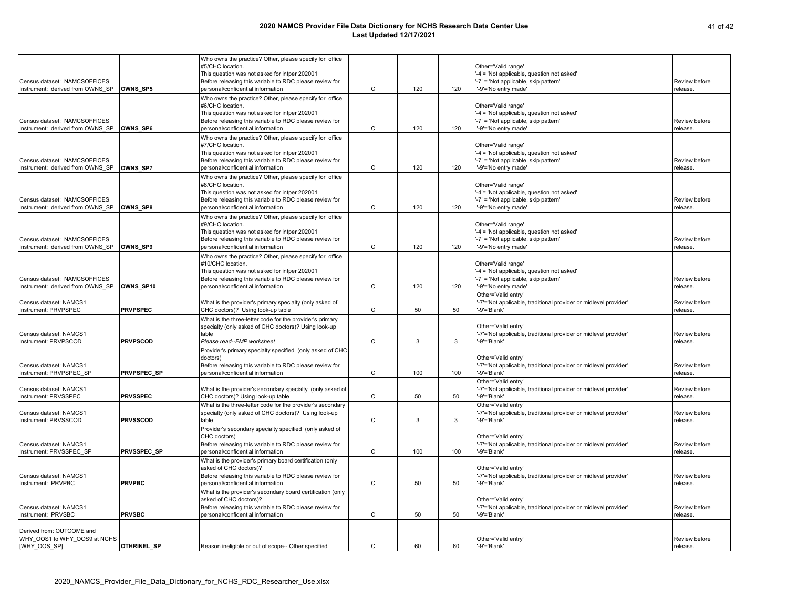|                                  |                    | Who owns the practice? Other, please specify for office    |   |     |     |                                                                  |               |
|----------------------------------|--------------------|------------------------------------------------------------|---|-----|-----|------------------------------------------------------------------|---------------|
|                                  |                    | #5/CHC location.                                           |   |     |     | Other='Valid range'                                              |               |
|                                  |                    | This question was not asked for intper 202001              |   |     |     | '-4'= 'Not applicable, question not asked'                       |               |
| Census dataset: NAMCSOFFICES     |                    | Before releasing this variable to RDC please review for    |   |     |     | '-7' = 'Not applicable, skip pattern'                            | Review before |
| Instrument: derived from OWNS SP | OWNS_SP5           | personal/confidential information                          | C | 120 | 120 | '-9'='No entry made'                                             | release.      |
|                                  |                    | Who owns the practice? Other, please specify for office    |   |     |     |                                                                  |               |
|                                  |                    | #6/CHC location.                                           |   |     |     | Other='Valid range'                                              |               |
|                                  |                    | This question was not asked for intper 202001              |   |     |     | '-4'= 'Not applicable, question not asked'                       |               |
| Census dataset: NAMCSOFFICES     |                    | Before releasing this variable to RDC please review for    |   |     |     | '-7' = 'Not applicable, skip pattern'                            | Review before |
| Instrument: derived from OWNS SP | OWNS SP6           | personal/confidential information                          | C | 120 | 120 | '-9'='No entry made'                                             | release.      |
|                                  |                    |                                                            |   |     |     |                                                                  |               |
|                                  |                    | Who owns the practice? Other, please specify for office    |   |     |     |                                                                  |               |
|                                  |                    | #7/CHC location.                                           |   |     |     | Other='Valid range'                                              |               |
|                                  |                    | This question was not asked for intper 202001              |   |     |     | '-4'= 'Not applicable, question not asked'                       |               |
| Census dataset: NAMCSOFFICES     |                    | Before releasing this variable to RDC please review for    |   |     |     | '-7' = 'Not applicable, skip pattern'                            | Review before |
| Instrument: derived from OWNS SP | OWNS SP7           | personal/confidential information                          | C | 120 | 120 | '-9'='No entry made'                                             | release.      |
|                                  |                    | Who owns the practice? Other, please specify for office    |   |     |     |                                                                  |               |
|                                  |                    | #8/CHC location.                                           |   |     |     | Other='Valid range'                                              |               |
|                                  |                    | This question was not asked for intper 202001              |   |     |     | '-4'= 'Not applicable, question not asked'                       |               |
| Census dataset: NAMCSOFFICES     |                    | Before releasing this variable to RDC please review for    |   |     |     | '-7' = 'Not applicable, skip pattern'                            | Review before |
| Instrument: derived from OWNS SP |                    | personal/confidential information                          |   | 120 | 120 |                                                                  |               |
|                                  | OWNS SP8           |                                                            | C |     |     | '-9'='No entry made'                                             | release.      |
|                                  |                    | Who owns the practice? Other, please specify for office    |   |     |     |                                                                  |               |
|                                  |                    | #9/CHC location.                                           |   |     |     | Other='Valid range'                                              |               |
|                                  |                    | This question was not asked for intper 202001              |   |     |     | '-4'= 'Not applicable, question not asked'                       |               |
| Census dataset: NAMCSOFFICES     |                    | Before releasing this variable to RDC please review for    |   |     |     | '-7' = 'Not applicable, skip pattern'                            | Review before |
| Instrument: derived from OWNS_SP | OWNS SP9           | personal/confidential information                          | C | 120 | 120 | '-9'='No entry made'                                             | release.      |
|                                  |                    |                                                            |   |     |     |                                                                  |               |
|                                  |                    | Who owns the practice? Other, please specify for office    |   |     |     |                                                                  |               |
|                                  |                    | #10/CHC location.                                          |   |     |     | Other='Valid range'                                              |               |
|                                  |                    | This question was not asked for intper 202001              |   |     |     | '-4'= 'Not applicable, question not asked'                       |               |
| Census dataset: NAMCSOFFICES     |                    | Before releasing this variable to RDC please review for    |   |     |     | '-7' = 'Not applicable, skip pattern'                            | Review before |
| Instrument: derived from OWNS SP | OWNS SP10          | personal/confidential information                          | C | 120 | 120 | '-9'='No entry made'                                             | release.      |
|                                  |                    |                                                            |   |     |     | Other='Valid entry'                                              |               |
| Census dataset: NAMCS1           |                    | What is the provider's primary specialty (only asked of    |   |     |     | '-7'='Not applicable, traditional provider or midlevel provider' | Review before |
| Instrument: PRVPSPEC             | <b>PRVPSPEC</b>    | CHC doctors)? Using look-up table                          | C | 50  | 50  | '-9'='Blank'                                                     | release.      |
|                                  |                    |                                                            |   |     |     |                                                                  |               |
|                                  |                    | What is the three-letter code for the provider's primary   |   |     |     |                                                                  |               |
|                                  |                    | specialty (only asked of CHC doctors)? Using look-up       |   |     |     | Other='Valid entry'                                              |               |
| Census dataset: NAMCS1           |                    | table                                                      |   |     |     | '-7'='Not applicable, traditional provider or midlevel provider' | Review before |
| Instrument: PRVPSCOD             | <b>PRVPSCOD</b>    | Please read--FMP worksheet                                 | C | 3   | 3   | $-9$ '='Blank'                                                   | release.      |
|                                  |                    | Provider's primary specialty specified (only asked of CHC  |   |     |     |                                                                  |               |
|                                  |                    | doctors)                                                   |   |     |     | Other='Valid entry'                                              |               |
| Census dataset: NAMCS1           |                    | Before releasing this variable to RDC please review for    |   |     |     | '-7'='Not applicable, traditional provider or midlevel provider' | Review before |
| Instrument: PRVPSPEC_SP          | <b>PRVPSPEC_SP</b> | personal/confidential information                          | С | 100 | 100 | '-9'='Blank'                                                     | release.      |
|                                  |                    |                                                            |   |     |     | Other='Valid entry'                                              |               |
|                                  |                    |                                                            |   |     |     |                                                                  |               |
| Census dataset: NAMCS1           |                    | What is the provider's secondary specialty (only asked of  |   |     |     | '-7'='Not applicable, traditional provider or midlevel provider' | Review before |
| Instrument: PRVSSPEC             | <b>PRVSSPEC</b>    | CHC doctors)? Using look-up table                          | C | 50  | 50  | '-9'='Blank'                                                     | release.      |
|                                  |                    | What is the three-letter code for the provider's secondary |   |     |     | Other='Valid entry'                                              |               |
| Census dataset: NAMCS1           |                    | specialty (only asked of CHC doctors)? Using look-up       |   |     |     | '-7'='Not applicable, traditional provider or midlevel provider' | Review before |
| Instrument: PRVSSCOD             | <b>PRVSSCOD</b>    | lable                                                      | C | 3   | 3   | '-9'='Blank'                                                     | release.      |
|                                  |                    | Provider's secondary specialty specified (only asked of    |   |     |     |                                                                  |               |
|                                  |                    | CHC doctors)                                               |   |     |     | Other='Valid entry'                                              |               |
| Census dataset: NAMCS1           |                    | Before releasing this variable to RDC please review for    |   |     |     | '-7'='Not applicable, traditional provider or midlevel provider' | Review before |
|                                  |                    | personal/confidential information                          |   |     | 100 | '-9'='Blank'                                                     |               |
| Instrument: PRVSSPEC SP          | PRVSSPEC_SP        |                                                            | C | 100 |     |                                                                  | release.      |
|                                  |                    | What is the provider's primary board certification (only   |   |     |     |                                                                  |               |
|                                  |                    | asked of CHC doctors)?                                     |   |     |     | Other='Valid entry'                                              |               |
| Census dataset: NAMCS1           |                    | Before releasing this variable to RDC please review for    |   |     |     | '-7'='Not applicable, traditional provider or midlevel provider' | Review before |
| Instrument: PRVPBC               | <b>PRVPBC</b>      | personal/confidential information                          | C | 50  | 50  | '-9'='Blank'                                                     | release.      |
|                                  |                    | What is the provider's secondary board certification (only |   |     |     |                                                                  |               |
|                                  |                    | asked of CHC doctors)?                                     |   |     |     | Other='Valid entry'                                              |               |
|                                  |                    |                                                            |   |     |     |                                                                  |               |
| Census dataset: NAMCS1           |                    | Before releasing this variable to RDC please review for    |   |     |     | '-7'='Not applicable, traditional provider or midlevel provider' | Review before |
| Instrument: PRVSBC               | <b>PRVSBC</b>      | personal/confidential information                          | C | 50  | 50  | '-9'='Blank'                                                     | release.      |
|                                  |                    |                                                            |   |     |     |                                                                  |               |
| Derived from: OUTCOME and        |                    |                                                            |   |     |     |                                                                  |               |
| WHY_OOS1 to WHY_OOS9 at NCHS     |                    |                                                            |   |     |     | Other='Valid entry'                                              | Review before |
| [WHY_OOS_SP]                     | OTHRINEL_SP        | Reason ineligible or out of scope-- Other specified        | C | 60  | 60  | '-9'='Blank'                                                     | release.      |
|                                  |                    |                                                            |   |     |     |                                                                  |               |